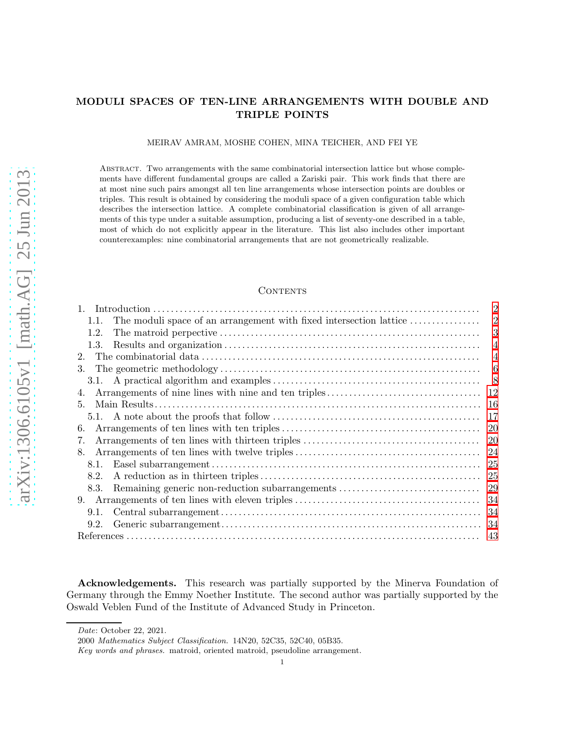# MODULI SPACES OF TEN-LINE ARRANGEMENTS WITH DOUBLE AND TRIPLE POINTS

MEIRAV AMRAM, MOSHE COHEN, MINA TEICHER, AND FEI YE

Abstract. Two arrangements with the same combinatorial intersection lattice but whose complements have different fundamental groups are called a Zariski pair. This work finds that there are at most nine such pairs amongst all ten line arrangements whose intersection points are doubles or triples. This result is obtained by considering the moduli space of a given configuration table which describes the intersection lattice. A complete combinatorial classification is given of all arrangements of this type under a suitable assumption, producing a list of seventy-one described in a table, most of which do not explicitly appear in the literature. This list also includes other important counterexamples: nine combinatorial arrangements that are not geometrically realizable.

# **CONTENTS**

|                                                                            | $\overline{2}$ |
|----------------------------------------------------------------------------|----------------|
| The moduli space of an arrangement with fixed intersection lattice<br>1.1. | $\overline{2}$ |
| 1.2.                                                                       | 3              |
| 1.3.                                                                       | $\overline{4}$ |
| 2.                                                                         | 4              |
| 3.                                                                         | 6              |
|                                                                            | 8              |
| 4.                                                                         | 12             |
| 5.                                                                         | 16             |
|                                                                            | 17             |
| 6.                                                                         | 20             |
| 7.                                                                         | 20             |
| 8.                                                                         | 24             |
| 8.1.                                                                       | 25             |
| 8.2.                                                                       | 25             |
| Remaining generic non-reduction subarrangements<br>8.3.                    | 29             |
|                                                                            | 34             |
| 9.1.                                                                       | -34            |
| 9.2.                                                                       |                |
|                                                                            |                |

Acknowledgements. This research was partially supported by the Minerva Foundation of Germany through the Emmy Noether Institute. The second author was partially supported by the Oswald Veblen Fund of the Institute of Advanced Study in Princeton.

Date: October 22, 2021.

<sup>2000</sup> Mathematics Subject Classification. 14N20, 52C35, 52C40, 05B35.

Key words and phrases. matroid, oriented matroid, pseudoline arrangement.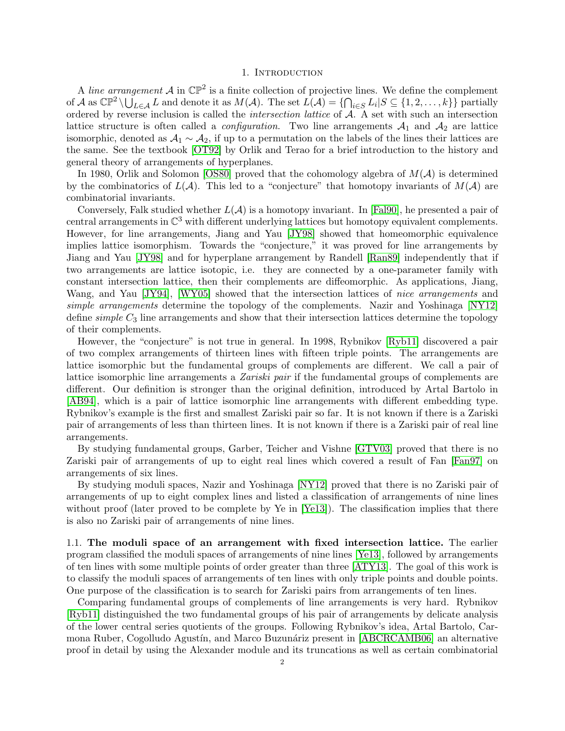#### 1. INTRODUCTION

<span id="page-1-0"></span>A line arrangement A in  $\mathbb{CP}^2$  is a finite collection of projective lines. We define the complement of  $\mathcal{A}$  as  $\mathbb{CP}^2 \setminus \bigcup_{L \in \mathcal{A}} L$  and denote it as  $M(\mathcal{A})$ . The set  $L(\mathcal{A}) = \{ \bigcap_{i \in S} L_i | S \subseteq \{1, 2, ..., k\} \}$  partially ordered by reverse inclusion is called the intersection lattice of A. A set with such an intersection lattice structure is often called a *configuration*. Two line arrangements  $A_1$  and  $A_2$  are lattice isomorphic, denoted as  $A_1 \sim A_2$ , if up to a permutation on the labels of the lines their lattices are the same. See the textbook [\[OT92\]](#page-45-0) by Orlik and Terao for a brief introduction to the history and general theory of arrangements of hyperplanes.

In 1980, Orlik and Solomon [\[OS80\]](#page-45-1) proved that the cohomology algebra of  $M(\mathcal{A})$  is determined by the combinatorics of  $L(\mathcal{A})$ . This led to a "conjecture" that homotopy invariants of  $M(\mathcal{A})$  are combinatorial invariants.

Conversely, Falk studied whether  $L(\mathcal{A})$  is a homotopy invariant. In [\[Fal90\]](#page-42-1), he presented a pair of central arrangements in C <sup>3</sup> with different underlying lattices but homotopy equivalent complements. However, for line arrangements, Jiang and Yau [\[JY98\]](#page-45-2) showed that homeomorphic equivalence implies lattice isomorphism. Towards the "conjecture," it was proved for line arrangements by Jiang and Yau [\[JY98\]](#page-45-2) and for hyperplane arrangement by Randell [\[Ran89\]](#page-46-0) independently that if two arrangements are lattice isotopic, i.e. they are connected by a one-parameter family with constant intersection lattice, then their complements are diffeomorphic. As applications, Jiang, Wang, and Yau [\[JY94\]](#page-43-0), [\[WY05\]](#page-46-1) showed that the intersection lattices of nice arrangements and simple arrangements determine the topology of the complements. Nazir and Yoshinaga [\[NY12\]](#page-45-3) define  $simple\ C_3$  line arrangements and show that their intersection lattices determine the topology of their complements.

However, the "conjecture" is not true in general. In 1998, Rybnikov [\[Ryb11\]](#page-46-2) discovered a pair of two complex arrangements of thirteen lines with fifteen triple points. The arrangements are lattice isomorphic but the fundamental groups of complements are different. We call a pair of lattice isomorphic line arrangements a *Zariski pair* if the fundamental groups of complements are different. Our definition is stronger than the original definition, introduced by Artal Bartolo in [\[AB94\]](#page-42-2), which is a pair of lattice isomorphic line arrangements with different embedding type. Rybnikov's example is the first and smallest Zariski pair so far. It is not known if there is a Zariski pair of arrangements of less than thirteen lines. It is not known if there is a Zariski pair of real line arrangements.

By studying fundamental groups, Garber, Teicher and Vishne [\[GTV03\]](#page-43-1) proved that there is no Zariski pair of arrangements of up to eight real lines which covered a result of Fan [\[Fan97\]](#page-43-2) on arrangements of six lines.

By studying moduli spaces, Nazir and Yoshinaga [\[NY12\]](#page-45-3) proved that there is no Zariski pair of arrangements of up to eight complex lines and listed a classification of arrangements of nine lines without proof (later proved to be complete by Ye in [\[Ye13\]](#page-46-3)). The classification implies that there is also no Zariski pair of arrangements of nine lines.

<span id="page-1-1"></span>1.1. The moduli space of an arrangement with fixed intersection lattice. The earlier program classified the moduli spaces of arrangements of nine lines [\[Ye13\]](#page-46-3), followed by arrangements of ten lines with some multiple points of order greater than three [\[ATY13\]](#page-42-3). The goal of this work is to classify the moduli spaces of arrangements of ten lines with only triple points and double points. One purpose of the classification is to search for Zariski pairs from arrangements of ten lines.

Comparing fundamental groups of complements of line arrangements is very hard. Rybnikov [\[Ryb11\]](#page-46-2) distinguished the two fundamental groups of his pair of arrangements by delicate analysis of the lower central series quotients of the groups. Following Rybnikov's idea, Artal Bartolo, Car-mona Ruber, Cogolludo Agustín, and Marco Buzunáriz present in [\[ABCRCAMB06\]](#page-42-4) an alternative proof in detail by using the Alexander module and its truncations as well as certain combinatorial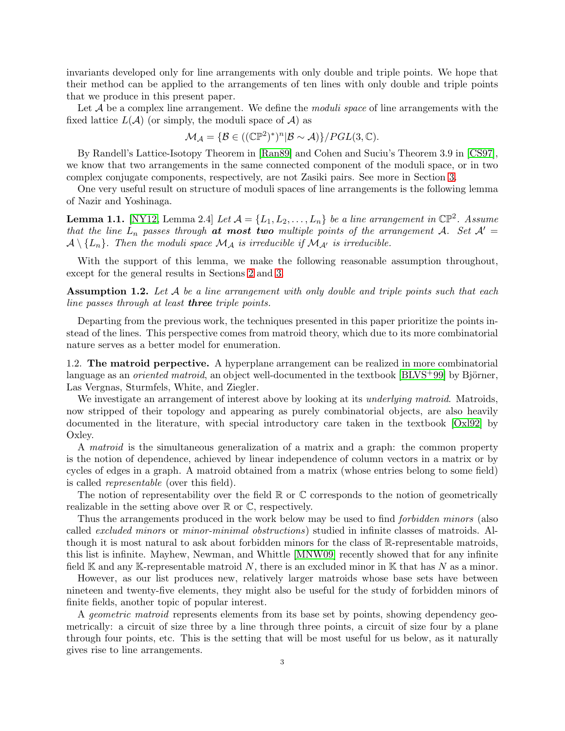invariants developed only for line arrangements with only double and triple points. We hope that their method can be applied to the arrangements of ten lines with only double and triple points that we produce in this present paper.

Let  $A$  be a complex line arrangement. We define the *moduli space* of line arrangements with the fixed lattice  $L(\mathcal{A})$  (or simply, the moduli space of  $\mathcal{A}$ ) as

$$
\mathcal{M}_{\mathcal{A}} = \{ \mathcal{B} \in ((\mathbb{C}\mathbb{P}^2)^*)^n | \mathcal{B} \sim \mathcal{A} ) \} / PGL(3, \mathbb{C}).
$$

By Randell's Lattice-Isotopy Theorem in [\[Ran89\]](#page-46-0) and Cohen and Suciu's Theorem 3.9 in [\[CS97\]](#page-42-5), we know that two arrangements in the same connected component of the moduli space, or in two complex conjugate components, respectively, are not Zasiki pairs. See more in Section [3.](#page-5-0)

One very useful result on structure of moduli spaces of line arrangements is the following lemma of Nazir and Yoshinaga.

**Lemma 1.1.** [\[NY12,](#page-45-3) Lemma 2.4] Let  $\mathcal{A} = \{L_1, L_2, \ldots, L_n\}$  be a line arrangement in  $\mathbb{CP}^2$ . Assume that the line  $L_n$  passes through at most two multiple points of the arrangement A. Set  $\mathcal{A}' =$  $\mathcal{A}\setminus\{L_n\}$ . Then the moduli space  $\mathcal{M}_{\mathcal{A}}$  is irreducible if  $\mathcal{M}_{\mathcal{A}'}$  is irreducible.

With the support of this lemma, we make the following reasonable assumption throughout, except for the general results in Sections [2](#page-3-1) and [3.](#page-5-0)

<span id="page-2-1"></span>**Assumption 1.2.** Let  $A$  be a line arrangement with only double and triple points such that each line passes through at least three triple points.

Departing from the previous work, the techniques presented in this paper prioritize the points instead of the lines. This perspective comes from matroid theory, which due to its more combinatorial nature serves as a better model for enumeration.

<span id="page-2-0"></span>1.2. The matroid perpective. A hyperplane arrangement can be realized in more combinatorial language as an *oriented matroid*, an object well-documented in the textbook  $[BLVS^+99]$  by Björner, Las Vergnas, Sturmfels, White, and Ziegler.

We investigate an arrangement of interest above by looking at its *underlying matroid*. Matroids, now stripped of their topology and appearing as purely combinatorial objects, are also heavily documented in the literature, with special introductory care taken in the textbook [\[Oxl92\]](#page-45-4) by Oxley.

A matroid is the simultaneous generalization of a matrix and a graph: the common property is the notion of dependence, achieved by linear independence of column vectors in a matrix or by cycles of edges in a graph. A matroid obtained from a matrix (whose entries belong to some field) is called representable (over this field).

The notion of representability over the field  $\mathbb R$  or  $\mathbb C$  corresponds to the notion of geometrically realizable in the setting above over  $\mathbb R$  or  $\mathbb C$ , respectively.

Thus the arrangements produced in the work below may be used to find *forbidden minors* (also called excluded minors or minor-minimal obstructions) studied in infinite classes of matroids. Although it is most natural to ask about forbidden minors for the class of R-representable matroids, this list is infinite. Mayhew, Newman, and Whittle [\[MNW09\]](#page-45-5) recently showed that for any infinite field K and any K-representable matroid N, there is an excluded minor in K that has N as a minor.

However, as our list produces new, relatively larger matroids whose base sets have between nineteen and twenty-five elements, they might also be useful for the study of forbidden minors of finite fields, another topic of popular interest.

A geometric matroid represents elements from its base set by points, showing dependency geometrically: a circuit of size three by a line through three points, a circuit of size four by a plane through four points, etc. This is the setting that will be most useful for us below, as it naturally gives rise to line arrangements.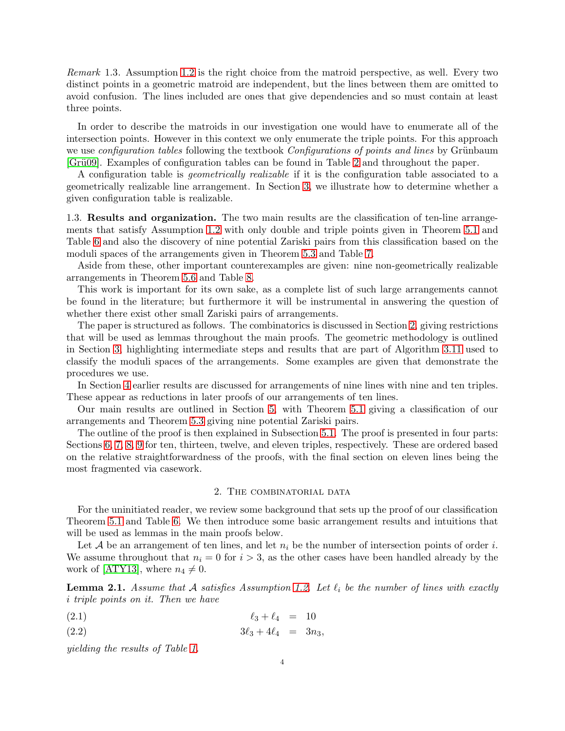Remark 1.3. Assumption [1.2](#page-2-1) is the right choice from the matroid perspective, as well. Every two distinct points in a geometric matroid are independent, but the lines between them are omitted to avoid confusion. The lines included are ones that give dependencies and so must contain at least three points.

In order to describe the matroids in our investigation one would have to enumerate all of the intersection points. However in this context we only enumerate the triple points. For this approach we use *configuration tables* following the textbook *Configurations of points and lines* by Grünbaum [\[Gr¨u09\]](#page-43-3). Examples of configuration tables can be found in Table [2](#page-13-0) and throughout the paper.

A configuration table is geometrically realizable if it is the configuration table associated to a geometrically realizable line arrangement. In Section [3,](#page-5-0) we illustrate how to determine whether a given configuration table is realizable.

<span id="page-3-0"></span>1.3. Results and organization. The two main results are the classification of ten-line arrangements that satisfy Assumption [1.2](#page-2-1) with only double and triple points given in Theorem [5.1](#page-15-1) and Table [6](#page-16-1) and also the discovery of nine potential Zariski pairs from this classification based on the moduli spaces of the arrangements given in Theorem [5.3](#page-16-2) and Table [7.](#page-17-0)

Aside from these, other important counterexamples are given: nine non-geometrically realizable arrangements in Theorem [5.6](#page-16-3) and Table [8.](#page-18-0)

This work is important for its own sake, as a complete list of such large arrangements cannot be found in the literature; but furthermore it will be instrumental in answering the question of whether there exist other small Zariski pairs of arrangements.

The paper is structured as follows. The combinatorics is discussed in Section [2,](#page-3-1) giving restrictions that will be used as lemmas throughout the main proofs. The geometric methodology is outlined in Section [3,](#page-5-0) highlighting intermediate steps and results that are part of Algorithm [3.11](#page-8-0) used to classify the moduli spaces of the arrangements. Some examples are given that demonstrate the procedures we use.

In Section [4](#page-11-0) earlier results are discussed for arrangements of nine lines with nine and ten triples. These appear as reductions in later proofs of our arrangements of ten lines.

Our main results are outlined in Section [5,](#page-15-0) with Theorem [5.1](#page-15-1) giving a classification of our arrangements and Theorem [5.3](#page-16-2) giving nine potential Zariski pairs.

The outline of the proof is then explained in Subsection [5.1.](#page-16-0) The proof is presented in four parts: Sections [6,](#page-19-0) [7,](#page-19-1) [8,](#page-23-0) [9](#page-33-0) for ten, thirteen, twelve, and eleven triples, respectively. These are ordered based on the relative straightforwardness of the proofs, with the final section on eleven lines being the most fragmented via casework.

#### <span id="page-3-2"></span>2. The combinatorial data

<span id="page-3-1"></span>For the uninitiated reader, we review some background that sets up the proof of our classification Theorem [5.1](#page-15-1) and Table [6.](#page-16-1) We then introduce some basic arrangement results and intuitions that will be used as lemmas in the main proofs below.

Let  $A$  be an arrangement of ten lines, and let  $n_i$  be the number of intersection points of order i. We assume throughout that  $n_i = 0$  for  $i > 3$ , as the other cases have been handled already by the work of [\[ATY13\]](#page-42-3), where  $n_4 \neq 0$ .

<span id="page-3-3"></span>**Lemma 2.1.** Assume that A satisfies Assumption [1.2.](#page-2-1) Let  $\ell_i$  be the number of lines with exactly i triple points on it. Then we have

$$
(\text{2.1}) \quad \ell_3 + \ell_4 = 10
$$

$$
(2.2) \t\t 3\ell_3 + 4\ell_4 = 3n_3,
$$

yielding the results of Table [1.](#page-4-0)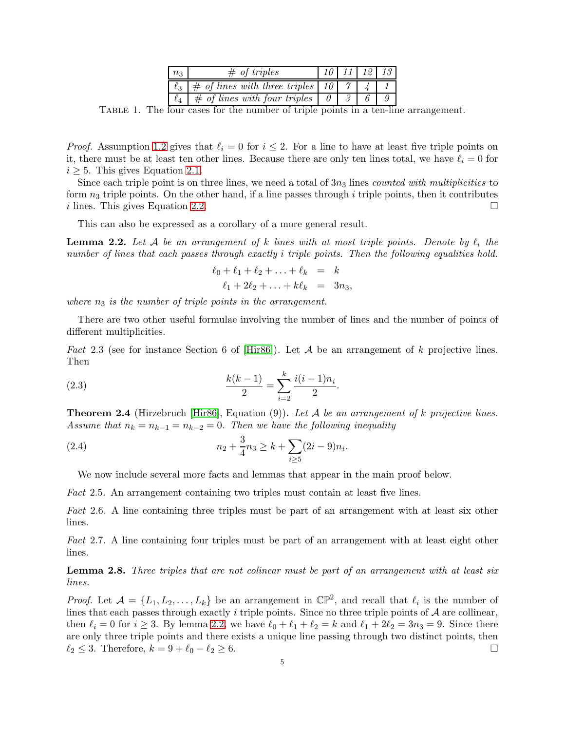| $n_{3}$  | $\#$ of triples                           |  | $10 \mid 11 \mid 12 \mid 13 \mid$ |
|----------|-------------------------------------------|--|-----------------------------------|
| $\ell_3$ | $\#$ of lines with three triples   10   7 |  |                                   |
|          | $\#$ of lines with four triples           |  |                                   |

<span id="page-4-0"></span>TABLE 1. The four cases for the number of triple points in a ten-line arrangement.

*Proof.* Assumption [1.2](#page-2-1) gives that  $\ell_i = 0$  for  $i \leq 2$ . For a line to have at least five triple points on it, there must be at least ten other lines. Because there are only ten lines total, we have  $\ell_i = 0$  for  $i \geq 5$ . This gives Equation [2.1.](#page-3-2)

Since each triple point is on three lines, we need a total of  $3n_3$  lines *counted with multiplicities* to form  $n_3$  triple points. On the other hand, if a line passes through i triple points, then it contributes i lines. This gives Equation [2.2.](#page-3-2)

This can also be expressed as a corollary of a more general result.

<span id="page-4-1"></span>**Lemma 2.2.** Let A be an arrangement of k lines with at most triple points. Denote by  $\ell_i$  the number of lines that each passes through exactly i triple points. Then the following equalities hold.

$$
\ell_0 + \ell_1 + \ell_2 + \ldots + \ell_k = k \n\ell_1 + 2\ell_2 + \ldots + k\ell_k = 3n_3,
$$

where  $n_3$  is the number of triple points in the arrangement.

There are two other useful formulae involving the number of lines and the number of points of different multiplicities.

<span id="page-4-2"></span>Fact 2.3 (see for instance Section 6 of [\[Hir86\]](#page-43-4)). Let  $A$  be an arrangement of k projective lines. Then

(2.3) 
$$
\frac{k(k-1)}{2} = \sum_{i=2}^{k} \frac{i(i-1)n_i}{2}.
$$

<span id="page-4-3"></span>**Theorem 2.4** (Hirzebruch  $\text{Hir86}$ , Equation (9)). Let A be an arrangement of k projective lines. Assume that  $n_k = n_{k-1} = n_{k-2} = 0$ . Then we have the following inequality

(2.4) 
$$
n_2 + \frac{3}{4}n_3 \ge k + \sum_{i \ge 5} (2i - 9)n_i.
$$

We now include several more facts and lemmas that appear in the main proof below.

<span id="page-4-6"></span>Fact 2.5. An arrangement containing two triples must contain at least five lines.

<span id="page-4-4"></span>Fact 2.6. A line containing three triples must be part of an arrangement with at least six other lines.

<span id="page-4-5"></span>Fact 2.7. A line containing four triples must be part of an arrangement with at least eight other lines.

Lemma 2.8. Three triples that are not colinear must be part of an arrangement with at least six lines.

*Proof.* Let  $A = \{L_1, L_2, \ldots, L_k\}$  be an arrangement in  $\mathbb{CP}^2$ , and recall that  $\ell_i$  is the number of lines that each passes through exactly i triple points. Since no three triple points of  $A$  are collinear, then  $\ell_i = 0$  for  $i \geq 3$ . By lemma [2.2,](#page-4-1) we have  $\ell_0 + \ell_1 + \ell_2 = k$  and  $\ell_1 + 2\ell_2 = 3n_3 = 9$ . Since there are only three triple points and there exists a unique line passing through two distinct points, then  $\ell_2 \leq 3$ . Therefore,  $k = 9 + \ell_0 - \ell_2 \geq 6$ .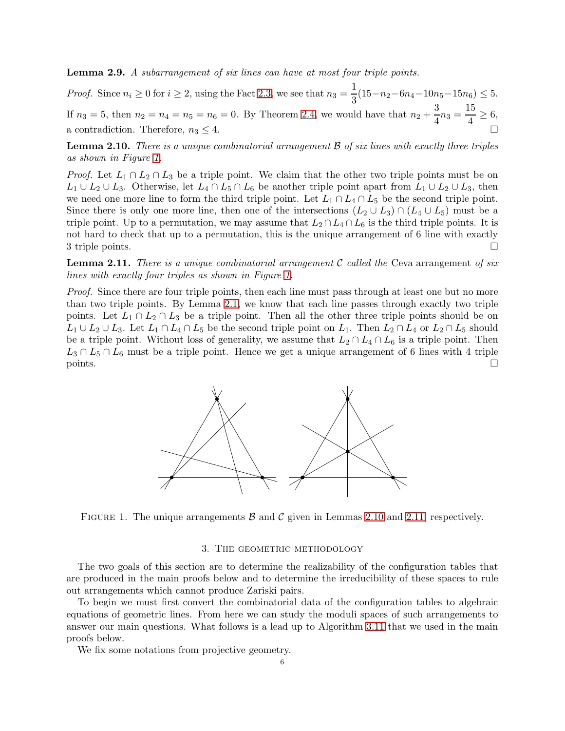<span id="page-5-4"></span>Lemma 2.9. A subarrangement of six lines can have at most four triple points.

*Proof.* Since  $n_i \geq 0$  for  $i \geq 2$ , using the Fact [2.3,](#page-4-2) we see that  $n_3 = \frac{1}{2}$  $\frac{1}{3}(15-n_2-6n_4-10n_5-15n_6) \leq 5.$ If  $n_3 = 5$ , then  $n_2 = n_4 = n_5 = n_6 = 0$ . By Theorem [2.4,](#page-4-3) we would have that  $n_2 + \frac{3}{4}$  $\frac{3}{4}n_3 = \frac{15}{4}$  $\frac{1}{4} \geq 6,$ a contradiction. Therefore,  $n_3 \leq 4$ .

<span id="page-5-2"></span>**Lemma 2.10.** There is a unique combinatorial arrangement  $\beta$  of six lines with exactly three triples as shown in Figure [1.](#page-5-1)

*Proof.* Let  $L_1 \cap L_2 \cap L_3$  be a triple point. We claim that the other two triple points must be on  $L_1 \cup L_2 \cup L_3$ . Otherwise, let  $L_4 \cap L_5 \cap L_6$  be another triple point apart from  $L_1 \cup L_2 \cup L_3$ , then we need one more line to form the third triple point. Let  $L_1 \cap L_4 \cap L_5$  be the second triple point. Since there is only one more line, then one of the intersections  $(L_2 \cup L_3) \cap (L_4 \cup L_5)$  must be a triple point. Up to a permutation, we may assume that  $L_2 \cap L_4 \cap L_6$  is the third triple points. It is not hard to check that up to a permutation, this is the unique arrangement of 6 line with exactly 3 triple points.

<span id="page-5-3"></span>**Lemma 2.11.** There is a unique combinatorial arrangement C called the Ceva arrangement of six lines with exactly four triples as shown in Figure [1.](#page-5-1)

*Proof.* Since there are four triple points, then each line must pass through at least one but no more than two triple points. By Lemma [2.1,](#page-3-3) we know that each line passes through exactly two triple points. Let  $L_1 \cap L_2 \cap L_3$  be a triple point. Then all the other three triple points should be on  $L_1 \cup L_2 \cup L_3$ . Let  $L_1 \cap L_4 \cap L_5$  be the second triple point on  $L_1$ . Then  $L_2 \cap L_4$  or  $L_2 \cap L_5$  should be a triple point. Without loss of generality, we assume that  $L_2 \cap L_4 \cap L_6$  is a triple point. Then  $L_3 \cap L_5 \cap L_6$  must be a triple point. Hence we get a unique arrangement of 6 lines with 4 triple  $\Box$  points.



<span id="page-5-1"></span><span id="page-5-0"></span>FIGURE 1. The unique arrangements  $\beta$  and  $\beta$  given in Lemmas [2.10](#page-5-2) and [2.11,](#page-5-3) respectively.

# 3. THE GEOMETRIC METHODOLOGY

The two goals of this section are to determine the realizability of the configuration tables that are produced in the main proofs below and to determine the irreducibility of these spaces to rule out arrangements which cannot produce Zariski pairs.

To begin we must first convert the combinatorial data of the configuration tables to algebraic equations of geometric lines. From here we can study the moduli spaces of such arrangements to answer our main questions. What follows is a lead up to Algorithm [3.11](#page-8-0) that we used in the main proofs below.

We fix some notations from projective geometry.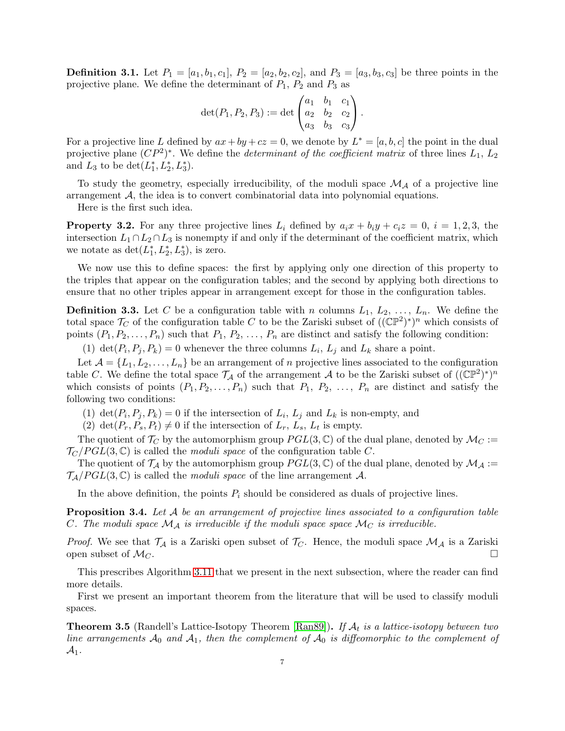**Definition 3.1.** Let  $P_1 = [a_1, b_1, c_1], P_2 = [a_2, b_2, c_2],$  and  $P_3 = [a_3, b_3, c_3]$  be three points in the projective plane. We define the determinant of  $P_1$ ,  $P_2$  and  $P_3$  as

$$
\det(P_1, P_2, P_3) := \det \begin{pmatrix} a_1 & b_1 & c_1 \\ a_2 & b_2 & c_2 \\ a_3 & b_3 & c_3 \end{pmatrix}.
$$

For a projective line L defined by  $ax + by + cz = 0$ , we denote by  $L^* = [a, b, c]$  the point in the dual projective plane  $(CP^2)^*$ . We define the *determinant of the coefficient matrix* of three lines  $L_1, L_2$ and  $L_3$  to be  $\det(L_1^*, L_2^*, L_3^*).$ 

To study the geometry, especially irreducibility, of the moduli space  $\mathcal{M}_{\mathcal{A}}$  of a projective line arrangement  $A$ , the idea is to convert combinatorial data into polynomial equations.

Here is the first such idea.

<span id="page-6-0"></span>**Property 3.2.** For any three projective lines  $L_i$  defined by  $a_i x + b_i y + c_i z = 0$ ,  $i = 1, 2, 3$ , the intersection  $L_1 \cap L_2 \cap L_3$  is nonempty if and only if the determinant of the coefficient matrix, which we notate as  $\det(L_1^*, L_2^*, L_3^*)$ , is zero.

We now use this to define spaces: the first by applying only one direction of this property to the triples that appear on the configuration tables; and the second by applying both directions to ensure that no other triples appear in arrangement except for those in the configuration tables.

**Definition 3.3.** Let C be a configuration table with n columns  $L_1, L_2, \ldots, L_n$ . We define the total space  $\mathcal{T}_C$  of the configuration table C to be the Zariski subset of  $((\mathbb{CP}^2)^*)^n$  which consists of points  $(P_1, P_2, \ldots, P_n)$  such that  $P_1, P_2, \ldots, P_n$  are distinct and satisfy the following condition:

(1)  $\det(P_i, P_j, P_k) = 0$  whenever the three columns  $L_i$ ,  $L_j$  and  $L_k$  share a point.

Let  $\mathcal{A} = \{L_1, L_2, \ldots, L_n\}$  be an arrangement of n projective lines associated to the configuration table C. We define the total space  $\mathcal{T}_\mathcal{A}$  of the arrangement  $\mathcal A$  to be the Zariski subset of  $((\mathbb{CP}^2)^*)^n$ which consists of points  $(P_1, P_2, \ldots, P_n)$  such that  $P_1, P_2, \ldots, P_n$  are distinct and satisfy the following two conditions:

- (1)  $\det(P_i, P_j, P_k) = 0$  if the intersection of  $L_i$ ,  $L_j$  and  $L_k$  is non-empty, and
- (2)  $\det(P_r, P_s, P_t) \neq 0$  if the intersection of  $L_r$ ,  $L_s$ ,  $L_t$  is empty.

The quotient of  $\mathcal{T}_C$  by the automorphism group  $PGL(3,\mathbb{C})$  of the dual plane, denoted by  $\mathcal{M}_C :=$  $\mathcal{T}_C/PGL(3,\mathbb{C})$  is called the *moduli space* of the configuration table C.

The quotient of  $\mathcal{T}_\mathcal{A}$  by the automorphism group  $PGL(3,\mathbb{C})$  of the dual plane, denoted by  $\mathcal{M}_\mathcal{A}$  :=  $\mathcal{T}_{\mathcal{A}}/PGL(3,\mathbb{C})$  is called the *moduli space* of the line arrangement A.

In the above definition, the points  $P_i$  should be considered as duals of projective lines.

**Proposition 3.4.** Let  $A$  be an arrangement of projective lines associated to a configuration table C. The moduli space  $\mathcal{M}_{\mathcal{A}}$  is irreducible if the moduli space space  $\mathcal{M}_{\mathcal{C}}$  is irreducible.

*Proof.* We see that  $\mathcal{T}_A$  is a Zariski open subset of  $\mathcal{T}_C$ . Hence, the moduli space  $\mathcal{M}_A$  is a Zariski open subset of  $\mathcal{M}_C$ . open subset of  $\mathcal{M}_C$ .

This prescribes Algorithm [3.11](#page-8-0) that we present in the next subsection, where the reader can find more details.

First we present an important theorem from the literature that will be used to classify moduli spaces.

**Theorem 3.5** (Randell's Lattice-Isotopy Theorem [\[Ran89\]](#page-46-0)). If  $\mathcal{A}_t$  is a lattice-isotopy between two line arrangements  $A_0$  and  $A_1$ , then the complement of  $A_0$  is diffeomorphic to the complement of  $\mathcal{A}_1$ .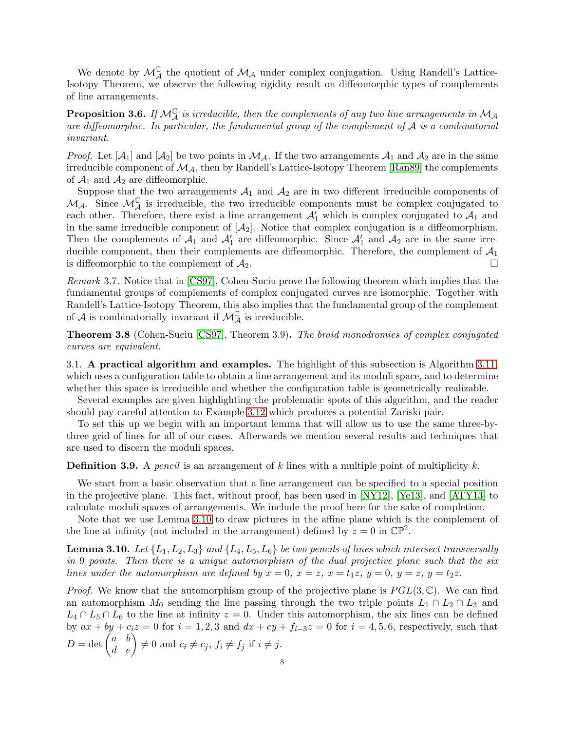We denote by  $\mathcal{M}_{\mathcal{A}}^{\mathbb{C}}$  the quotient of  $\mathcal{M}_{\mathcal{A}}$  under complex conjugation. Using Randell's Lattice-Isotopy Theorem, we observe the following rigidity result on diffeomorphic types of complements of line arrangements.

**Proposition 3.6.** If  $M_A^{\mathbb{C}}$  is irreducible, then the complements of any two line arrangements in  $M_A$ are diffeomorphic. In particular, the fundamental group of the complement of  $A$  is a combinatorial invariant.

*Proof.* Let  $[A_1]$  and  $[A_2]$  be two points in  $M_A$ . If the two arrangements  $A_1$  and  $A_2$  are in the same irreducible component of  $\mathcal{M}_{\mathcal{A}}$ , then by Randell's Lattice-Isotopy Theorem [\[Ran89\]](#page-46-0) the complements of  $\mathcal{A}_1$  and  $\mathcal{A}_2$  are diffeomorphic.

Suppose that the two arrangements  $A_1$  and  $A_2$  are in two different irreducible components of  $M_A$ . Since  $M_A^{\mathbb{C}}$  is irreducible, the two irreducible components must be complex conjugated to each other. Therefore, there exist a line arrangement  $\mathcal{A}'_1$  which is complex conjugated to  $\mathcal{A}_1$  and in the same irreducible component of  $[A_2]$ . Notice that complex conjugation is a diffeomorphism. Then the complements of  $A_1$  and  $A'_1$  are diffeomorphic. Since  $A'_1$  and  $A_2$  are in the same irreducible component, then their complements are diffeomorphic. Therefore, the complement of  $A_1$ is diffeomorphic to the complement of  $A_2$ .

Remark 3.7. Notice that in [\[CS97\]](#page-42-5), Cohen-Suciu prove the following theorem which implies that the fundamental groups of complements of complex conjugated curves are isomorphic. Together with Randell's Lattice-Isotopy Theorem, this also implies that the fundamental group of the complement of A is combinatorially invariant if  $\mathcal{M}_{\mathcal{A}}^{\mathbb{C}}$  is irreducible.

Theorem 3.8 (Cohen-Suciu [\[CS97\]](#page-42-5), Theorem 3.9). The braid monodromies of complex conjugated curves are equivalent.

<span id="page-7-0"></span>3.1. A practical algorithm and examples. The highlight of this subsection is Algorithm [3.11,](#page-8-0) which uses a configuration table to obtain a line arrangement and its moduli space, and to determine whether this space is irreducible and whether the configuration table is geometrically realizable.

Several examples are given highlighting the problematic spots of this algorithm, and the reader should pay careful attention to Example [3.12](#page-8-1) which produces a potential Zariski pair.

To set this up we begin with an important lemma that will allow us to use the same three-bythree grid of lines for all of our cases. Afterwards we mention several results and techniques that are used to discern the moduli spaces.

**Definition 3.9.** A pencil is an arrangement of k lines with a multiple point of multiplicity  $k$ .

We start from a basic observation that a line arrangement can be specified to a special position in the projective plane. This fact, without proof, has been used in [\[NY12\]](#page-45-3), [\[Ye13\]](#page-46-3), and [\[ATY13\]](#page-42-3) to calculate moduli spaces of arrangements. We include the proof here for the sake of completion.

Note that we use Lemma [3.10](#page-7-1) to draw pictures in the affine plane which is the complement of the line at infinity (not included in the arrangement) defined by  $z = 0$  in  $\mathbb{CP}^2$ .

<span id="page-7-1"></span>**Lemma 3.10.** Let  $\{L_1, L_2, L_3\}$  and  $\{L_4, L_5, L_6\}$  be two pencils of lines which intersect transversally in 9 points. Then there is a unique automorphism of the dual projective plane such that the six lines under the automorphism are defined by  $x = 0$ ,  $x = z$ ,  $x = t_1z$ ,  $y = 0$ ,  $y = z$ ,  $y = t_2z$ .

*Proof.* We know that the automorphism group of the projective plane is  $PGL(3,\mathbb{C})$ . We can find an automorphism  $M_0$  sending the line passing through the two triple points  $L_1 \cap L_2 \cap L_3$  and  $L_4 \cap L_5 \cap L_6$  to the line at infinity  $z = 0$ . Under this automorphism, the six lines can be defined by  $ax + by + c_i z = 0$  for  $i = 1, 2, 3$  and  $dx + ey + f_{i-3}z = 0$  for  $i = 4, 5, 6$ , respectively, such that  $D = \det \begin{pmatrix} a & b \\ d & e \end{pmatrix} \neq 0$  and  $c_i \neq c_j$ ,  $f_i \neq f_j$  if  $i \neq j$ .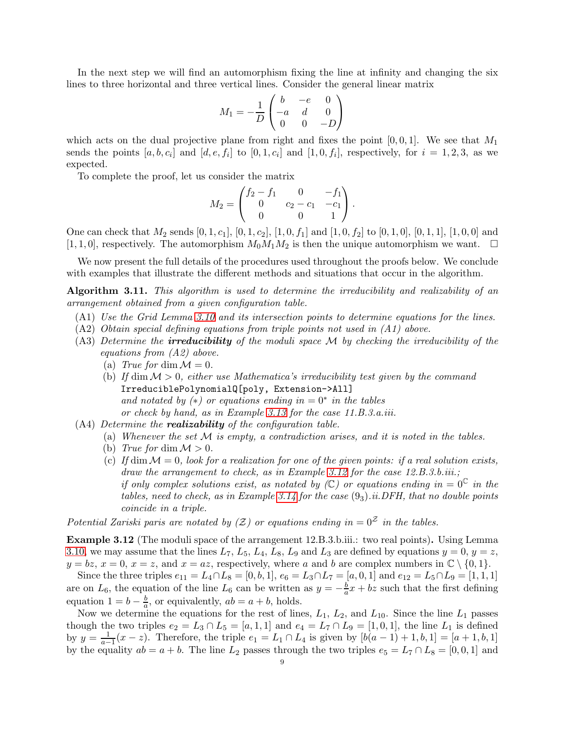In the next step we will find an automorphism fixing the line at infinity and changing the six lines to three horizontal and three vertical lines. Consider the general linear matrix

$$
M_1 = -\frac{1}{D} \begin{pmatrix} b & -e & 0 \\ -a & d & 0 \\ 0 & 0 & -D \end{pmatrix}
$$

which acts on the dual projective plane from right and fixes the point  $[0, 0, 1]$ . We see that  $M_1$ sends the points  $[a, b, c_i]$  and  $[d, e, f_i]$  to  $[0, 1, c_i]$  and  $[1, 0, f_i]$ , respectively, for  $i = 1, 2, 3$ , as we expected.

To complete the proof, let us consider the matrix

$$
M_2 = \begin{pmatrix} f_2 - f_1 & 0 & -f_1 \\ 0 & c_2 - c_1 & -c_1 \\ 0 & 0 & 1 \end{pmatrix}.
$$

One can check that  $M_2$  sends  $[0, 1, c_1]$ ,  $[0, 1, c_2]$ ,  $[1, 0, f_1]$  and  $[1, 0, f_2]$  to  $[0, 1, 0]$ ,  $[0, 1, 1]$ ,  $[1, 0, 0]$  and [1, 1, 0], respectively. The automorphism  $M_0M_1M_2$  is then the unique automorphism we want.  $\Box$ 

We now present the full details of the procedures used throughout the proofs below. We conclude with examples that illustrate the different methods and situations that occur in the algorithm.

<span id="page-8-0"></span>Algorithm 3.11. This algorithm is used to determine the irreducibility and realizability of an arrangement obtained from a given configuration table.

- (A1) Use the Grid Lemma [3.10](#page-7-1) and its intersection points to determine equations for the lines.
- (A2) Obtain special defining equations from triple points not used in (A1) above.
- (A3) Determine the **irreducibility** of the moduli space M by checking the irreducibility of the equations from (A2) above.
	- (a) True for dim  $\mathcal{M} = 0$ .
	- (b) If dim  $M > 0$ , either use Mathematica's irreducibility test given by the command IrreduciblePolynomialQ[poly, Extension->All] and notated by  $(*)$  or equations ending in  $= 0^*$  in the tables or check by hand, as in Example [3.13](#page-9-0) for the case 11.B.3.a.iii.
- $(A4)$  Determine the **realizability** of the configuration table.
	- (a) Whenever the set  $M$  is empty, a contradiction arises, and it is noted in the tables.
		- (b) True for dim  $\mathcal{M} > 0$ .
		- (c) If dim  $\mathcal{M} = 0$ , look for a realization for one of the given points: if a real solution exists, draw the arrangement to check, as in Example [3.12](#page-8-1) for the case 12.B.3.b.iii.; if only complex solutions exist, as notated by  $(\mathbb{C})$  or equations ending in  $= 0^{\mathbb{C}}$  in the tables, need to check, as in Example [3.14](#page-10-0) for the case  $(9<sub>3</sub>)$ .ii.DFH, that no double points coincide in a triple.

Potential Zariski paris are notated by  $(Z)$  or equations ending in  $= 0^Z$  in the tables.

<span id="page-8-1"></span>Example 3.12 (The moduli space of the arrangement 12.B.3.b.iii.: two real points). Using Lemma [3.10,](#page-7-1) we may assume that the lines  $L_7$ ,  $L_5$ ,  $L_4$ ,  $L_8$ ,  $L_9$  and  $L_3$  are defined by equations  $y = 0$ ,  $y = z$ ,  $y = bz, x = 0, x = z, \text{ and } x = az$ , respectively, where a and b are complex numbers in  $\mathbb{C} \setminus \{0, 1\}.$ 

Since the three triples  $e_{11} = L_4 \cap L_8 = [0, b, 1], e_6 = L_3 \cap L_7 = [a, 0, 1]$  and  $e_{12} = L_5 \cap L_9 = [1, 1, 1]$ are on  $L_6$ , the equation of the line  $L_6$  can be written as  $y = -\frac{b}{a}$  $\frac{b}{a}x + bz$  such that the first defining equation  $1 = b - \frac{b}{a}$  $\frac{b}{a}$ , or equivalently,  $ab = a + b$ , holds.

Now we determine the equations for the rest of lines,  $L_1$ ,  $L_2$ , and  $L_{10}$ . Since the line  $L_1$  passes though the two triples  $e_2 = L_3 \cap L_5 = [a, 1, 1]$  and  $e_4 = L_7 \cap L_9 = [1, 0, 1]$ , the line  $L_1$  is defined by  $y = \frac{1}{a-1}(x-z)$ . Therefore, the triple  $e_1 = L_1 \cap L_4$  is given by  $[b(a-1)+1, b, 1] = [a+1, b, 1]$ by the equality  $ab = a + b$ . The line  $L_2$  passes through the two triples  $e_5 = L_7 \cap L_8 = [0, 0, 1]$  and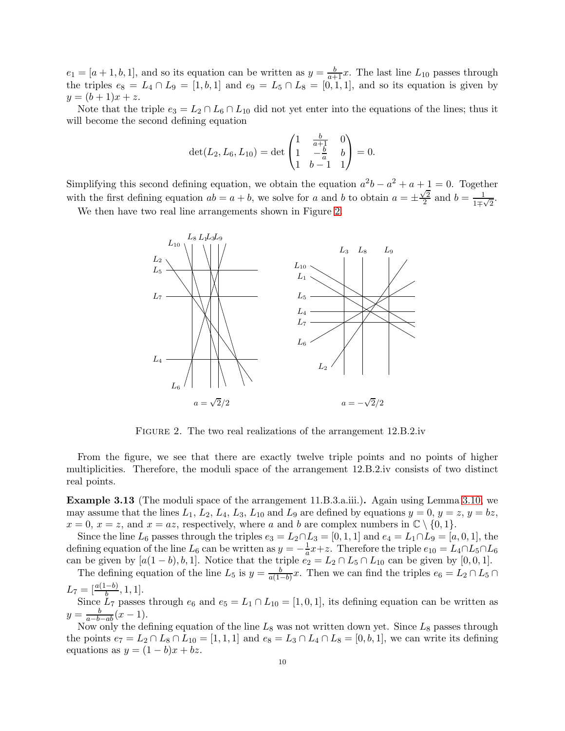$e_1 = [a+1,b,1],$  and so its equation can be written as  $y = \frac{b}{a+1}x$ . The last line  $L_{10}$  passes through the triples  $e_8 = L_4 \cap L_9 = [1, b, 1]$  and  $e_9 = L_5 \cap L_8 = [0, 1, 1]$ , and so its equation is given by  $y = (b+1)x + z.$ 

Note that the triple  $e_3 = L_2 \cap L_6 \cap L_{10}$  did not yet enter into the equations of the lines; thus it will become the second defining equation

$$
\det(L_2, L_6, L_{10}) = \det \begin{pmatrix} 1 & \frac{b}{a+1} & 0 \\ 1 & -\frac{b}{a} & b \\ 1 & b-1 & 1 \end{pmatrix} = 0.
$$

Simplifying this second defining equation, we obtain the equation  $a^2b - a^2 + a + 1 = 0$ . Together with the first defining equation  $ab = a + b$ , we solve for a and b to obtain  $a = \pm \frac{\sqrt{2}}{2}$  $\frac{\sqrt{2}}{2}$  and  $b = \frac{1}{1}$  $\frac{1}{1\mp\sqrt{2}}$ .

We then have two real line arrangements shown in Figure [2.](#page-9-1)



<span id="page-9-1"></span>FIGURE 2. The two real realizations of the arrangement 12.B.2.iv

From the figure, we see that there are exactly twelve triple points and no points of higher multiplicities. Therefore, the moduli space of the arrangement 12.B.2.iv consists of two distinct real points.

<span id="page-9-0"></span>Example 3.13 (The moduli space of the arrangement 11.B.3.a.iii.). Again using Lemma [3.10,](#page-7-1) we may assume that the lines  $L_1$ ,  $L_2$ ,  $L_4$ ,  $L_3$ ,  $L_{10}$  and  $L_9$  are defined by equations  $y = 0$ ,  $y = z$ ,  $y = bz$ ,  $x = 0, x = z$ , and  $x = az$ , respectively, where a and b are complex numbers in  $\mathbb{C} \setminus \{0, 1\}.$ 

Since the line  $L_6$  passes through the triples  $e_3 = L_2 \cap L_3 = [0, 1, 1]$  and  $e_4 = L_1 \cap L_9 = [a, 0, 1]$ , the defining equation of the line  $L_6$  can be written as  $y = -\frac{1}{a}x+z$ . Therefore the triple  $e_{10} = L_4 \cap L_5 \cap L_6$ can be given by  $[a(1-b), b, 1]$ . Notice that the triple  $e_2 = L_2 \cap L_5 \cap L_{10}$  can be given by  $[0, 0, 1]$ .

The defining equation of the line  $L_5$  is  $y = \frac{b}{a(1-b)}$  $\frac{b}{a(1-b)}x$ . Then we can find the triples  $e_6 = L_2 \cap L_5 \cap$  $L_7 = \left[\frac{a(1-b)}{b}, 1, 1\right].$ 

Since  $L_7$  passes through  $e_6$  and  $e_5 = L_1 \cap L_{10} = [1, 0, 1]$ , its defining equation can be written as  $y = \frac{b}{a-b-ab}(x-1).$ 

Now only the defining equation of the line  $L_8$  was not written down yet. Since  $L_8$  passes through the points  $e_7 = L_2 \cap L_8 \cap L_{10} = [1, 1, 1]$  and  $e_8 = L_3 \cap L_4 \cap L_8 = [0, b, 1]$ , we can write its defining equations as  $y = (1 - b)x + bz$ .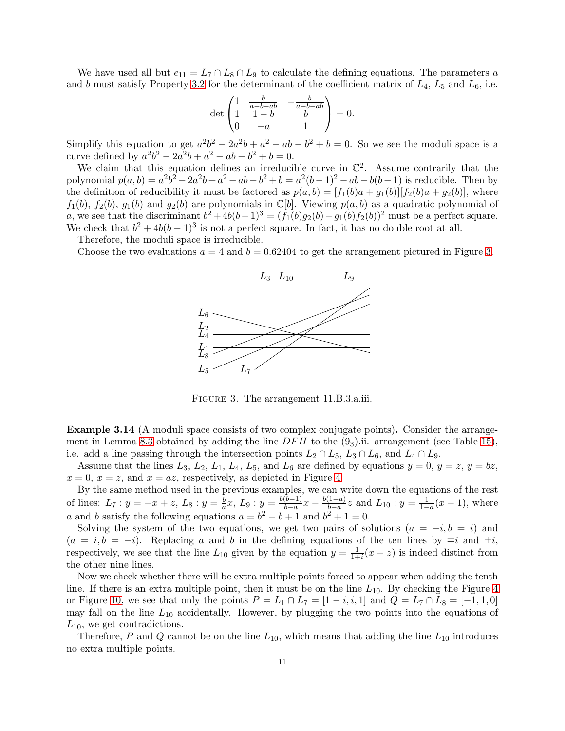We have used all but  $e_{11} = L_7 \cap L_8 \cap L_9$  to calculate the defining equations. The parameters a and b must satisfy Property [3.2](#page-6-0) for the determinant of the coefficient matrix of  $L_4$ ,  $L_5$  and  $L_6$ , i.e.

$$
\det \begin{pmatrix} 1 & \frac{b}{a-b-ab} & -\frac{b}{a-b-ab} \\ 1 & 1-b & b \\ 0 & -a & 1 \end{pmatrix} = 0.
$$

Simplify this equation to get  $a^2b^2 - 2a^2b + a^2 - ab - b^2 + b = 0$ . So we see the moduli space is a curve defined by  $a^2b^2 - 2a^2b + a^2 - ab - b^2 + b = 0$ .

We claim that this equation defines an irreducible curve in  $\mathbb{C}^2$ . Assume contrarily that the polynomial  $p(a, b) = a^2b^2 - 2a^2b + a^2 - ab - b^2 + b = a^2(b-1)^2 - ab - b(b-1)$  is reducible. Then by the definition of reducibility it must be factored as  $p(a, b) = [f_1(b)a + g_1(b)][f_2(b)a + g_2(b)]$ , where  $f_1(b)$ ,  $f_2(b)$ ,  $g_1(b)$  and  $g_2(b)$  are polynomials in  $\mathbb{C}[b]$ . Viewing  $p(a, b)$  as a quadratic polynomial of a, we see that the discriminant  $b^2 + 4b(b-1)^3 = (f_1(b)g_2(b) - g_1(b)f_2(b))^2$  must be a perfect square. We check that  $b^2 + 4b(b-1)^3$  is not a perfect square. In fact, it has no double root at all.

Therefore, the moduli space is irreducible.

Choose the two evaluations  $a = 4$  and  $b = 0.62404$  to get the arrangement pictured in Figure [3.](#page-10-1)



<span id="page-10-1"></span>Figure 3. The arrangement 11.B.3.a.iii.

<span id="page-10-0"></span>Example 3.14 (A moduli space consists of two complex conjugate points). Consider the arrange-ment in Lemma [8.3](#page-26-0) obtained by adding the line  $DFH$  to the  $(9<sub>3</sub>)$ .ii. arrangement (see Table [15\)](#page-27-0), i.e. add a line passing through the intersection points  $L_2 \cap L_5$ ,  $L_3 \cap L_6$ , and  $L_4 \cap L_9$ .

Assume that the lines  $L_3$ ,  $L_2$ ,  $L_1$ ,  $L_4$ ,  $L_5$ , and  $L_6$  are defined by equations  $y = 0$ ,  $y = z$ ,  $y = bz$ ,  $x = 0$ ,  $x = z$ , and  $x = az$ , respectively, as depicted in Figure [4.](#page-11-1)

By the same method used in the previous examples, we can write down the equations of the rest of lines:  $L_7: y = -x + z, L_8: y = \frac{b}{a}$  $\frac{b}{a}x, L_9: y = \frac{b(b-1)}{b-a}$  $\frac{(b-1)}{b-a}x - \frac{b(1-a)}{b-a}$  $\frac{1-a}{b-a}z$  and  $L_{10}: y = \frac{1}{1-a}(x-1)$ , where a and b satisfy the following equations  $a = b^2 - b + 1$  and  $b^2 + 1 = 0$ .

Solving the system of the two equations, we get two pairs of solutions  $(a = -i, b = i)$  and  $(a = i, b = -i)$ . Replacing a and b in the defining equations of the ten lines by  $\mp i$  and  $\pm i$ , respectively, we see that the line  $L_{10}$  given by the equation  $y = \frac{1}{1+i}(x - z)$  is indeed distinct from the other nine lines.

Now we check whether there will be extra multiple points forced to appear when adding the tenth line. If there is an extra multiple point, then it must be on the line  $L_{10}$ . By checking the Figure [4](#page-11-1) or Figure [10,](#page-26-1) we see that only the points  $P = L_1 \cap L_7 = [1 - i, i, 1]$  and  $Q = L_7 \cap L_8 = [-1, 1, 0]$ may fall on the line  $L_{10}$  accidentally. However, by plugging the two points into the equations of  $L_{10}$ , we get contradictions.

Therefore, P and Q cannot be on the line  $L_{10}$ , which means that adding the line  $L_{10}$  introduces no extra multiple points.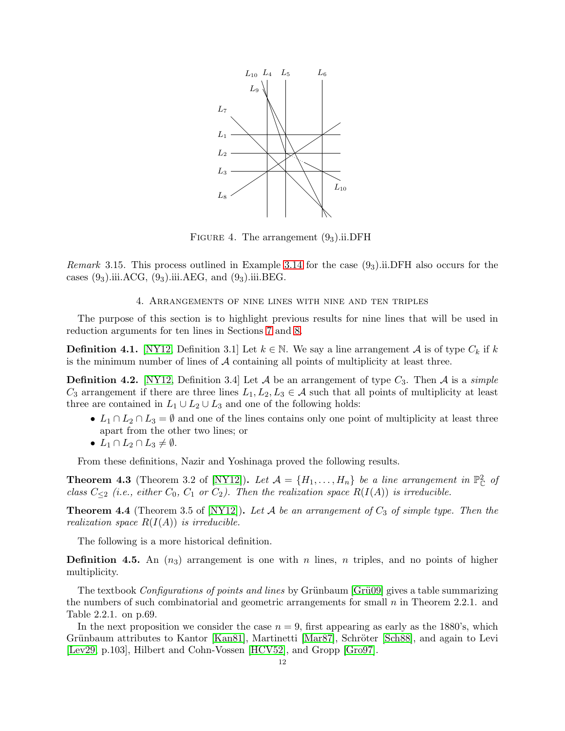

<span id="page-11-1"></span>FIGURE 4. The arrangement  $(9<sub>3</sub>)$ .ii.DFH

<span id="page-11-0"></span>*Remark* 3.15. This process outlined in Example [3.14](#page-10-0) for the case  $(9<sub>3</sub>)$ .ii.DFH also occurs for the cases  $(9_3)$ .iii.ACG,  $(9_3)$ .iii.AEG, and  $(9_3)$ .iii.BEG.

# 4. Arrangements of nine lines with nine and ten triples

The purpose of this section is to highlight previous results for nine lines that will be used in reduction arguments for ten lines in Sections [7](#page-19-1) and [8.](#page-23-0)

**Definition 4.1.** [\[NY12,](#page-45-3) Definition 3.1] Let  $k \in \mathbb{N}$ . We say a line arrangement A is of type  $C_k$  if k is the minimum number of lines of  $A$  containing all points of multiplicity at least three.

**Definition 4.2.** [\[NY12,](#page-45-3) Definition 3.4] Let A be an arrangement of type  $C_3$ . Then A is a simple  $C_3$  arrangement if there are three lines  $L_1, L_2, L_3 \in \mathcal{A}$  such that all points of multiplicity at least three are contained in  $L_1 \cup L_2 \cup L_3$  and one of the following holds:

- $L_1 \cap L_2 \cap L_3 = \emptyset$  and one of the lines contains only one point of multiplicity at least three apart from the other two lines; or
- $L_1 \cap L_2 \cap L_3 \neq \emptyset$ .

From these definitions, Nazir and Yoshinaga proved the following results.

**Theorem 4.3** (Theorem 3.2 of [\[NY12\]](#page-45-3)). Let  $\mathcal{A} = \{H_1, \ldots, H_n\}$  be a line arrangement in  $\mathbb{P}_{\mathbb{C}}^2$  of class  $C_{\leq2}$  (i.e., either  $C_0$ ,  $C_1$  or  $C_2$ ). Then the realization space  $R(I(A))$  is irreducible.

**Theorem 4.4** (Theorem 3.5 of [\[NY12\]](#page-45-3)). Let A be an arrangement of  $C_3$  of simple type. Then the realization space  $R(I(A))$  is irreducible.

The following is a more historical definition.

**Definition 4.5.** An  $(n_3)$  arrangement is one with n lines, n triples, and no points of higher multiplicity.

The textbook *Configurations of points and lines* by Grünbaum [Grü09] gives a table summarizing the numbers of such combinatorial and geometric arrangements for small  $n$  in Theorem 2.2.1. and Table 2.2.1. on p.69.

In the next proposition we consider the case  $n = 9$ , first appearing as early as the 1880's, which Grünbaum attributes to Kantor [\[Kan81\]](#page-45-6), Martinetti [\[Mar87\]](#page-45-7), Schröter [\[Sch88\]](#page-46-4), and again to Levi [\[Lev29,](#page-45-8) p.103], Hilbert and Cohn-Vossen [\[HCV52\]](#page-43-5), and Gropp [\[Gro97\]](#page-43-6).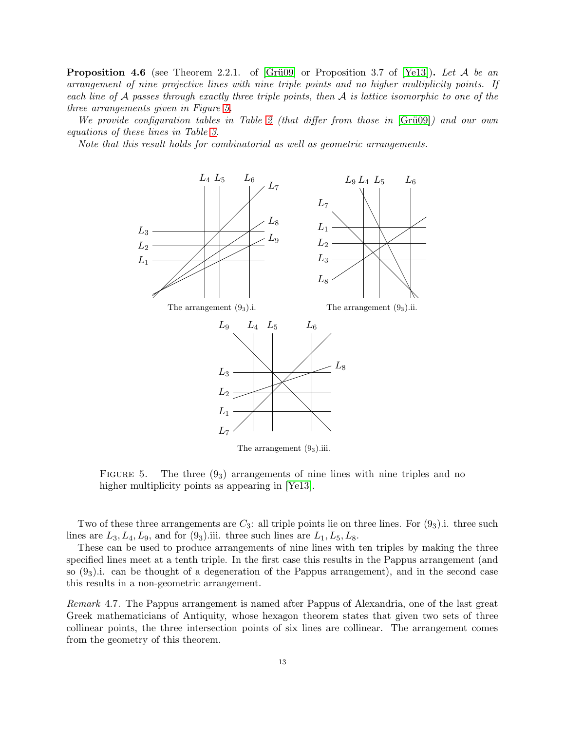<span id="page-12-1"></span>**Proposition 4.6** (see Theorem 2.2.1. of [Grü09] or Proposition 3.7 of [\[Ye13\]](#page-46-3)). Let A be an arrangement of nine projective lines with nine triple points and no higher multiplicity points. If each line of  $A$  passes through exactly three triple points, then  $A$  is lattice isomorphic to one of the three arrangements given in Figure [5.](#page-12-0)

We provide configuration tables in Table [2](#page-13-0) (that differ from those in  $[Gr\ddot{u}09]$ ) and our own equations of these lines in Table [3.](#page-13-1)

Note that this result holds for combinatorial as well as geometric arrangements.



The arrangement  $(9<sub>3</sub>)$ .iii.

<span id="page-12-0"></span>FIGURE 5. The three  $(9<sub>3</sub>)$  arrangements of nine lines with nine triples and no higher multiplicity points as appearing in [\[Ye13\]](#page-46-3).

Two of these three arrangements are  $C_3$ : all triple points lie on three lines. For  $(9_3)$ .i. three such lines are  $L_3, L_4, L_9$ , and for  $(9_3)$  iii. three such lines are  $L_1, L_5, L_8$ .

These can be used to produce arrangements of nine lines with ten triples by making the three specified lines meet at a tenth triple. In the first case this results in the Pappus arrangement (and so  $(9<sub>3</sub>)$ .i. can be thought of a degeneration of the Pappus arrangement), and in the second case this results in a non-geometric arrangement.

Remark 4.7. The Pappus arrangement is named after Pappus of Alexandria, one of the last great Greek mathematicians of Antiquity, whose hexagon theorem states that given two sets of three collinear points, the three intersection points of six lines are collinear. The arrangement comes from the geometry of this theorem.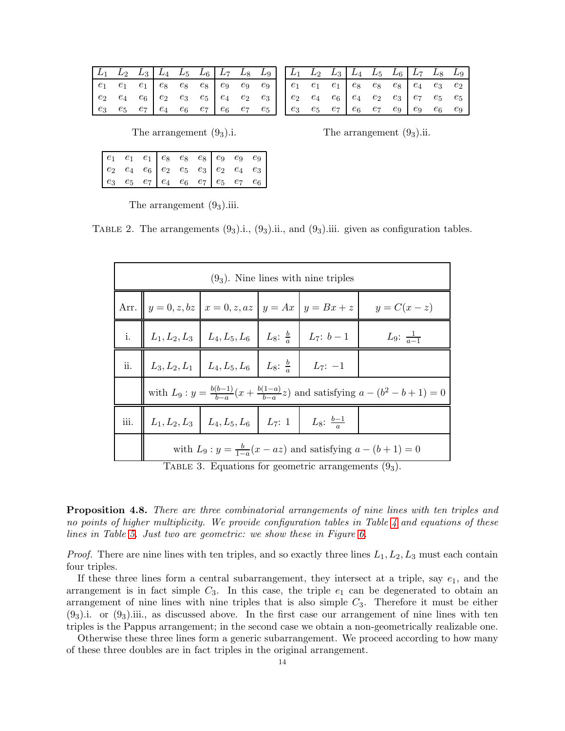| $\begin{bmatrix} L_1 & L_2 & L_3 & L_4 & L_5 & L_6 & L_7 & L_8 & L_9 \end{bmatrix}$                                                                                                                                             |  |  |  |  |
|---------------------------------------------------------------------------------------------------------------------------------------------------------------------------------------------------------------------------------|--|--|--|--|
| $\begin{array}{ c cccc } \hline e_1 & e_1 & e_1 & e_8 & e_8 & e_8 & e_9 & e_9 & e_9 \\ \hline e_2 & e_4 & e_6 & e_2 & e_3 & e_5 & e_4 & e_2 & e_3 \\ e_3 & e_5 & e_7 & e_4 & e_6 & e_7 & e_6 & e_7 & e_5 \\ \hline \end{array}$ |  |  |  |  |
|                                                                                                                                                                                                                                 |  |  |  |  |
|                                                                                                                                                                                                                                 |  |  |  |  |

| $L_1$ $L_2$ $L_3$ $L_4$ $L_5$ $L_6$ $L_7$ $L_8$ $L_9$                                                                                                                                                  |  |  |  |  |
|--------------------------------------------------------------------------------------------------------------------------------------------------------------------------------------------------------|--|--|--|--|
| $\begin{array}{cccc cccc} e_1 & e_1 & e_1 & e_8 & e_8 & e_8 & e_4 & e_3 & e_2 \ e_2 & e_4 & e_6 & e_4 & e_2 & e_3 & e_7 & e_5 & e_5 \ e_3 & e_5 & e_7 & e_6 & e_7 & e_9 & e_9 & e_6 & e_9 \end{array}$ |  |  |  |  |
|                                                                                                                                                                                                        |  |  |  |  |
|                                                                                                                                                                                                        |  |  |  |  |

The arrangement  $(9_3)$ .i. The arrangement  $(9_3)$ .ii.

| $\begin{array}{ c cccc } e_2 & e_4 & e_6 & e_2 & e_5 & e_3 & e_2 & e_4 & e_3 \ e_3 & e_5 & e_7 & e_4 & e_6 & e_7 & e_5 & e_7 & e_6 \ \end{array}$ |  |  |  |  |
|---------------------------------------------------------------------------------------------------------------------------------------------------|--|--|--|--|

<span id="page-13-0"></span>The arrangement  $(9<sub>3</sub>)$ .iii.

TABLE 2. The arrangements  $(9_3)$ .i.,  $(9_3)$ .ii., and  $(9_3)$ .iii. given as configuration tables.

| $(93)$ . Nine lines with nine triples |                                                                           |  |                                                                                          |                                                                                                    |  |  |  |  |  |  |  |
|---------------------------------------|---------------------------------------------------------------------------|--|------------------------------------------------------------------------------------------|----------------------------------------------------------------------------------------------------|--|--|--|--|--|--|--|
|                                       |                                                                           |  |                                                                                          | Arr. $y = 0, z, bz \mid x = 0, z, az \mid y = Ax \mid y = Bx + z \mid y = C(x - z)$                |  |  |  |  |  |  |  |
|                                       |                                                                           |  | i. $\left  L_1, L_2, L_3 \right  L_4, L_5, L_6 \left  L_8; \frac{b}{a} \right  L_7; b-1$ | <i>L</i> <sub>9</sub> : $\frac{1}{a-1}$                                                            |  |  |  |  |  |  |  |
|                                       | ii. $L_3, L_2, L_1 \mid L_4, L_5, L_6 \mid L_8: \frac{b}{a} \mid L_7: -1$ |  |                                                                                          |                                                                                                    |  |  |  |  |  |  |  |
|                                       |                                                                           |  |                                                                                          | with $L_9: y = \frac{b(b-1)}{b-a}(x + \frac{b(1-a)}{b-a}z)$ and satisfying $a - (b^2 - b + 1) = 0$ |  |  |  |  |  |  |  |
|                                       | iii. $L_1, L_2, L_3$ $L_4, L_5, L_6$ $L_7$ : 1 $L_8$ : $\frac{b-1}{a}$    |  |                                                                                          |                                                                                                    |  |  |  |  |  |  |  |
|                                       |                                                                           |  |                                                                                          | with $L_9: y = \frac{b}{1-a}(x - az)$ and satisfying $a - (b+1) = 0$                               |  |  |  |  |  |  |  |

<span id="page-13-1"></span>TABLE 3. Equations for geometric arrangements  $(9<sub>3</sub>)$ .

<span id="page-13-2"></span>**Proposition 4.8.** There are three combinatorial arrangements of nine lines with ten triples and no points of higher multiplicity. We provide configuration tables in Table [4](#page-14-0) and equations of these lines in Table [5.](#page-15-2) Just two are geometric: we show these in Figure [6.](#page-14-1)

*Proof.* There are nine lines with ten triples, and so exactly three lines  $L_1, L_2, L_3$  must each contain four triples.

If these three lines form a central subarrangement, they intersect at a triple, say  $e_1$ , and the arrangement is in fact simple  $C_3$ . In this case, the triple  $e_1$  can be degenerated to obtain an arrangement of nine lines with nine triples that is also simple  $C_3$ . Therefore it must be either  $(9<sub>3</sub>)$ .i. or  $(9<sub>3</sub>)$ .iii., as discussed above. In the first case our arrangement of nine lines with ten triples is the Pappus arrangement; in the second case we obtain a non-geometrically realizable one.

Otherwise these three lines form a generic subarrangement. We proceed according to how many of these three doubles are in fact triples in the original arrangement.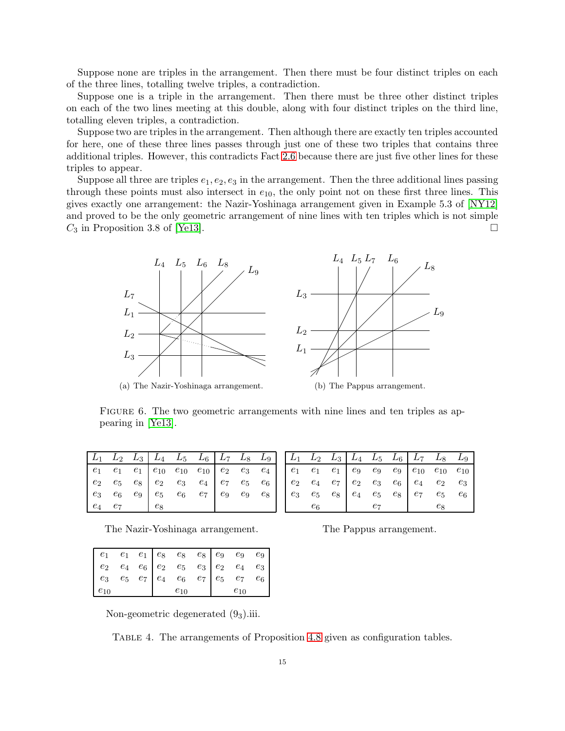Suppose none are triples in the arrangement. Then there must be four distinct triples on each of the three lines, totalling twelve triples, a contradiction.

Suppose one is a triple in the arrangement. Then there must be three other distinct triples on each of the two lines meeting at this double, along with four distinct triples on the third line, totalling eleven triples, a contradiction.

Suppose two are triples in the arrangement. Then although there are exactly ten triples accounted for here, one of these three lines passes through just one of these two triples that contains three additional triples. However, this contradicts Fact 2.6 because there are just five other lines for these triples to appear.

Suppose all three are triples  $e_1, e_2, e_3$  in the arrangement. Then the three additional lines passing through these points must also intersect in  $e_{10}$ , the only point not on these first three lines. This gives exactly one arrangement: the Nazir-Yoshinaga arrangement given in Example 5.3 of [NY12] and proved to be the only geometric arrangement of nine lines with ten triples which is not simple  $C_3$  in Proposition 3.8 of [Ye13].  $\Box$ 



<span id="page-14-1"></span>FIGURE 6. The two geometric arrangements with nine lines and ten triples as appearing in [Ye13].

|  |  | $\begin{array}{ c c c c c c c c } \hline L_1 & L_2 & L_3 & L_4 & L_5 & L_6 & L_7 & L_8 & L_9 \ \hline \end{array}$                                                                                                                                            |  |  |
|--|--|---------------------------------------------------------------------------------------------------------------------------------------------------------------------------------------------------------------------------------------------------------------|--|--|
|  |  | $\begin{array}{ c cccc } \hline e_1 & e_1 & e_1 & e_{10} & e_{10} & e_{10} & e_2 & e_3 & e_4 \\ e_2 & e_5 & e_8 & e_2 & e_3 & e_4 & e_7 & e_5 & e_6 \\ e_3 & e_6 & e_9 & e_5 & e_6 & e_7 & e_9 & e_9 & e_8 \\ e_4 & e_7 & e_8 & & & & & & \hline \end{array}$ |  |  |
|  |  |                                                                                                                                                                                                                                                               |  |  |
|  |  |                                                                                                                                                                                                                                                               |  |  |
|  |  |                                                                                                                                                                                                                                                               |  |  |

 $L_6$  $L_{8}$  $L_9$  $L_2$  $L_{3}$  $\mathit{L}_4$  $L_5$  $L_{7}$  $e_1$  $\boldsymbol{e}_1$  $e_1$  $\mathfrak{e}_9$  $\mathfrak{e}_9$  $\mathfrak{e}_9$  $e_{10}$  $e_{\rm 10}$  $e_{\rm 10}$  $\mathfrak{e}_2$  $e_4$  $e_7$  $\mathfrak{e}_2$  $\mathfrak{e}_3$  $\boldsymbol{e}_6$  $e_4$  $\mathfrak{e}_2$  $\mathfrak{e}_3$  $e_3$  $e_5$  $e_8$  $e_4$  $e_5$  $e_8$  $e_7$  $e_5$  $e_6$  $e_6$  $e_7$  $e_8$ 

The Nazir-Yoshinaga arrangement.

|  | The Pappus arrangement |  |  |
|--|------------------------|--|--|
|--|------------------------|--|--|

| $e_{10}$ |  | $\begin{array}{cccc cccc} e_1 & e_1 & e_1 & e_8 & e_8 & e_8 & e_9 & e_9 & e_9 \ e_2 & e_4 & e_6 & e_2 & e_5 & e_3 & e_2 & e_4 & e_3 \ e_3 & e_5 & e_7 & e_4 & e_6 & e_7 & e_5 & e_7 & e_6 \ e_{10} & e_{10} & e_{10} & e_{10} & e_{10} \end{array}$ |  |  |
|----------|--|-----------------------------------------------------------------------------------------------------------------------------------------------------------------------------------------------------------------------------------------------------|--|--|

Non-geometric degenerated  $(9<sub>3</sub>)$ .iii.

<span id="page-14-0"></span>TABLE 4. The arrangements of Proposition 4.8 given as configuration tables.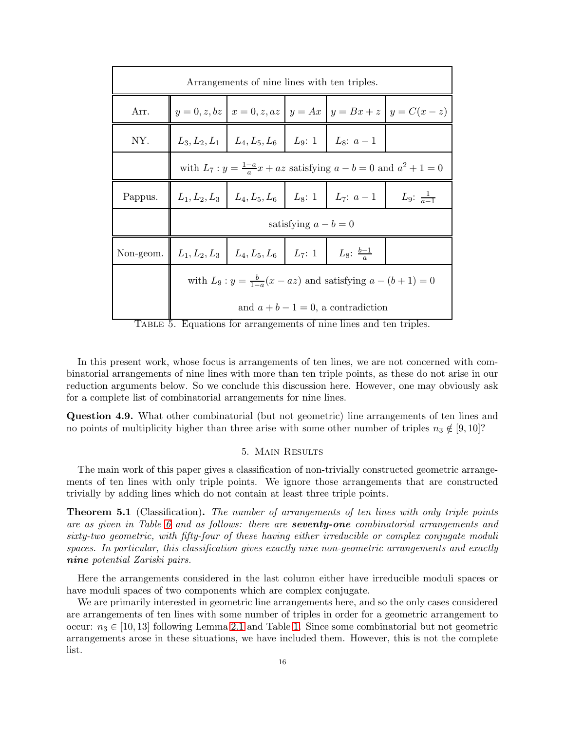|           |                                                                      | Arrangements of nine lines with ten triples.                                 |                        |                                                                   |                                                                                |  |  |  |  |  |  |
|-----------|----------------------------------------------------------------------|------------------------------------------------------------------------------|------------------------|-------------------------------------------------------------------|--------------------------------------------------------------------------------|--|--|--|--|--|--|
| Arr.      |                                                                      |                                                                              |                        |                                                                   | $y = 0, z, bz \mid x = 0, z, az \mid y = Ax \mid y = Bx + z \mid y = C(x - z)$ |  |  |  |  |  |  |
| NY.       |                                                                      | $L_3, L_2, L_1 \mid L_4, L_5, L_6 \mid L_9: 1 \mid L_8: a-1$                 |                        |                                                                   |                                                                                |  |  |  |  |  |  |
|           |                                                                      | with $L_7: y = \frac{1-a}{a}x + az$ satisfying $a - b = 0$ and $a^2 + 1 = 0$ |                        |                                                                   |                                                                                |  |  |  |  |  |  |
| Pappus.   |                                                                      |                                                                              |                        | $L_1, L_2, L_3 \mid L_4, L_5, L_6 \mid L_8: 1 \mid L_7: a-1 \mid$ | L <sub>9</sub> : $\frac{1}{a-1}$                                               |  |  |  |  |  |  |
|           |                                                                      |                                                                              | satisfying $a - b = 0$ |                                                                   |                                                                                |  |  |  |  |  |  |
| Non-geom. |                                                                      | $L_1, L_2, L_3$ $L_4, L_5, L_6$ $L_7$ : 1 $L_8$ : $\frac{b-1}{a}$            |                        |                                                                   |                                                                                |  |  |  |  |  |  |
|           | with $L_9: y = \frac{b}{1-a}(x - az)$ and satisfying $a - (b+1) = 0$ |                                                                              |                        |                                                                   |                                                                                |  |  |  |  |  |  |
|           |                                                                      |                                                                              |                        | and $a + b - 1 = 0$ , a contradiction                             |                                                                                |  |  |  |  |  |  |

<span id="page-15-2"></span>Table 5. Equations for arrangements of nine lines and ten triples.

In this present work, whose focus is arrangements of ten lines, we are not concerned with combinatorial arrangements of nine lines with more than ten triple points, as these do not arise in our reduction arguments below. So we conclude this discussion here. However, one may obviously ask for a complete list of combinatorial arrangements for nine lines.

<span id="page-15-0"></span>Question 4.9. What other combinatorial (but not geometric) line arrangements of ten lines and no points of multiplicity higher than three arise with some other number of triples  $n_3 \notin [9, 10]$ ?

# 5. Main Results

The main work of this paper gives a classification of non-trivially constructed geometric arrangements of ten lines with only triple points. We ignore those arrangements that are constructed trivially by adding lines which do not contain at least three triple points.

<span id="page-15-1"></span>Theorem 5.1 (Classification). The number of arrangements of ten lines with only triple points are as given in Table [6](#page-16-1) and as follows: there are **seventy-one** combinatorial arrangements and sixty-two geometric, with fifty-four of these having either irreducible or complex conjugate moduli spaces. In particular, this classification gives exactly nine non-geometric arrangements and exactly nine potential Zariski pairs.

Here the arrangements considered in the last column either have irreducible moduli spaces or have moduli spaces of two components which are complex conjugate.

We are primarily interested in geometric line arrangements here, and so the only cases considered are arrangements of ten lines with some number of triples in order for a geometric arrangement to occur:  $n_3 \in [10, 13]$  following Lemma [2.1](#page-3-3) and Table [1.](#page-4-0) Since some combinatorial but not geometric arrangements arose in these situations, we have included them. However, this is not the complete list.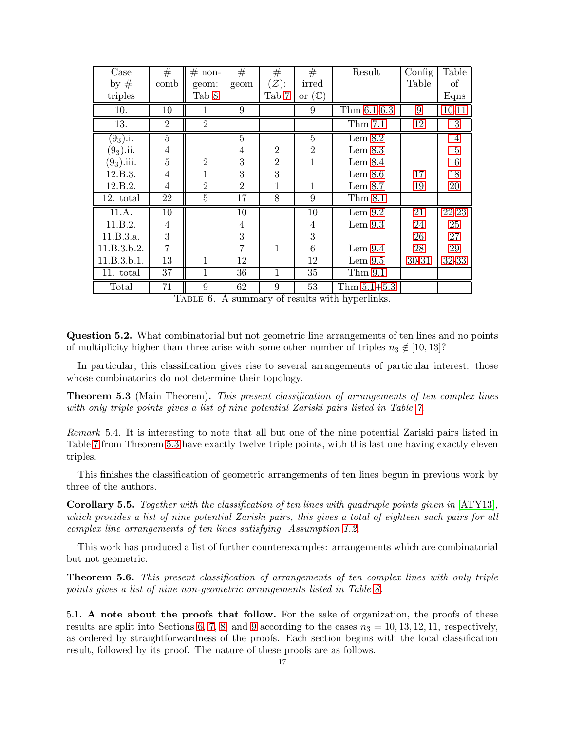| Case         | #              | $#$ non-       | #              | #                 | #                 | Result                           | Config | Table           |
|--------------|----------------|----------------|----------------|-------------------|-------------------|----------------------------------|--------|-----------------|
| by $#$       | comb           | geom:          | geom           | $(\mathcal{Z})$ : | irred             |                                  | Table  | οf              |
| triples      |                | Tab 8          |                | Tab 7             | or $(\mathbb{C})$ |                                  |        | Eqns            |
| 10.          | 10             | 1              | 9              |                   | 9                 | $\overline{\text{Thm }6.1}$ -6.3 | 9      | $10 - 11$       |
| 13.          | $\overline{2}$ | $\overline{2}$ |                |                   |                   | Thm 7.1                          | 12     | $\overline{13}$ |
| $(9_3).i.$   | $\overline{5}$ |                | $\overline{5}$ |                   | $\overline{5}$    | Lem $8.2$                        |        | 14              |
| $(9_3)$ .ii. | 4              |                | $\overline{4}$ | $\overline{2}$    | $\overline{2}$    | Lem $8.3$                        |        | 15              |
| $(93)$ .iii. | 5              | $\overline{2}$ | 3              | $\overline{2}$    | $\mathbf{1}$      | Lem 8.4                          |        | 16              |
| 12.B.3.      | 4              | $\mathbf{1}$   | 3              | 3                 |                   | Lem 8.6                          | 17     | 18              |
| 12.B.2.      | 4              | $\overline{2}$ | $\overline{2}$ | 1                 | $\mathbf{1}$      | Lem 8.7                          | 19     | 20              |
| 12. total    | 22             | $\overline{5}$ | 17             | 8                 | 9                 | Thm 8.1                          |        |                 |
| 11.A.        | 10             |                | 10             |                   | 10                | Lem $9.2$                        | 21     | 22-23           |
| 11.B.2.      | 4              |                | $\overline{4}$ |                   | 4                 | Lem 9.3                          | 24     | 25              |
| 11.B.3.a.    | 3              |                | 3              |                   | 3                 |                                  | 26     | 27              |
| 11.B.3.b.2.  | 7              |                | 7              | 1                 | 6                 | Lem 9.4                          | 28     | 29              |
| 11.B.3.b.1.  | 13             | $\mathbf{1}$   | 12             |                   | 12                | Lem $9.5$                        | 30-31  | 32-33           |
| 11. total    | 37             | $\overline{1}$ | 36             | $\mathbf{1}$      | 35                | Thm 9.1                          |        |                 |
| Total        | 71             | 9              | 62             | 9                 | 53                | Thm $5.1 + 5.3$                  |        |                 |

<span id="page-16-1"></span>Table 6. A summary of results with hyperlinks.

Question 5.2. What combinatorial but not geometric line arrangements of ten lines and no points of multiplicity higher than three arise with some other number of triples  $n_3 \notin [10, 13]$ ?

In particular, this classification gives rise to several arrangements of particular interest: those whose combinatorics do not determine their topology.

<span id="page-16-2"></span>**Theorem 5.3** (Main Theorem). This present classification of arrangements of ten complex lines with only triple points gives a list of nine potential Zariski pairs listed in Table [7.](#page-17-0)

Remark 5.4. It is interesting to note that all but one of the nine potential Zariski pairs listed in Table [7](#page-17-0) from Theorem [5.3](#page-16-2) have exactly twelve triple points, with this last one having exactly eleven triples.

This finishes the classification of geometric arrangements of ten lines begun in previous work by three of the authors.

Corollary 5.5. Together with the classification of ten lines with quadruple points given in [\[ATY13\]](#page-42-3), which provides a list of nine potential Zariski pairs, this gives a total of eighteen such pairs for all complex line arrangements of ten lines satisfying Assumption [1.2.](#page-2-1)

This work has produced a list of further counterexamples: arrangements which are combinatorial but not geometric.

<span id="page-16-3"></span>Theorem 5.6. This present classification of arrangements of ten complex lines with only triple points gives a list of nine non-geometric arrangements listed in Table [8.](#page-18-0)

<span id="page-16-0"></span>5.1. A note about the proofs that follow. For the sake of organization, the proofs of these results are split into Sections [6,](#page-19-0) [7,](#page-19-1) [8,](#page-23-0) and [9](#page-33-0) according to the cases  $n_3 = 10, 13, 12, 11$ , respectively, as ordered by straightforwardness of the proofs. Each section begins with the local classification result, followed by its proof. The nature of these proofs are as follows.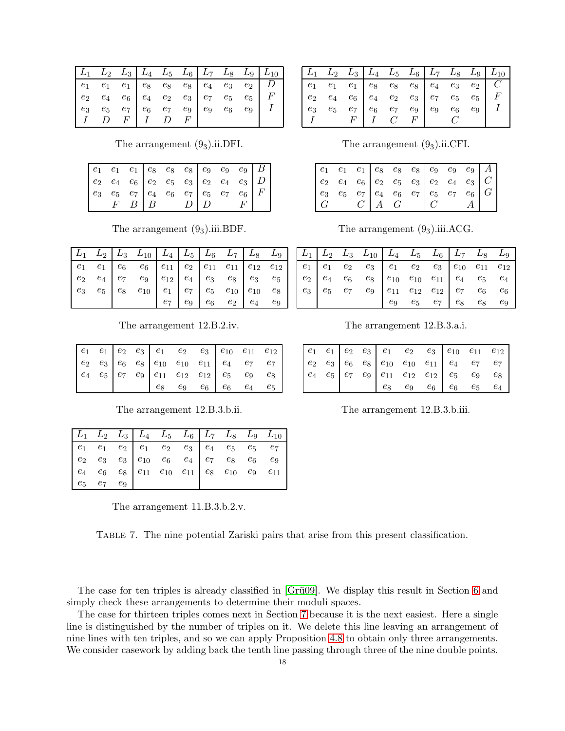| $\begin{vmatrix} L_1 & L_2 & L_3 \end{vmatrix}$ $L_4$ $L_5$ $L_6$ $\begin{vmatrix} L_7 & L_8 & L_9 \end{vmatrix}$ $L_{10}$                                                     |  |  |  |       |  |
|--------------------------------------------------------------------------------------------------------------------------------------------------------------------------------|--|--|--|-------|--|
| $\begin{array}{ c cccc } \hline e_1 & e_1 & e_1 & e_8 & e_8 & e_8 & e_4 & e_3 & e_2 & D \ \hline e_2 & e_4 & e_6 & e_4 & e_2 & e_3 & e_7 & e_5 & e_5 & F \ \hline \end{array}$ |  |  |  |       |  |
|                                                                                                                                                                                |  |  |  |       |  |
|                                                                                                                                                                                |  |  |  | $e_9$ |  |
| $\begin{array}{ccccccc} & I & D & F & I & D & F \end{array}$                                                                                                                   |  |  |  |       |  |

The arrangement  $(9_3)$ .ii.DFI.

|  |  |  |  | $\begin{array}{ c c c c c c c c c c } \hline \begin{array}{cccc c c c c c c c c} e_1 & e_1 & e_3 & e_8 & e_8 & e_8 & e_9 & e_9 & e_9 & B \ \hline \ e_2 & e_4 & e_6 & e_7 & e_6 & e_7 & e_6 & e_7 & e_6 & F \ \hline \ & F & B & B & D & D & F & \ \hline \end{array} \end{array}$ |  |
|--|--|--|--|------------------------------------------------------------------------------------------------------------------------------------------------------------------------------------------------------------------------------------------------------------------------------------|--|

The arrangement  $(9_3)$ .iii.BDF.

|  | $L_1$ $L_2$ $L_3$ $L_{10}$ $L_4$ $L_5$ $L_6$ $L_7$ $L_8$ $L_9$                                                                                                                                                                                                                                                    |  |  |  |
|--|-------------------------------------------------------------------------------------------------------------------------------------------------------------------------------------------------------------------------------------------------------------------------------------------------------------------|--|--|--|
|  | $\begin{array}{cccc c cccc} e_1 & e_1 & e_6 & e_6 & e_{11} & e_2 & e_{11} & e_{11} & e_{12} & e_{12} \\ e_2 & e_4 & e_7 & e_9 & e_{12} & e_4 & e_3 & e_8 & e_3 & e_5 \\ e_3 & e_5 & e_8 & e_{10} & e_1 & e_7 & e_5 & e_{10} & e_{10} & e_8 \\ e_7 & e_9 & e_6 & e_2 & e_4 & e_9 & e_7 & e_7 & e_8 \\ \end{array}$ |  |  |  |
|  |                                                                                                                                                                                                                                                                                                                   |  |  |  |
|  |                                                                                                                                                                                                                                                                                                                   |  |  |  |
|  |                                                                                                                                                                                                                                                                                                                   |  |  |  |

The arrangement 12.B.2.iv.

|  |  | $\begin{array}{c cccc} e_1 & e_1 & e_2 & e_3 & e_1 & e_2 & e_3 & e_{10} & e_{11} & e_{12} \\ e_2 & e_3 & e_6 & e_8 & e_{10} & e_{10} & e_{11} & e_4 & e_7 & e_7 \\ e_4 & e_5 & e_7 & e_9 & e_{11} & e_{12} & e_{12} & e_5 & e_9 & e_8 \\ e_8 & e_9 & e_6 & e_6 & e_4 & e_5 & e_9 & e_9 \\ \end{array}$ |  |  |
|--|--|--------------------------------------------------------------------------------------------------------------------------------------------------------------------------------------------------------------------------------------------------------------------------------------------------------|--|--|
|  |  |                                                                                                                                                                                                                                                                                                        |  |  |
|  |  |                                                                                                                                                                                                                                                                                                        |  |  |
|  |  |                                                                                                                                                                                                                                                                                                        |  |  |

The arrangement 12.B.3.b.ii.

|  |  | $\begin{vmatrix} L_1 & L_2 & L_3 \end{vmatrix}$ $L_4$ $L_5$ $L_6$ $\begin{vmatrix} L_7 & L_8 & L_9 & L_{10} \end{vmatrix}$ |  |  |
|--|--|----------------------------------------------------------------------------------------------------------------------------|--|--|
|  |  |                                                                                                                            |  |  |
|  |  |                                                                                                                            |  |  |
|  |  |                                                                                                                            |  |  |
|  |  |                                                                                                                            |  |  |

The arrangement 11.B.3.b.2.v.

<span id="page-17-0"></span>TABLE 7. The nine potential Zariski pairs that arise from this present classification.

|  | The case for ten triples is already classified in [Grü09]. We display this result in Section 6 and |  |  |  |  |  |
|--|----------------------------------------------------------------------------------------------------|--|--|--|--|--|
|  | simply check these arrangements to determine their moduli spaces.                                  |  |  |  |  |  |

The case for thirteen triples comes next in Section 7 because it is the next easiest. Here a single line is distinguished by the number of triples on it. We delete this line leaving an arrangement of nine lines with ten triples, and so we can apply Proposition 4.8 to obtain only three arrangements. We consider casework by adding back the tenth line passing through three of the nine double points.

|  |  |  |  | $\begin{vmatrix} L_1 & L_2 & L_3 \end{vmatrix}$ $L_4$ $L_5$ $L_6$ $\begin{vmatrix} L_7 & L_8 & L_9 \end{vmatrix}$ $L_{10}$ |
|--|--|--|--|----------------------------------------------------------------------------------------------------------------------------|
|  |  |  |  |                                                                                                                            |
|  |  |  |  |                                                                                                                            |
|  |  |  |  |                                                                                                                            |
|  |  |  |  |                                                                                                                            |

The arrangement  $(9_3)$ .ii.CFI.

| $\perp G$ |  | $C \mid A \mid G$ | C |  | $A$ |
|-----------|--|-------------------|---|--|-----|

The arrangement  $(9_3)$ .iii.ACG.

|  | $\begin{array}{ c c c c c c c c } \hline L_1 & L_2 & L_3 & L_{10} & L_4 & \overline{L_5} & L_6 & L_7 & L_8 & L_9 \ \hline \end{array}$ |  |                                     |  |  |
|--|----------------------------------------------------------------------------------------------------------------------------------------|--|-------------------------------------|--|--|
|  | $e_1$ $e_1$ $e_2$ $e_3$ $e_1$ $e_2$ $e_3$ $e_{10}$ $e_{11}$ $e_{12}$                                                                   |  |                                     |  |  |
|  |                                                                                                                                        |  |                                     |  |  |
|  |                                                                                                                                        |  |                                     |  |  |
|  |                                                                                                                                        |  | $e_9$ $e_5$ $e_7$ $e_8$ $e_8$ $e_9$ |  |  |

The arrangement 12.B.3.a.i.

|  |  |  |  | $e_8$ $e_9$ $e_6$ $e_6$ $e_5$ $e_4$ |
|--|--|--|--|-------------------------------------|

The arrangement 12.B.3.b.iii.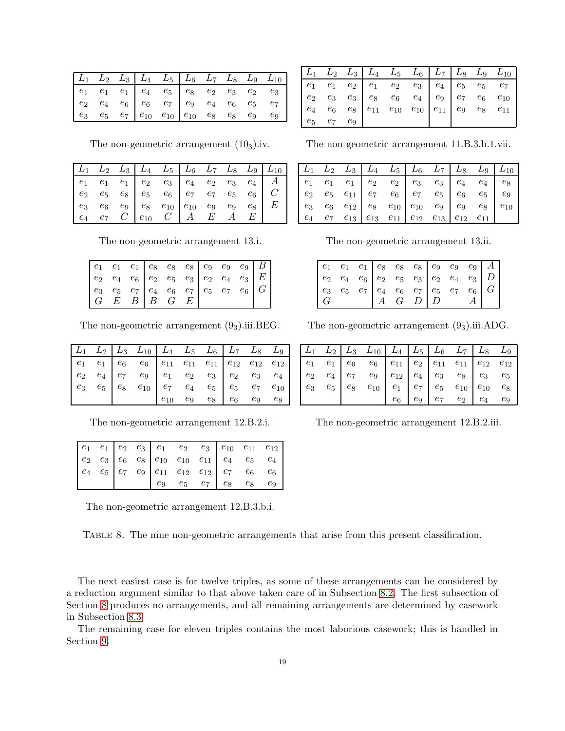|  |  |  |  | $L_1$ $L_2$ $L_3$ $L_4$ $L_5$ $L_6$ $L_7$ $L_8$ $L_9$ $L_{10}$ |
|--|--|--|--|----------------------------------------------------------------|
|  |  |  |  |                                                                |
|  |  |  |  |                                                                |
|  |  |  |  |                                                                |

The non-geometric arrangement  $(10<sub>3</sub>)$ .iv.

|  |  | $\begin{array}{ c c c c c c c c c } \hline L_1 & L_2 & L_3 & L_4 & L_5 & L_6 & L_7 & L_8 & L_9 & L_{10} \ \hline \end{array}$                                                                                                                                                         |  |  |
|--|--|---------------------------------------------------------------------------------------------------------------------------------------------------------------------------------------------------------------------------------------------------------------------------------------|--|--|
|  |  |                                                                                                                                                                                                                                                                                       |  |  |
|  |  |                                                                                                                                                                                                                                                                                       |  |  |
|  |  |                                                                                                                                                                                                                                                                                       |  |  |
|  |  | $\begin{array}{ c cccc } \hline e_1 & e_1 & e_1 & e_2 & e_3 & e_4 & e_2 & e_3 & e_4 & A \cr e_2 & e_5 & e_8 & e_5 & e_6 & e_7 & e_7 & e_5 & e_6 & C \cr e_3 & e_6 & e_9 & e_8 & e_{10} & e_{10} & e_9 & e_9 & e_8 & E \cr e_4 & e_7 & C & e_{10} & C & A & E & A & E \cr \end{array}$ |  |  |

The non-geometric arrangement 13.i.

| $\begin{array}{ c c c c c c c c c c c } \hline \begin{array}{cccc c c c c c c c c} e_1 & e_1 & e_3 & e_8 & e_8 & e_9 & e_9 & e_9 & B \ \hline \begin{array}{cccc c c c c c} e_2 & e_4 & e_5 & e_7 & e_5 & e_7 & e_6 & e_7 & e_6 \ \hline \begin{array}{cccc c c c c} G & E & B & B & G & E & E \ \hline \end{array} & & & & & & & & & & & & & & & & & & & & & & & & & & & & & & & & & & &$ |  |  |  |  |  |
|--------------------------------------------------------------------------------------------------------------------------------------------------------------------------------------------------------------------------------------------------------------------------------------------------------------------------------------------------------------------------------------------|--|--|--|--|--|
|                                                                                                                                                                                                                                                                                                                                                                                            |  |  |  |  |  |
|                                                                                                                                                                                                                                                                                                                                                                                            |  |  |  |  |  |
|                                                                                                                                                                                                                                                                                                                                                                                            |  |  |  |  |  |

The non-geometric arrangement  $(9_3)$ .iii.BEG.

|  | $L_1$ $L_2$ $L_3$ $L_{10}$ $L_4$ $L_5$ $L_6$ $L_7$ $L_8$ $L_9$                                                                                                                                                                                                                          |  |  |  |
|--|-----------------------------------------------------------------------------------------------------------------------------------------------------------------------------------------------------------------------------------------------------------------------------------------|--|--|--|
|  | $\begin{array}{cccc cccc} e_1 & e_1 & e_6 & e_6 & e_{11} & e_{11} & e_{11} & e_{12} & e_{12} & e_{12} \ e_2 & e_4 & e_7 & e_9 & e_1 & e_2 & e_3 & e_2 & e_3 & e_4 \ e_3 & e_5 & e_8 & e_{10} & e_7 & e_4 & e_5 & e_5 & e_7 & e_{10} \ e_{10} & e_9 & e_8 & e_6 & e_9 & e_8 \end{array}$ |  |  |  |
|  |                                                                                                                                                                                                                                                                                         |  |  |  |
|  |                                                                                                                                                                                                                                                                                         |  |  |  |
|  |                                                                                                                                                                                                                                                                                         |  |  |  |

The non-geometric arrangement 12.B.2.i.

The non-geometric arrangement 12.B.3.b.i.

<span id="page-18-0"></span>

|  |  | TABLE 8. The nine non-geometric arrangements that arise from this present classification. |  |  |  |  |  |  |  |
|--|--|-------------------------------------------------------------------------------------------|--|--|--|--|--|--|--|
|--|--|-------------------------------------------------------------------------------------------|--|--|--|--|--|--|--|

The next easiest case is for twelve triples, as some of these arrangements can be considered by a reduction argument similar to that above taken care of in Subsection 8.2. The first subsection of Section 8 produces no arrangements, and all remaining arrangements are determined by casework in Subsection 8.3.

The remaining case for eleven triples contains the most laborious casework; this is handled in Section 9.

|             |       |  |                                                                                                                                                                      |  | $\begin{vmatrix} L_1 & L_2 & L_3 \end{vmatrix}$ $L_4$ $L_5$ $L_6$ $\begin{vmatrix} L_7 & L_8 & L_9 & L_{10} \end{vmatrix}$ |
|-------------|-------|--|----------------------------------------------------------------------------------------------------------------------------------------------------------------------|--|----------------------------------------------------------------------------------------------------------------------------|
|             |       |  | $\begin{array}{ c cccc } \hline e_1 & e_1 & e_2 & e_1 & e_2 & e_3 & e_4 & e_5 & e_5 & e_7\ e_2 & e_3 & e_3 & e_8 & e_6 & e_4 & e_9 & e_7 & e_6 & e_{10} \end{array}$ |  |                                                                                                                            |
|             |       |  |                                                                                                                                                                      |  |                                                                                                                            |
|             |       |  | $e_4$ $e_6$ $e_8$ $e_{11}$ $e_{10}$ $e_{10}$ $e_{11}$ $e_9$ $e_8$ $e_{11}$                                                                                           |  |                                                                                                                            |
| $e_5$ $e_7$ | $e_9$ |  |                                                                                                                                                                      |  |                                                                                                                            |

The non-geometric arrangement 11.B.3.b.1.vii.

|  |  |  | $\begin{array}{ c cccc } \hline e_1 & e_1 & e_1 & e_2 & e_2 & e_3 & e_3 & e_4 & e_4 & e_8 \ e_2 & e_5 & e_{11} & e_7 & e_6 & e_7 & e_5 & e_6 & e_5 & e_9 \ e_3 & e_6 & e_{12} & e_8 & e_{10} & e_{10} & e_9 & e_9 & e_8 & e_{10} \ e_4 & e_7 & e_{13} & e_{13} & e_{11} & e_{12} & e_{13} & e_{12} & e_{11} \ \hline \end{array}$ |  |  |
|--|--|--|-----------------------------------------------------------------------------------------------------------------------------------------------------------------------------------------------------------------------------------------------------------------------------------------------------------------------------------|--|--|
|  |  |  |                                                                                                                                                                                                                                                                                                                                   |  |  |
|  |  |  |                                                                                                                                                                                                                                                                                                                                   |  |  |
|  |  |  |                                                                                                                                                                                                                                                                                                                                   |  |  |

The non-geometric arrangement 13.ii.

The non-geometric arrangement  $(9_3)$ .iii.ADG.

|  | $\begin{array}{ c c c c c c c c } \hline L_1 & L_2 & L_3 & L_{10} & L_4 & L_5 & L_6 & L_7 & L_8 & L_9 \ \hline \end{array}$ |  |  |  |
|--|-----------------------------------------------------------------------------------------------------------------------------|--|--|--|
|  |                                                                                                                             |  |  |  |
|  |                                                                                                                             |  |  |  |
|  |                                                                                                                             |  |  |  |
|  |                                                                                                                             |  |  |  |

The non-geometric arrangement 12.B.2.iii.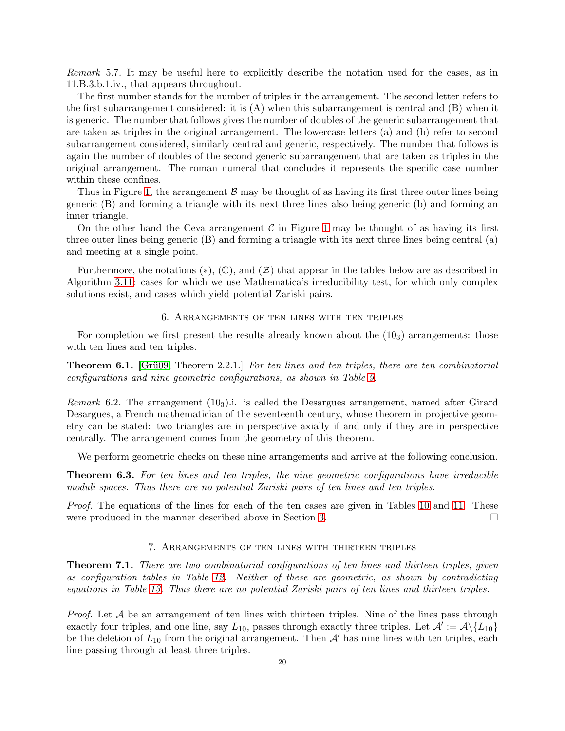Remark 5.7. It may be useful here to explicitly describe the notation used for the cases, as in 11.B.3.b.1.iv., that appears throughout.

The first number stands for the number of triples in the arrangement. The second letter refers to the first subarrangement considered: it is  $(A)$  when this subarrangement is central and  $(B)$  when it is generic. The number that follows gives the number of doubles of the generic subarrangement that are taken as triples in the original arrangement. The lowercase letters (a) and (b) refer to second subarrangement considered, similarly central and generic, respectively. The number that follows is again the number of doubles of the second generic subarrangement that are taken as triples in the original arrangement. The roman numeral that concludes it represents the specific case number within these confines.

Thus in Figure [1,](#page-5-1) the arrangement  $\beta$  may be thought of as having its first three outer lines being generic (B) and forming a triangle with its next three lines also being generic (b) and forming an inner triangle.

On the other hand the Ceva arrangement  $C$  in Figure [1](#page-5-1) may be thought of as having its first three outer lines being generic (B) and forming a triangle with its next three lines being central (a) and meeting at a single point.

Furthermore, the notations ( $\ast$ ),  $(\mathbb{C})$ , and  $(\mathcal{Z})$  that appear in the tables below are as described in Algorithm [3.11:](#page-8-0) cases for which we use Mathematica's irreducibility test, for which only complex solutions exist, and cases which yield potential Zariski pairs.

#### 6. Arrangements of ten lines with ten triples

<span id="page-19-0"></span>For completion we first present the results already known about the  $(10<sub>3</sub>)$  arrangements: those with ten lines and ten triples.

<span id="page-19-2"></span>**Theorem 6.1.** [Grü09, Theorem 2.2.1.] For ten lines and ten triples, there are ten combinatorial configurations and nine geometric configurations, as shown in Table [9.](#page-20-0)

*Remark* 6.2. The arrangement  $(10<sub>3</sub>)$ .i. is called the Desargues arrangement, named after Girard Desargues, a French mathematician of the seventeenth century, whose theorem in projective geometry can be stated: two triangles are in perspective axially if and only if they are in perspective centrally. The arrangement comes from the geometry of this theorem.

We perform geometric checks on these nine arrangements and arrive at the following conclusion.

<span id="page-19-3"></span>**Theorem 6.3.** For ten lines and ten triples, the nine geometric configurations have irreducible moduli spaces. Thus there are no potential Zariski pairs of ten lines and ten triples.

Proof. The equations of the lines for each of the ten cases are given in Tables [10](#page-21-0) and [11.](#page-22-0) These were produced in the manner described above in Section [3.](#page-5-0)

# 7. Arrangements of ten lines with thirteen triples

<span id="page-19-4"></span><span id="page-19-1"></span>Theorem 7.1. There are two combinatorial configurations of ten lines and thirteen triples, given as configuration tables in Table [12.](#page-22-1) Neither of these are geometric, as shown by contradicting equations in Table [13.](#page-23-2) Thus there are no potential Zariski pairs of ten lines and thirteen triples.

*Proof.* Let  $A$  be an arrangement of ten lines with thirteen triples. Nine of the lines pass through exactly four triples, and one line, say  $L_{10}$ , passes through exactly three triples. Let  $\mathcal{A}' := \mathcal{A} \setminus \{L_{10}\}\$ be the deletion of  $L_{10}$  from the original arrangement. Then  $A'$  has nine lines with ten triples, each line passing through at least three triples.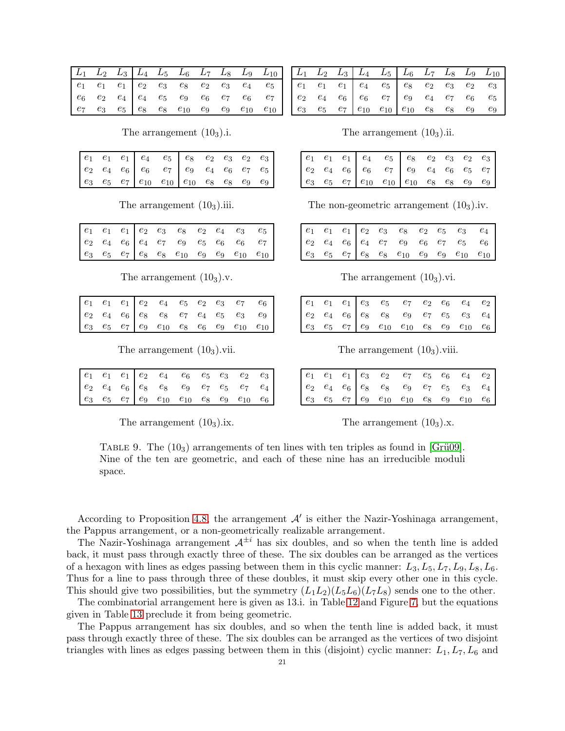|  |  |  |  | $\begin{array}{ c c c c c c c c } \hline L_1 & L_2 & L_3 & L_4 & L_5 & L_6 & L_7 & L_8 & L_9 & L_{10} \hline \end{array}$                                                                                                                                |
|--|--|--|--|----------------------------------------------------------------------------------------------------------------------------------------------------------------------------------------------------------------------------------------------------------|
|  |  |  |  | $\begin{array}{ cccccccccccc } \hline e_1 & e_1 & e_1 & e_2 & e_3 & e_8 & e_2 & e_3 & e_4 & e_5 \\ e_6 & e_2 & e_4 & e_4 & e_5 & e_9 & e_6 & e_7 & e_6 & e_7 \\ e_7 & e_3 & e_5 & e_8 & e_8 & e_{10} & e_9 & e_9 & e_{10} & e_{10} \\\hline \end{array}$ |
|  |  |  |  |                                                                                                                                                                                                                                                          |
|  |  |  |  |                                                                                                                                                                                                                                                          |

The arrangement  $(10<sub>3</sub>)$ .i.

|  |  | $\begin{array}{ c cccc } \hline e_1 & e_1 & e_1 & e_4 & e_5 & e_8 & e_2 & e_3 & e_2 & e_3 \\ e_2 & e_4 & e_6 & e_6 & e_7 & e_9 & e_4 & e_6 & e_7 & e_5 \\ e_3 & e_5 & e_7 & e_{10} & e_{10} & e_{10} & e_8 & e_8 & e_9 & e_9 \\\hline \end{array}$ |  |  |  |
|--|--|----------------------------------------------------------------------------------------------------------------------------------------------------------------------------------------------------------------------------------------------------|--|--|--|
|  |  |                                                                                                                                                                                                                                                    |  |  |  |
|  |  |                                                                                                                                                                                                                                                    |  |  |  |

The arrangement  $(10<sub>3</sub>)$ .iii.

|  |  | $\begin{array}{ccccccccc} e_1 & e_1 & e_1 & e_2 & e_3 & e_8 & e_2 & e_4 & e_3 & e_5 \\ e_2 & e_4 & e_6 & e_4 & e_7 & e_9 & e_5 & e_6 & e_6 & e_7 \\ e_3 & e_5 & e_7 & e_8 & e_8 & e_{10} & e_9 & e_9 & e_{10} & e_{10} \end{array}$ |  |  |
|--|--|-------------------------------------------------------------------------------------------------------------------------------------------------------------------------------------------------------------------------------------|--|--|
|  |  |                                                                                                                                                                                                                                     |  |  |
|  |  |                                                                                                                                                                                                                                     |  |  |

The arrangement  $(10<sub>3</sub>)$ .v.

|  |  |  |  | $\begin{array}{ccccccccc} e_1 & e_1 & e_1 & e_2 & e_4 & e_5 & e_2 & e_3 & e_7 & e_6 \\ e_2 & e_4 & e_6 & e_8 & e_8 & e_7 & e_4 & e_5 & e_3 & e_9 \\ e_3 & e_5 & e_7 & e_9 & e_{10} & e_8 & e_6 & e_9 & e_{10} & e_{10} \end{array}$ |  |
|--|--|--|--|-------------------------------------------------------------------------------------------------------------------------------------------------------------------------------------------------------------------------------------|--|
|  |  |  |  |                                                                                                                                                                                                                                     |  |
|  |  |  |  |                                                                                                                                                                                                                                     |  |

The arrangement  $(10<sub>3</sub>)$ .vii.

|  |  | $\begin{array}{ cccc cccc cccc } \hline e_1 & e_1 & e_1 & e_2 & e_4 & e_6 & e_5 & e_3 & e_2 & e_3 \\ e_2 & e_4 & e_6 & e_8 & e_8 & e_9 & e_7 & e_5 & e_7 & e_4 \\ e_3 & e_5 & e_7 & e_9 & e_{10} & e_{10} & e_8 & e_9 & e_{10} & e_6 \\\hline \end{array}$ |  |  |
|--|--|------------------------------------------------------------------------------------------------------------------------------------------------------------------------------------------------------------------------------------------------------------|--|--|
|  |  |                                                                                                                                                                                                                                                            |  |  |
|  |  |                                                                                                                                                                                                                                                            |  |  |

<span id="page-20-0"></span>The arrangement  $(10<sub>3</sub>)$ .ix.

| $L_1$ $L_2$ $L_3$ $L_4$ $L_5$ $L_6$ $L_7$ $L_8$ $L_9$ $L_{10}$                                                                                                                                                                    |  |
|-----------------------------------------------------------------------------------------------------------------------------------------------------------------------------------------------------------------------------------|--|
|                                                                                                                                                                                                                                   |  |
|                                                                                                                                                                                                                                   |  |
| $\begin{array}{ccccccccc} e_1 & e_1 & e_1 & e_4 & e_5 & e_8 & e_2 & e_3 & e_2 & e_3 \ e_2 & e_4 & e_6 & e_6 & e_7 & e_9 & e_4 & e_7 & e_6 & e_5 \ e_3 & e_5 & e_7 & e_{10} & e_{10} & e_{10} & e_8 & e_8 & e_9 & e_9 \end{array}$ |  |

The arrangement  $(10<sub>3</sub>)$ .ii.

|  |  | $\begin{array}{ c cccc } \hline e_1 & e_1 & e_1 & e_4 & e_5 & e_8 & e_2 & e_3 & e_2 & e_3 \ e_2 & e_4 & e_6 & e_7 & e_9 & e_4 & e_6 & e_5 & e_7 \ e_3 & e_5 & e_7 & e_{10} & e_{10} & e_{10} & e_8 & e_8 & e_9 & e_9 \ \hline \end{array}$ |  |  |  |
|--|--|--------------------------------------------------------------------------------------------------------------------------------------------------------------------------------------------------------------------------------------------|--|--|--|
|  |  |                                                                                                                                                                                                                                            |  |  |  |
|  |  |                                                                                                                                                                                                                                            |  |  |  |

The non-geometric arrangement  $(10<sub>3</sub>)$ .iv.

|  |  | $\begin{array}{ cccc cccc cccc cccc } \hline e_1 & e_1 & e_1 & e_2 & e_3 & e_8 & e_2 & e_5 & e_3 & e_4 \\ e_2 & e_4 & e_6 & e_4 & e_7 & e_9 & e_6 & e_7 & e_5 & e_6 \\ e_3 & e_5 & e_7 & e_8 & e_8 & e_{10} & e_9 & e_9 & e_{10} & e_{10} \\\hline \end{array}$ |  |  |
|--|--|-----------------------------------------------------------------------------------------------------------------------------------------------------------------------------------------------------------------------------------------------------------------|--|--|
|  |  |                                                                                                                                                                                                                                                                 |  |  |
|  |  |                                                                                                                                                                                                                                                                 |  |  |

The arrangement  $(10<sub>3</sub>)$ .vi.

|  |  | $\begin{array}{ cccc cccc cccc cccc } \hline e_1 & e_1 & e_1 & e_3 & e_5 & e_7 & e_2 & e_6 & e_4 & e_2 \\ e_2 & e_4 & e_6 & e_8 & e_8 & e_9 & e_7 & e_5 & e_3 & e_4 \\ e_3 & e_5 & e_7 & e_9 & e_{10} & e_{10} & e_8 & e_9 & e_{10} & e_6 \\\hline \end{array}$ |  |  |  |
|--|--|-----------------------------------------------------------------------------------------------------------------------------------------------------------------------------------------------------------------------------------------------------------------|--|--|--|
|  |  |                                                                                                                                                                                                                                                                 |  |  |  |
|  |  |                                                                                                                                                                                                                                                                 |  |  |  |

The arrangement  $(10<sub>3</sub>)$ , viii.

|  |  |  |  | $\begin{array}{ c cccc } \hline e_1 & e_1 & e_1 & e_3 & e_2 & e_7 & e_5 & e_6 & e_4 & e_2 \\ e_2 & e_4 & e_6 & e_8 & e_8 & e_9 & e_7 & e_5 & e_3 & e_4 \\ e_3 & e_5 & e_7 & e_9 & e_{10} & e_{10} & e_8 & e_9 & e_{10} & e_6 \\\hline \end{array}$ |  |
|--|--|--|--|----------------------------------------------------------------------------------------------------------------------------------------------------------------------------------------------------------------------------------------------------|--|
|  |  |  |  |                                                                                                                                                                                                                                                    |  |
|  |  |  |  |                                                                                                                                                                                                                                                    |  |

The arrangement  $(10<sub>3</sub>)$ .x.

TABLE 9. The  $(10<sub>3</sub>)$  arrangements of ten lines with ten triples as found in [Grü09]. Nine of the ten are geometric, and each of these nine has an irreducible moduli space.

According to Proposition 4.8, the arrangement  $\mathcal{A}'$  is either the Nazir-Yoshinaga arrangement, the Pappus arrangement, or a non-geometrically realizable arrangement.

The Nazir-Yoshinaga arrangement  $A^{\pm i}$  has six doubles, and so when the tenth line is added back, it must pass through exactly three of these. The six doubles can be arranged as the vertices of a hexagon with lines as edges passing between them in this cyclic manner:  $L_3, L_5, L_7, L_9, L_8, L_6$ . Thus for a line to pass through three of these doubles, it must skip every other one in this cycle. This should give two possibilities, but the symmetry  $(L_1L_2)(L_5L_6)(L_7L_8)$  sends one to the other.

The combinatorial arrangement here is given as 13.i. in Table 12 and Figure 7, but the equations given in Table 13 preclude it from being geometric.

The Pappus arrangement has six doubles, and so when the tenth line is added back, it must pass through exactly three of these. The six doubles can be arranged as the vertices of two disjoint triangles with lines as edges passing between them in this (disjoint) cyclic manner:  $L_1, L_7, L_6$  and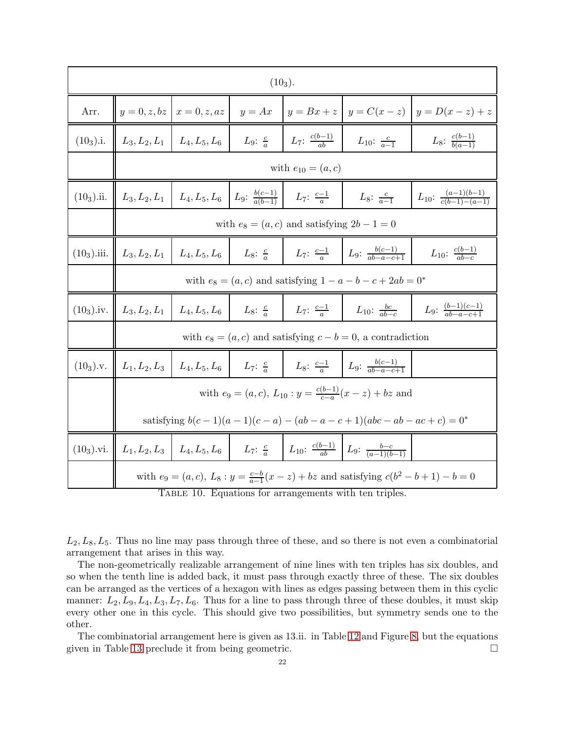|               |                                     |                                                                     | $(10_3).$                                         |                                                                            |                                                                                                                                                             |                                                |  |  |  |
|---------------|-------------------------------------|---------------------------------------------------------------------|---------------------------------------------------|----------------------------------------------------------------------------|-------------------------------------------------------------------------------------------------------------------------------------------------------------|------------------------------------------------|--|--|--|
| Arr.          |                                     | $y = 0, z, bz \mid x = 0, z, az$                                    | $y = Ax$                                          |                                                                            |                                                                                                                                                             | $y = Bx + z$ $y = C(x - z)$ $y = D(x - z) + z$ |  |  |  |
| $(10_3).i.$   | $L_3, L_2, L_1 \mid L_4, L_5, L_6$  |                                                                     |                                                   | $L_9: \frac{c}{a}$ $L_7: \frac{c(b-1)}{ab}$ $L_{10}: \frac{c}{a-1}$        |                                                                                                                                                             | $L_8$ : $\frac{c(b-1)}{b(a-1)}$                |  |  |  |
|               |                                     | with $e_{10} = (a, c)$                                              |                                                   |                                                                            |                                                                                                                                                             |                                                |  |  |  |
| $(10_3)$ .ii. | $\  L_3, L_2, L_1 \  L_4, L_5, L_6$ |                                                                     | $L_9: \frac{b(c-1)}{a(b-1)}$ $L_7: \frac{c-1}{a}$ |                                                                            | $L_8: \frac{c}{a-1}$                                                                                                                                        | $L_{10}$ : $\frac{(a-1)(b-1)}{c(b-1)-(a-1)}$   |  |  |  |
|               |                                     | with $e_8 = (a, c)$ and satisfying $2b - 1 = 0$                     |                                                   |                                                                            |                                                                                                                                                             |                                                |  |  |  |
|               | $(10_3)$ .iii. $\  L_3, L_2, L_1$   | $L_4, L_5, L_6$                                                     | $L_8$ : $\frac{c}{a}$                             |                                                                            | $L_7: \frac{c-1}{a}$ $L_9: \frac{b(c-1)}{ab-a-c+1}$                                                                                                         | $L_{10}$ : $\frac{c(b-1)}{ab-c}$               |  |  |  |
|               |                                     | with $e_8 = (a, c)$ and satisfying $1 - a - b - c + 2ab = 0^*$      |                                                   |                                                                            |                                                                                                                                                             |                                                |  |  |  |
| $(10_3)$ .iv. |                                     | $L_3, L_2, L_1 \mid L_4, L_5, L_6$                                  |                                                   | $L_8$ : $\frac{c}{a}$ $L_7$ : $\frac{c-1}{a}$ $L_{10}$ : $\frac{bc}{ab-c}$ |                                                                                                                                                             | $L_9$ : $\frac{(b-1)(c-1)}{ab-a-c+1}$          |  |  |  |
|               |                                     |                                                                     |                                                   |                                                                            | with $e_8 = (a, c)$ and satisfying $c - b = 0$ , a contradiction                                                                                            |                                                |  |  |  |
| $(10_3)$ .v.  |                                     | $L_1, L_2, L_3 \mid L_4, L_5, L_6$                                  |                                                   |                                                                            | $L_7: \frac{c}{a}$ $L_8: \frac{c-1}{a}$ $L_9: \frac{b(c-1)}{ab-a-c+1}$                                                                                      |                                                |  |  |  |
|               |                                     |                                                                     |                                                   |                                                                            | with $e_9 = (a, c), L_{10} : y = \frac{c(b-1)}{c-a}(x - z) + bz$ and                                                                                        |                                                |  |  |  |
|               |                                     | satisfying $b(c-1)(a-1)(c-a) - (ab-a-c+1)(abc - ab - ac + c) = 0^*$ |                                                   |                                                                            |                                                                                                                                                             |                                                |  |  |  |
|               |                                     |                                                                     |                                                   |                                                                            | $(10_3)$ .vi. $\left  L_1, L_2, L_3 \right  L_4, L_5, L_6 \left  L_7: \frac{c}{a} \right  L_{10}: \frac{c(b-1)}{ab} L_9: \frac{b-c}{(a-1)(b-1)}$            |                                                |  |  |  |
|               |                                     |                                                                     |                                                   |                                                                            | with $e_9 = (a, c), L_8: y = \frac{c-b}{a-1}(x - z) + bz$ and satisfying $c(b^2 - b + 1) - b = 0$<br>TABLE 10. Equations for arrangements with ten triples. |                                                |  |  |  |

<span id="page-21-0"></span> $L_2, L_8, L_5$ . Thus no line may pass through three of these, and so there is not even a combinatorial arrangement that arises in this way.

The non-geometrically realizable arrangement of nine lines with ten triples has six doubles, and so when the tenth line is added back, it must pass through exactly three of these. The six doubles can be arranged as the vertices of a hexagon with lines as edges passing between them in this cyclic manner:  $L_2, L_9, L_4, L_3, L_7, L_6$ . Thus for a line to pass through three of these doubles, it must skip every other one in this cycle. This should give two possibilities, but symmetry sends one to the other.

The combinatorial arrangement here is given as 13.ii. in Table [12](#page-22-1) and Figure [8,](#page-24-2) but the equations given in Table [13](#page-23-2) preclude it from being geometric.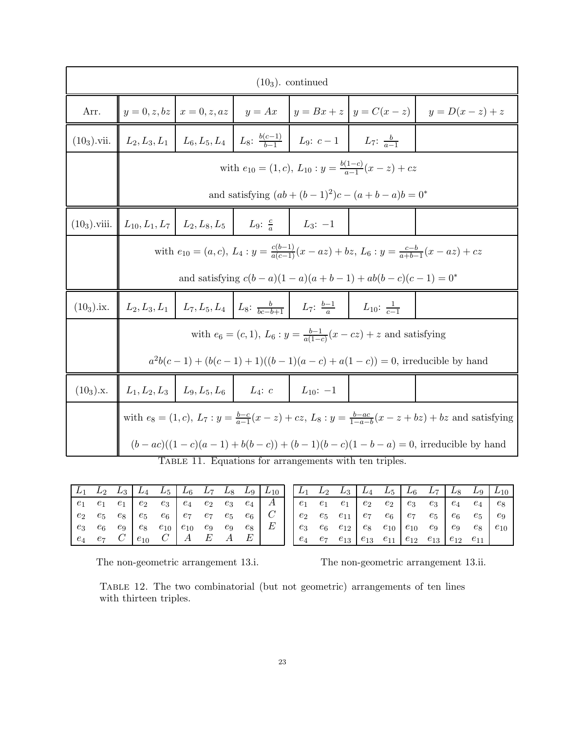|                |                                                                 |                                                                                                                        |                                                                  | $(103)$ . continued                                                                                            |                                                                              |                                                                                             |  |  |  |
|----------------|-----------------------------------------------------------------|------------------------------------------------------------------------------------------------------------------------|------------------------------------------------------------------|----------------------------------------------------------------------------------------------------------------|------------------------------------------------------------------------------|---------------------------------------------------------------------------------------------|--|--|--|
| Arr.           |                                                                 | $y = 0, z, bz \mid x = 0, z, az \mid$                                                                                  |                                                                  |                                                                                                                |                                                                              | $y = Ax$ $\vert y = Bx + z \vert y = C(x - z) \vert y = D(x - z) + z$                       |  |  |  |
| $(10_3)$ .vii. |                                                                 |                                                                                                                        |                                                                  | $L_2, L_3, L_1 \mid L_6, L_5, L_4 \mid L_8$ : $\frac{b(c-1)}{b-1} \mid L_9$ : $c-1 \mid L_7$ : $\frac{b}{a-1}$ |                                                                              |                                                                                             |  |  |  |
|                |                                                                 | with $e_{10} = (1, c), L_{10} : y = \frac{b(1-c)}{c-1}(x-z) + cz$                                                      |                                                                  |                                                                                                                |                                                                              |                                                                                             |  |  |  |
|                |                                                                 | and satisfying $(ab + (b-1)^2)c - (a+b-a)b = 0^*$                                                                      |                                                                  |                                                                                                                |                                                                              |                                                                                             |  |  |  |
|                | $(10_3)$ .viii. $\mid L_{10}, L_1, L_7 \mid L_2, L_8, L_5 \mid$ |                                                                                                                        | <i>L</i> <sub>9</sub> : $\frac{c}{a}$ <i>L</i> <sub>3</sub> : -1 |                                                                                                                |                                                                              |                                                                                             |  |  |  |
|                |                                                                 | with $e_{10} = (a, c), L_4 : y = \frac{c(b-1)}{a(c-1)}(x - az) + bz, L_6 : y = \frac{c-b}{a+b-1}(x - az) + cz$         |                                                                  |                                                                                                                |                                                                              |                                                                                             |  |  |  |
|                |                                                                 |                                                                                                                        |                                                                  |                                                                                                                | and satisfying $c(b-a)(1-a)(a+b-1) + ab(b-c)(c-1) = 0^*$                     |                                                                                             |  |  |  |
| $(10_3)$ .ix.  |                                                                 |                                                                                                                        |                                                                  | $L_2, L_3, L_1$ $L_7, L_5, L_4$ $L_8$ : $\frac{b}{bc-b+1}$ $L_7$ : $\frac{b-1}{a}$ $L_{10}$ : $\frac{1}{c-1}$  |                                                                              |                                                                                             |  |  |  |
|                |                                                                 |                                                                                                                        |                                                                  |                                                                                                                | with $e_6 = (c, 1), L_6 : y = \frac{b-1}{a(1-c)}(x - cz) + z$ and satisfying |                                                                                             |  |  |  |
|                |                                                                 |                                                                                                                        |                                                                  |                                                                                                                |                                                                              | $a^{2}b(c-1) + (b(c-1) + 1)((b-1)(a-c) + a(1-c)) = 0$ , irreducible by hand                 |  |  |  |
| $(10_3).x.$    |                                                                 | $L_1, L_2, L_3 \mid L_9, L_5, L_6$                                                                                     | $L_4$ : c                                                        | $L_{10}$ : -1                                                                                                  |                                                                              |                                                                                             |  |  |  |
|                |                                                                 | with $e_8 = (1, c)$ , $L_7: y = \frac{b-c}{a-1}(x-z) + cz$ , $L_8: y = \frac{b-ac}{1-a-b}(x-z+bz) + bz$ and satisfying |                                                                  |                                                                                                                |                                                                              |                                                                                             |  |  |  |
|                |                                                                 |                                                                                                                        |                                                                  |                                                                                                                |                                                                              | $(b - ac)((1 - c)(a - 1) + b(b - c)) + (b - 1)(b - c)(1 - b - a) = 0$ , irreducible by hand |  |  |  |
|                |                                                                 |                                                                                                                        |                                                                  | TABLE 11. Equations for arrangements with ten triples.                                                         |                                                                              |                                                                                             |  |  |  |

|  |  | $L_1$ $L_2$ $L_3$ $L_4$ $L_5$ $L_6$ $L_7$ $L_8$ $L_9$ $L_{10}$                                                                                                                                                                                                                               |  |  |  |
|--|--|----------------------------------------------------------------------------------------------------------------------------------------------------------------------------------------------------------------------------------------------------------------------------------------------|--|--|--|
|  |  |                                                                                                                                                                                                                                                                                              |  |  |  |
|  |  |                                                                                                                                                                                                                                                                                              |  |  |  |
|  |  |                                                                                                                                                                                                                                                                                              |  |  |  |
|  |  | $\begin{array}{ c cccc } \hline e_1 & e_1 & e_1 & e_2 & e_3 & e_4 & e_2 & e_3 & e_4 & A \cr e_2 & e_5 & e_8 & e_5 & e_6 & e_7 & e_7 & e_5 & e_6 & C \cr e_3 & e_6 & e_9 & e_8 & e_{10} & e_{10} & e_9 & e_9 & e_8 & E \cr e_4 & e_7 & C & e_{10} & C & A & E & A & E \cr \hline \end{array}$ |  |  |  |

<span id="page-22-0"></span>

|  |  |  | $\begin{array}{ c c c c c c c c c } \hline L_1 & L_2 & L_3 & L_4 & L_5 & L_6 & L_7 & L_8 & L_9 & L_{10} \ \hline \end{array}$ |  |  |
|--|--|--|-------------------------------------------------------------------------------------------------------------------------------|--|--|
|  |  |  |                                                                                                                               |  |  |
|  |  |  |                                                                                                                               |  |  |
|  |  |  |                                                                                                                               |  |  |
|  |  |  | $e_4$ $e_7$ $e_{13}$ $e_{13}$ $e_{11}$ $e_{12}$ $e_{13}$ $e_{12}$ $e_{11}$                                                    |  |  |

The non-geometric arrangement 13.i. The non-geometric arrangement 13.ii.

<span id="page-22-1"></span>Table 12. The two combinatorial (but not geometric) arrangements of ten lines with thirteen triples.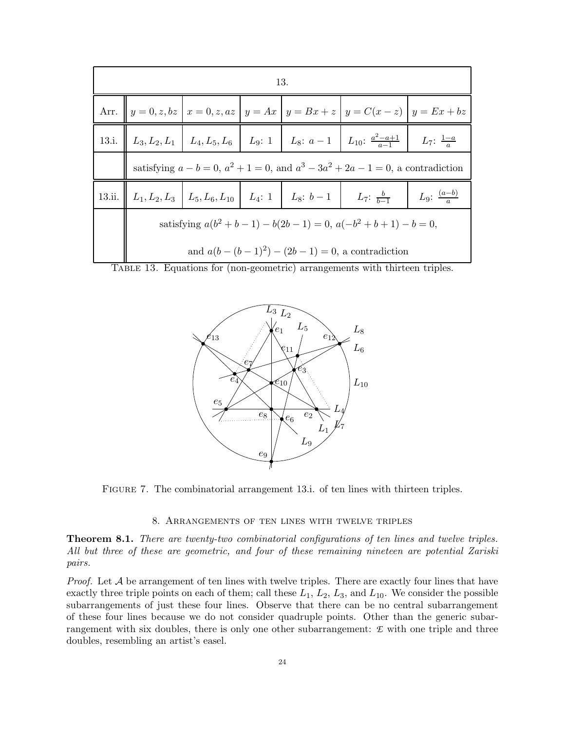| 13.                                                                       |                                                                                                                                                      |  |  |                                                                                                      |  |  |  |  |
|---------------------------------------------------------------------------|------------------------------------------------------------------------------------------------------------------------------------------------------|--|--|------------------------------------------------------------------------------------------------------|--|--|--|--|
|                                                                           |                                                                                                                                                      |  |  | Arr. $y = 0, z, bz \mid x = 0, z, az \mid y = Ax \mid y = Bx + z \mid y = C(x - z) \mid y = Ex + bz$ |  |  |  |  |
|                                                                           | 13.i. $L_3, L_2, L_1 \mid L_4, L_5, L_6 \mid L_9: 1 \mid L_8: a-1 \mid L_{10}: \frac{a^2-a+1}{a-1} \mid L_7: \frac{1-a}{a}$                          |  |  |                                                                                                      |  |  |  |  |
|                                                                           | satisfying $a - b = 0$ , $a^2 + 1 = 0$ , and $a^3 - 3a^2 + 2a - 1 = 0$ , a contradiction                                                             |  |  |                                                                                                      |  |  |  |  |
|                                                                           | 13.ii. $\left  L_1, L_2, L_3 \right  L_5, L_6, L_{10} \left  L_4: 1 \right  L_8: b-1 \left  L_7: \frac{b}{b-1} \right $<br>$L_9$ : $\frac{(a-b)}{c}$ |  |  |                                                                                                      |  |  |  |  |
| satisfying $a(b^2 + b - 1) - b(2b - 1) = 0$ , $a(-b^2 + b + 1) - b = 0$ , |                                                                                                                                                      |  |  |                                                                                                      |  |  |  |  |
|                                                                           |                                                                                                                                                      |  |  | and $a(b - (b - 1)^2) - (2b - 1) = 0$ , a contradiction                                              |  |  |  |  |

Table 13. Equations for (non-geometric) arrangements with thirteen triples.

<span id="page-23-2"></span>

Figure 7. The combinatorial arrangement 13.i. of ten lines with thirteen triples.

### <span id="page-23-4"></span>8. Arrangements of ten lines with twelve triples

<span id="page-23-3"></span><span id="page-23-0"></span>Theorem 8.1. There are twenty-two combinatorial configurations of ten lines and twelve triples. All but three of these are geometric, and four of these remaining nineteen are potential Zariski pairs.

<span id="page-23-1"></span>*Proof.* Let  $A$  be arrangement of ten lines with twelve triples. There are exactly four lines that have exactly three triple points on each of them; call these  $L_1$ ,  $L_2$ ,  $L_3$ , and  $L_{10}$ . We consider the possible subarrangements of just these four lines. Observe that there can be no central subarrangement of these four lines because we do not consider quadruple points. Other than the generic subarrangement with six doubles, there is only one other subarrangement: *E* with one triple and three doubles, resembling an artist's easel.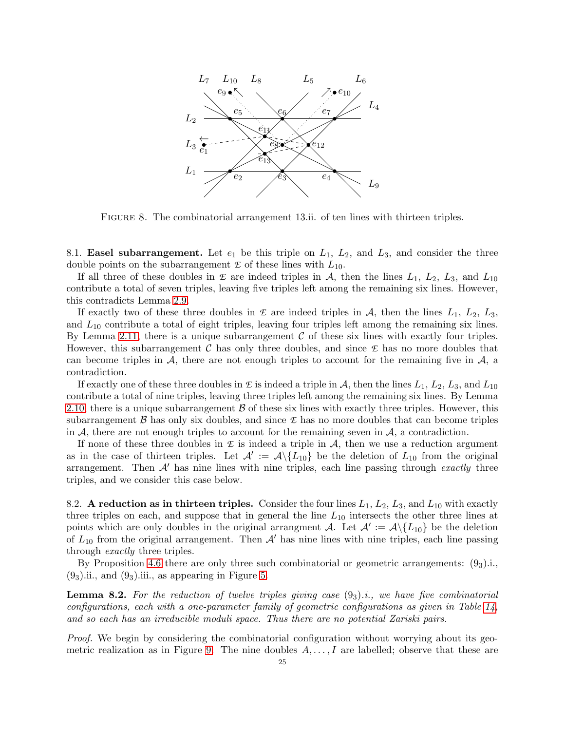

<span id="page-24-2"></span>Figure 8. The combinatorial arrangement 13.ii. of ten lines with thirteen triples.

8.1. **Easel subarrangement.** Let  $e_1$  be this triple on  $L_1$ ,  $L_2$ , and  $L_3$ , and consider the three double points on the subarrangement  $\mathcal E$  of these lines with  $L_{10}$ .

If all three of these doubles in  $\mathcal L$  are indeed triples in  $\mathcal A$ , then the lines  $L_1$ ,  $L_2$ ,  $L_3$ , and  $L_{10}$ contribute a total of seven triples, leaving five triples left among the remaining six lines. However, this contradicts Lemma [2.9.](#page-5-4)

If exactly two of these three doubles in  $\mathcal L$  are indeed triples in  $\mathcal A$ , then the lines  $L_1$ ,  $L_2$ ,  $L_3$ , and  $L_{10}$  contribute a total of eight triples, leaving four triples left among the remaining six lines. By Lemma [2.11,](#page-5-3) there is a unique subarrangement  $\mathcal C$  of these six lines with exactly four triples. However, this subarrangement  $\mathcal C$  has only three doubles, and since  $\mathcal E$  has no more doubles that can become triples in  $\mathcal{A}$ , there are not enough triples to account for the remaining five in  $\mathcal{A}$ , a contradiction.

If exactly one of these three doubles in  $\mathcal E$  is indeed a triple in  $\mathcal A$ , then the lines  $L_1, L_2, L_3$ , and  $L_{10}$ contribute a total of nine triples, leaving three triples left among the remaining six lines. By Lemma [2.10,](#page-5-2) there is a unique subarrangement  $\beta$  of these six lines with exactly three triples. However, this subarrangement  $\beta$  has only six doubles, and since  $\epsilon$  has no more doubles that can become triples in  $A$ , there are not enough triples to account for the remaining seven in  $A$ , a contradiction.

If none of these three doubles in  $\mathcal L$  is indeed a triple in  $\mathcal A$ , then we use a reduction argument as in the case of thirteen triples. Let  $\mathcal{A}' := \mathcal{A} \setminus \{L_{10}\}$  be the deletion of  $L_{10}$  from the original arrangement. Then  $A'$  has nine lines with nine triples, each line passing through exactly three triples, and we consider this case below.

<span id="page-24-0"></span>8.2. A reduction as in thirteen triples. Consider the four lines  $L_1$ ,  $L_2$ ,  $L_3$ , and  $L_{10}$  with exactly three triples on each, and suppose that in general the line  $L_{10}$  intersects the other three lines at points which are only doubles in the original arrangment A. Let  $\mathcal{A}' := \mathcal{A} \setminus \{L_{10}\}$  be the deletion of  $L_{10}$  from the original arrangement. Then  $A'$  has nine lines with nine triples, each line passing through *exactly* three triples.

By Proposition [4.6](#page-12-1) there are only three such combinatorial or geometric arrangements:  $(9<sub>3</sub>)$ .i.,  $(9<sub>3</sub>)$ .ii., and  $(9<sub>3</sub>)$ .iii., as appearing in Figure [5.](#page-12-0)

<span id="page-24-1"></span>**Lemma 8.2.** For the reduction of twelve triples giving case  $(93).i$ , we have five combinatorial configurations, each with a one-parameter family of geometric configurations as given in Table [14,](#page-25-0) and so each has an irreducible moduli space. Thus there are no potential Zariski pairs.

Proof. We begin by considering the combinatorial configuration without worrying about its geo-metric realization as in Figure [9.](#page-25-1) The nine doubles  $A, \ldots, I$  are labelled; observe that these are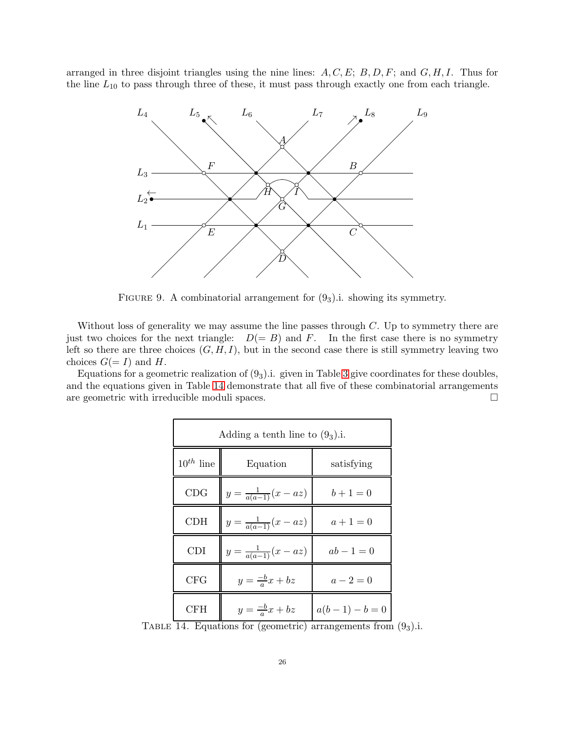arranged in three disjoint triangles using the nine lines:  $A, C, E$ ;  $B, D, F$ ; and  $G, H, I$ . Thus for the line  $L_{10}$  to pass through three of these, it must pass through exactly one from each triangle.



<span id="page-25-1"></span>FIGURE 9. A combinatorial arrangement for  $(9<sub>3</sub>)$ . showing its symmetry.

Without loss of generality we may assume the line passes through  $C$ . Up to symmetry there are just two choices for the next triangle:  $D(= B)$  and F. In the first case there is no symmetry left so there are three choices  $(G, H, I)$ , but in the second case there is still symmetry leaving two choices  $G(=I)$  and H.

Equations for a geometric realization of  $(9<sub>3</sub>)$ .i. given in Table [3](#page-13-1) give coordinates for these doubles, and the equations given in Table [14](#page-25-0) demonstrate that all five of these combinatorial arrangements are geometric with irreducible moduli spaces.

| Adding a tenth line to $(9_3)$ .i. |                                                                                     |                             |  |  |  |  |
|------------------------------------|-------------------------------------------------------------------------------------|-----------------------------|--|--|--|--|
| $10^{th}$ line                     | Equation                                                                            | satisfying                  |  |  |  |  |
| CDG                                | $y = \frac{1}{a(a-1)}(x - az)$                                                      | $b+1=0$                     |  |  |  |  |
| CDH                                | $y = \frac{1}{a(a-1)}(x - az)$                                                      | $a+1=0$                     |  |  |  |  |
| <b>CDI</b>                         | $y = \frac{1}{a(a-1)}(x - az)$                                                      | $ab - 1 = 0$                |  |  |  |  |
| <b>CFG</b>                         | $y=\frac{-b}{a}x+bz$                                                                | $a - 2 = 0$                 |  |  |  |  |
| <b>CFH</b><br>$1.4$ $\Box$         | $y=\frac{-b}{a}x+bz$<br>$\mathbf{f}$ and $\mathbf{f}$ are accounted in $\mathbf{f}$ | $a(b-1)-b=0$<br>⊥. <b>.</b> |  |  |  |  |

<span id="page-25-0"></span>TABLE 14. Equations for (geometric) arrangements from  $(9<sub>3</sub>)$ .i.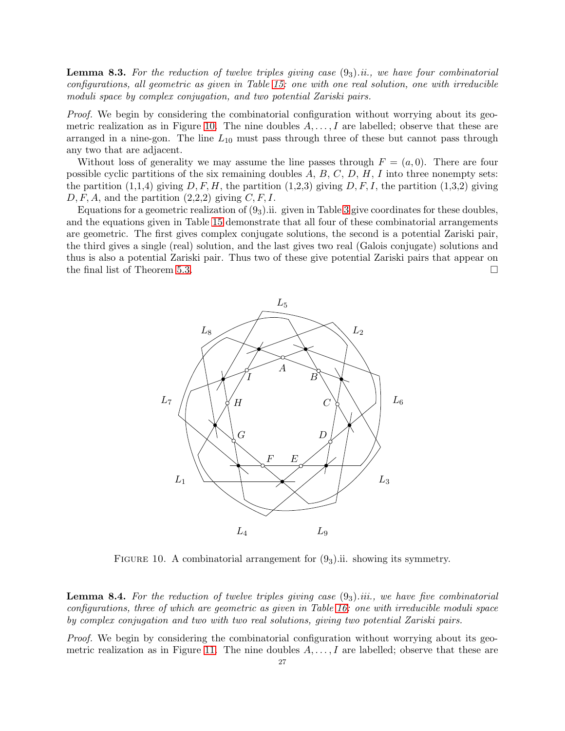<span id="page-26-0"></span>**Lemma 8.3.** For the reduction of twelve triples giving case  $(9<sub>3</sub>)$  ii., we have four combinatorial configurations, all geometric as given in Table [15:](#page-27-0) one with one real solution, one with irreducible moduli space by complex conjugation, and two potential Zariski pairs.

Proof. We begin by considering the combinatorial configuration without worrying about its geo-metric realization as in Figure [10.](#page-26-1) The nine doubles  $A, \ldots, I$  are labelled; observe that these are arranged in a nine-gon. The line  $L_{10}$  must pass through three of these but cannot pass through any two that are adjacent.

Without loss of generality we may assume the line passes through  $F = (a, 0)$ . There are four possible cyclic partitions of the six remaining doubles  $A, B, C, D, H, I$  into three nonempty sets: the partition  $(1,1,4)$  giving  $D, F, H$ , the partition  $(1,2,3)$  giving  $D, F, I$ , the partition  $(1,3,2)$  giving  $D, F, A$ , and the partition  $(2,2,2)$  giving  $C, F, I$ .

Equations for a geometric realization of  $(9<sub>3</sub>)$ .ii. given in Table [3](#page-13-1) give coordinates for these doubles, and the equations given in Table [15](#page-27-0) demonstrate that all four of these combinatorial arrangements are geometric. The first gives complex conjugate solutions, the second is a potential Zariski pair, the third gives a single (real) solution, and the last gives two real (Galois conjugate) solutions and thus is also a potential Zariski pair. Thus two of these give potential Zariski pairs that appear on the final list of Theorem [5.3.](#page-16-2)



<span id="page-26-1"></span>FIGURE 10. A combinatorial arrangement for  $(9<sub>3</sub>)$ .ii. showing its symmetry.

<span id="page-26-2"></span>**Lemma 8.4.** For the reduction of twelve triples giving case  $(9<sub>3</sub>)$  iii., we have five combinatorial configurations, three of which are geometric as given in Table [16:](#page-28-1) one with irreducible moduli space by complex conjugation and two with two real solutions, giving two potential Zariski pairs.

Proof. We begin by considering the combinatorial configuration without worrying about its geo-metric realization as in Figure [11.](#page-27-1) The nine doubles  $A, \ldots, I$  are labelled; observe that these are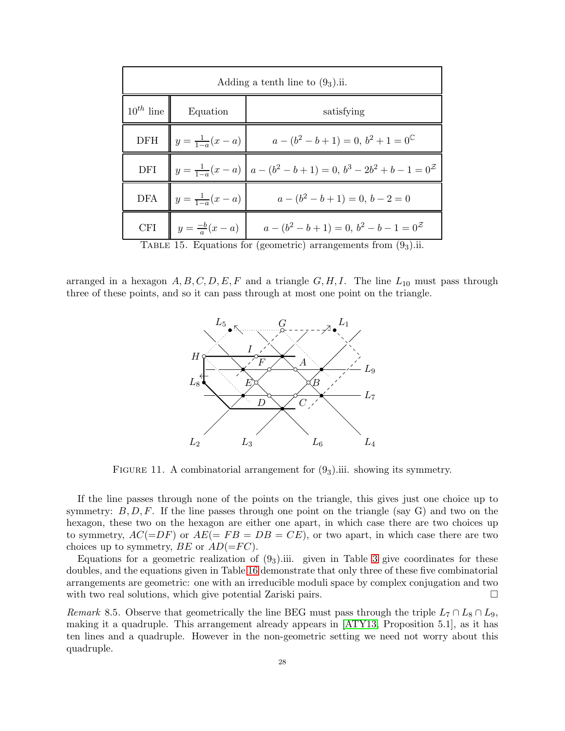| Adding a tenth line to $(9_3)$ .ii. |                              |                                                                            |  |  |  |  |
|-------------------------------------|------------------------------|----------------------------------------------------------------------------|--|--|--|--|
| $10^{th}$ line                      | Equation                     | satisfying                                                                 |  |  |  |  |
|                                     | DFH $y = \frac{1}{1-a}(x-a)$ | $a - (b^2 - b + 1) = 0, b^2 + 1 = 0^{\mathbb{C}}$                          |  |  |  |  |
|                                     |                              | DFI $\ y = \frac{1}{1-a}(x-a) \ a-(b^2-b+1) = 0, b^3 - 2b^2 + b - 1 = 0^2$ |  |  |  |  |
|                                     |                              | DFA $y = \frac{1}{1-a}(x-a)$ $a - (b^2 - b + 1) = 0, b - 2 = 0$            |  |  |  |  |
|                                     |                              | CFI $y = \frac{-b}{a}(x-a)$ $a - (b^2 - b + 1) = 0, b^2 - b - 1 = 0^2$     |  |  |  |  |
|                                     |                              | TABLE 15. Equations for (geometric) arrangements from $(93)$ .ii.          |  |  |  |  |

arranged in a hexagon  $A, B, C, D, E, F$  and a triangle  $G, H, I$ . The line  $L_{10}$  must pass through three of these points, and so it can pass through at most one point on the triangle.

<span id="page-27-0"></span>

<span id="page-27-1"></span>FIGURE 11. A combinatorial arrangement for  $(9<sub>3</sub>)$  iii. showing its symmetry.

If the line passes through none of the points on the triangle, this gives just one choice up to symmetry:  $B, D, F$ . If the line passes through one point on the triangle (say G) and two on the hexagon, these two on the hexagon are either one apart, in which case there are two choices up to symmetry,  $AC(=DF)$  or  $AE(= FB = DB = CE)$ , or two apart, in which case there are two choices up to symmetry,  $BE$  or  $AD(=FC)$ .

Equations for a geometric realization of  $(9<sub>3</sub>)$ .iii. given in Table [3](#page-13-1) give coordinates for these doubles, and the equations given in Table [16](#page-28-1) demonstrate that only three of these five combinatorial arrangements are geometric: one with an irreducible moduli space by complex conjugation and two with two real solutions, which give potential Zariski pairs.

<span id="page-27-2"></span>Remark 8.5. Observe that geometrically the line BEG must pass through the triple  $L_7 \cap L_8 \cap L_9$ , making it a quadruple. This arrangement already appears in [\[ATY13,](#page-42-3) Proposition 5.1], as it has ten lines and a quadruple. However in the non-geometric setting we need not worry about this quadruple.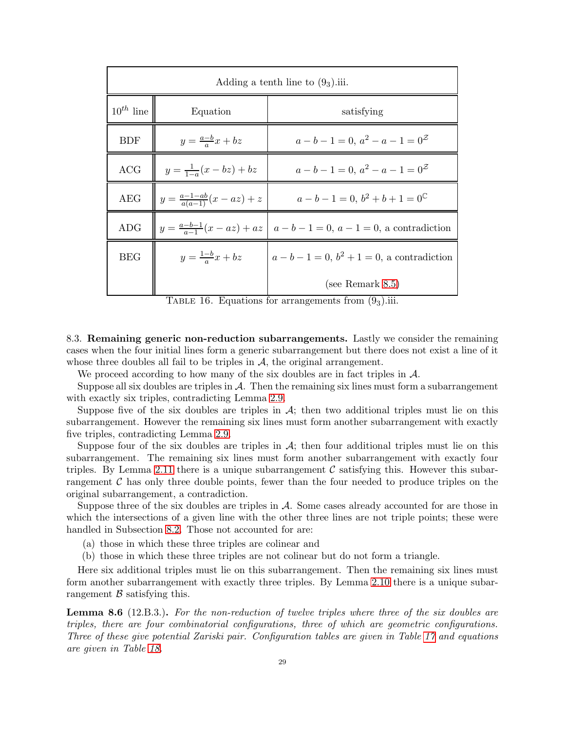|                | Adding a tenth line to $(9_3)$ .iii.    |                                                                          |  |  |  |  |  |  |  |  |
|----------------|-----------------------------------------|--------------------------------------------------------------------------|--|--|--|--|--|--|--|--|
| $10^{th}$ line | Equation                                | satisfying                                                               |  |  |  |  |  |  |  |  |
| <b>BDF</b>     | $y=\frac{a-b}{a}x+bz$                   | $a-b-1=0, a^2-a-1=0^{\mathcal{Z}}$                                       |  |  |  |  |  |  |  |  |
| ACG            | $y = \frac{1}{1-a}(x-bz) + bz$          | $a-b-1=0, a^2-a-1=0^{\mathcal{Z}}$                                       |  |  |  |  |  |  |  |  |
| <b>AEG</b>     | $y = \frac{a-1-ab}{a(a-1)}(x - az) + z$ | $a-b-1=0, b^2+b+1=0^\mathbb{C}$                                          |  |  |  |  |  |  |  |  |
| <b>ADG</b>     |                                         | $\  y = \frac{a-b-1}{a-1}(x-az) + az \  a-b-1=0, a-1=0, a contradiction$ |  |  |  |  |  |  |  |  |
| <b>BEG</b>     | $y=\frac{1-b}{a}x+bz$                   | $a - b - 1 = 0, b2 + 1 = 0$ , a contradiction                            |  |  |  |  |  |  |  |  |
|                |                                         | (see Remark $8.5$ )                                                      |  |  |  |  |  |  |  |  |

<span id="page-28-1"></span>TABLE 16. Equations for arrangements from  $(9_3)$ .iii.

<span id="page-28-0"></span>8.3. Remaining generic non-reduction subarrangements. Lastly we consider the remaining cases when the four initial lines form a generic subarrangement but there does not exist a line of it whose three doubles all fail to be triples in  $A$ , the original arrangement.

We proceed according to how many of the six doubles are in fact triples in  $\mathcal{A}$ .

Suppose all six doubles are triples in  $\mathcal{A}$ . Then the remaining six lines must form a subarrangement with exactly six triples, contradicting Lemma [2.9.](#page-5-4)

Suppose five of the six doubles are triples in  $A$ ; then two additional triples must lie on this subarrangement. However the remaining six lines must form another subarrangement with exactly five triples, contradicting Lemma [2.9.](#page-5-4)

Suppose four of the six doubles are triples in  $A$ ; then four additional triples must lie on this subarrangement. The remaining six lines must form another subarrangement with exactly four triples. By Lemma [2.11](#page-5-3) there is a unique subarrangement  $\mathcal C$  satisfying this. However this subarrangement  $\mathcal C$  has only three double points, fewer than the four needed to produce triples on the original subarrangement, a contradiction.

Suppose three of the six doubles are triples in  $A$ . Some cases already accounted for are those in which the intersections of a given line with the other three lines are not triple points; these were handled in Subsection [8.2.](#page-24-0) Those not accounted for are:

- (a) those in which these three triples are colinear and
- (b) those in which these three triples are not colinear but do not form a triangle.

Here six additional triples must lie on this subarrangement. Then the remaining six lines must form another subarrangement with exactly three triples. By Lemma [2.10](#page-5-2) there is a unique subarrangement  $\beta$  satisfying this.

<span id="page-28-2"></span>Lemma 8.6 (12.B.3.). For the non-reduction of twelve triples where three of the six doubles are triples, there are four combinatorial configurations, three of which are geometric configurations. Three of these give potential Zariski pair. Configuration tables are given in Table [17](#page-29-0) and equations are given in Table [18.](#page-30-0)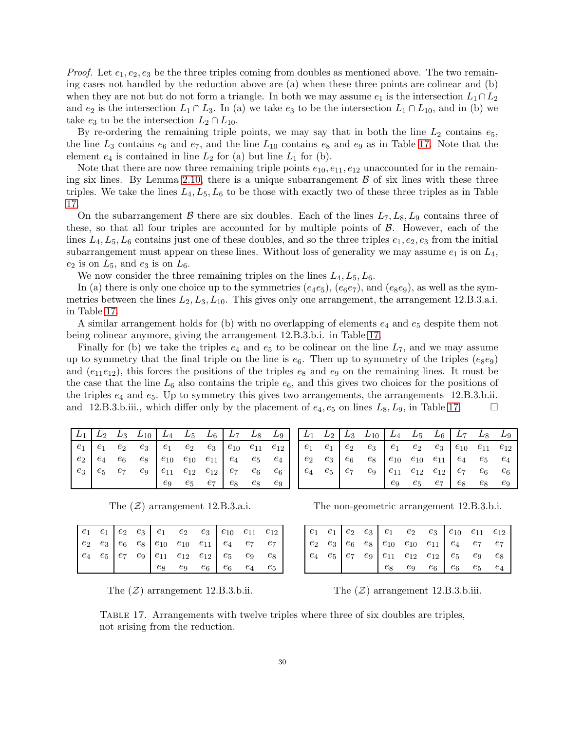*Proof.* Let  $e_1, e_2, e_3$  be the three triples coming from doubles as mentioned above. The two remaining cases not handled by the reduction above are (a) when these three points are colinear and (b) when they are not but do not form a triangle. In both we may assume  $e_1$  is the intersection  $L_1 \cap L_2$ and  $e_2$  is the intersection  $L_1 \cap L_3$ . In (a) we take  $e_3$  to be the intersection  $L_1 \cap L_{10}$ , and in (b) we take  $e_3$  to be the intersection  $L_2 \cap L_{10}$ .

By re-ordering the remaining triple points, we may say that in both the line  $L_2$  contains  $e_5$ , the line  $L_3$  contains  $e_6$  and  $e_7$ , and the line  $L_{10}$  contains  $e_8$  and  $e_9$  as in Table [17.](#page-29-0) Note that the element  $e_4$  is contained in line  $L_2$  for (a) but line  $L_1$  for (b).

Note that there are now three remaining triple points  $e_{10}, e_{11}, e_{12}$  unaccounted for in the remain-ing six lines. By Lemma [2.10,](#page-5-2) there is a unique subarrangement  $\beta$  of six lines with these three triples. We take the lines  $L_4, L_5, L_6$  to be those with exactly two of these three triples as in Table [17.](#page-29-0)

On the subarrangement B there are six doubles. Each of the lines  $L_7, L_8, L_9$  contains three of these, so that all four triples are accounted for by multiple points of  $\beta$ . However, each of the lines  $L_4, L_5, L_6$  contains just one of these doubles, and so the three triples  $e_1, e_2, e_3$  from the initial subarrangement must appear on these lines. Without loss of generality we may assume  $e_1$  is on  $L_4$ ,  $e_2$  is on  $L_5$ , and  $e_3$  is on  $L_6$ .

We now consider the three remaining triples on the lines  $L_4, L_5, L_6$ .

In (a) there is only one choice up to the symmetries  $(e_4e_5)$ ,  $(e_6e_7)$ , and  $(e_8e_9)$ , as well as the symmetries between the lines  $L_2, L_3, L_{10}$ . This gives only one arrangement, the arrangement 12.B.3.a.i. in Table [17.](#page-29-0)

A similar arrangement holds for (b) with no overlapping of elements  $e_4$  and  $e_5$  despite them not being colinear anymore, giving the arrangement 12.B.3.b.i. in Table [17.](#page-29-0)

Finally for (b) we take the triples  $e_4$  and  $e_5$  to be colinear on the line  $L_7$ , and we may assume up to symmetry that the final triple on the line is  $e_6$ . Then up to symmetry of the triples  $(e_8e_9)$ and  $(e_{11}e_{12})$ , this forces the positions of the triples  $e_8$  and  $e_9$  on the remaining lines. It must be the case that the line  $L_6$  also contains the triple  $e_6$ , and this gives two choices for the positions of the triples  $e_4$  and  $e_5$ . Up to symmetry this gives two arrangements, the arrangements 12.B.3.b.ii. and 12.B.3.b.iii., which differ only by the placement of  $e_4, e_5$  on lines  $L_8, L_9$ , in Table [17.](#page-29-0)

| $e_1$ |       |                                                    |    |                   |       |    |  |  |                                                                                                                                 |         |       |             |         |  |
|-------|-------|----------------------------------------------------|----|-------------------|-------|----|--|--|---------------------------------------------------------------------------------------------------------------------------------|---------|-------|-------------|---------|--|
| $e_2$ | $e_4$ |                                                    |    |                   |       |    |  |  | $e_6$ $e_8$   $e_{10}$ $e_{10}$ $e_{11}$   $e_4$ $e_5$ $e_4$     $e_2$ $e_3$   $e_6$ $e_8$   $e_{10}$ $e_{10}$ $e_{11}$   $e_4$ |         |       |             | $e_{5}$ |  |
| $e_3$ | $e_5$ | $e_7$ $e_9$ $e_{11}$ $e_{12}$ $e_{12}$ $e_7$ $e_6$ |    |                   |       |    |  |  | $e_6$   $e_4$ $e_5$   $e_7$ $e_9$   $e_{11}$ $e_{12}$ $e_{12}$   $e_7$                                                          |         |       |             | $e_6$   |  |
|       |       |                                                    | e9 | $e_5$ $e_7$ $e_8$ | $e_8$ | e9 |  |  |                                                                                                                                 | $e_{9}$ | $e_5$ | $e_7$ $e_8$ | $e_8$   |  |

The  $(\mathcal{Z})$  arrangement 12.B.3.a.i. The non-geometric arrangement 12.B.3.b.i.

|  |  |  | $\begin{array}{ c cccc } \hline e_1 & e_1 & e_2 & e_3 & e_1 & e_2 & e_3 & e_{10} & e_{11} & e_{12} \\ e_2 & e_3 & e_6 & e_8 & e_{10} & e_{10} & e_{11} & e_4 & e_7 & e_7 \\ e_4 & e_5 & e_7 & e_9 & e_{11} & e_{12} & e_{12} & e_5 & e_9 & e_8 \\ e_8 & e_9 & e_6 & e_6 & e_4 & e_5 & e_9 & e_9 & e_9 \\ \hline \end{array}$ |  |  |
|--|--|--|------------------------------------------------------------------------------------------------------------------------------------------------------------------------------------------------------------------------------------------------------------------------------------------------------------------------------|--|--|
|  |  |  |                                                                                                                                                                                                                                                                                                                              |  |  |
|  |  |  |                                                                                                                                                                                                                                                                                                                              |  |  |
|  |  |  |                                                                                                                                                                                                                                                                                                                              |  |  |

|  |  |  | $\begin{array}{ c cccc } \hline e_1 & e_1 & e_2 & e_3 & e_1 & e_2 & e_3 & e_{10} & e_{11} & e_{12} \\ e_2 & e_3 & e_6 & e_8 & e_{10} & e_{10} & e_{11} & e_4 & e_7 & e_7 \\ e_4 & e_5 & e_7 & e_9 & e_{11} & e_{12} & e_{12} & e_5 & e_9 & e_8 \\\hline \end{array}$ |  |  |
|--|--|--|----------------------------------------------------------------------------------------------------------------------------------------------------------------------------------------------------------------------------------------------------------------------|--|--|
|  |  |  |                                                                                                                                                                                                                                                                      |  |  |
|  |  |  |                                                                                                                                                                                                                                                                      |  |  |
|  |  |  | $e_8$ $e_9$ $e_6$ $e_6$ $e_5$ $e_4$                                                                                                                                                                                                                                  |  |  |

The  $(\mathcal{Z})$  arrangement 12.B.3.b.ii. The  $(\mathcal{Z})$  arrangement 12.B.3.b.iii.

<span id="page-29-0"></span>Table 17. Arrangements with twelve triples where three of six doubles are triples, not arising from the reduction.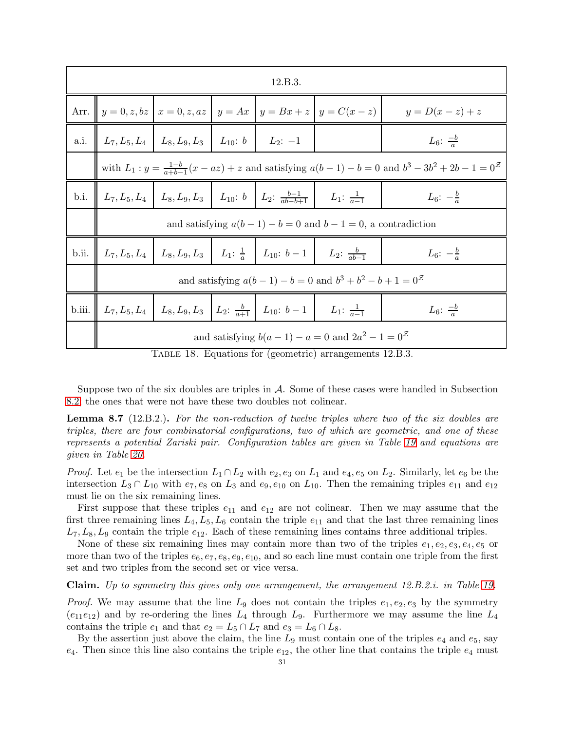|        |                                                                                                 |                                                                |  | 12.B.3.                                                                                                   |                                                                                     |                        |  |  |  |  |  |  |
|--------|-------------------------------------------------------------------------------------------------|----------------------------------------------------------------|--|-----------------------------------------------------------------------------------------------------------|-------------------------------------------------------------------------------------|------------------------|--|--|--|--|--|--|
|        |                                                                                                 |                                                                |  |                                                                                                           | Arr. $y = 0, z, bz \mid x = 0, z, az \mid y = Ax \mid y = Bx + z \mid y = C(x - z)$ | $y=D(x-z)+z$           |  |  |  |  |  |  |
| a.i.   |                                                                                                 | $L_7, L_5, L_4 \mid L_8, L_9, L_3 \mid L_{10}: b \mid L_2: -1$ |  |                                                                                                           |                                                                                     | $L_6: \frac{-b}{a}$    |  |  |  |  |  |  |
|        | with $L_1: y = \frac{1-b}{a+b-1}(x-az) + z$ and satisfying $a(b-1)-b=0$ and $b^3-3b^2+2b-1=0^2$ |                                                                |  |                                                                                                           |                                                                                     |                        |  |  |  |  |  |  |
| b.i.   |                                                                                                 |                                                                |  | $L_7, L_5, L_4$ $L_8, L_9, L_3$ $L_{10}$ : $b \mid L_2$ : $\frac{b-1}{ab-b+1} \mid L_1$ : $\frac{1}{a-1}$ |                                                                                     | $L_6$ : $-\frac{b}{a}$ |  |  |  |  |  |  |
|        | and satisfying $a(b-1)-b=0$ and $b-1=0$ , a contradiction                                       |                                                                |  |                                                                                                           |                                                                                     |                        |  |  |  |  |  |  |
| b.ii.  |                                                                                                 |                                                                |  | $L_7, L_5, L_4$ $L_8, L_9, L_3$ $L_1: \frac{1}{a}$ $L_{10}: b-1$ $L_2: \frac{b}{ab-1}$                    |                                                                                     | $L_6$ : $-\frac{b}{a}$ |  |  |  |  |  |  |
|        |                                                                                                 |                                                                |  |                                                                                                           | and satisfying $a(b-1) - b = 0$ and $b^3 + b^2 - b + 1 = 0^2$                       |                        |  |  |  |  |  |  |
| b.iii. |                                                                                                 |                                                                |  | $L_7, L_5, L_4$   $L_8, L_9, L_3$   $L_2$ : $\frac{b}{a+1}$   $L_{10}$ : $b-1$   $L_1$ : $\frac{1}{a-1}$  |                                                                                     | $L_6: \frac{-b}{a}$    |  |  |  |  |  |  |
|        | and satisfying $b(a-1)-a=0$ and $2a^2-1=0^2$                                                    |                                                                |  |                                                                                                           |                                                                                     |                        |  |  |  |  |  |  |

<span id="page-30-0"></span>TABLE 18. Equations for (geometric) arrangements 12.B.3.

Suppose two of the six doubles are triples in A. Some of these cases were handled in Subsection [8.2;](#page-24-0) the ones that were not have these two doubles not colinear.

<span id="page-30-1"></span>**Lemma 8.7** (12.B.2.). For the non-reduction of twelve triples where two of the six doubles are triples, there are four combinatorial configurations, two of which are geometric, and one of these represents a potential Zariski pair. Configuration tables are given in Table [19](#page-32-0) and equations are given in Table [20.](#page-32-1)

*Proof.* Let  $e_1$  be the intersection  $L_1 \cap L_2$  with  $e_2, e_3$  on  $L_1$  and  $e_4, e_5$  on  $L_2$ . Similarly, let  $e_6$  be the intersection  $L_3 \cap L_{10}$  with  $e_7, e_8$  on  $L_3$  and  $e_9, e_{10}$  on  $L_{10}$ . Then the remaining triples  $e_{11}$  and  $e_{12}$ must lie on the six remaining lines.

First suppose that these triples  $e_{11}$  and  $e_{12}$  are not colinear. Then we may assume that the first three remaining lines  $L_4, L_5, L_6$  contain the triple  $e_{11}$  and that the last three remaining lines  $L_7, L_8, L_9$  contain the triple  $e_{12}$ . Each of these remaining lines contains three additional triples.

None of these six remaining lines may contain more than two of the triples  $e_1, e_2, e_3, e_4, e_5$  or more than two of the triples  $e_6, e_7, e_8, e_9, e_{10}$ , and so each line must contain one triple from the first set and two triples from the second set or vice versa.

Claim. Up to symmetry this gives only one arrangement, the arrangement 12.B.2.i. in Table [19.](#page-32-0)

*Proof.* We may assume that the line  $L_9$  does not contain the triples  $e_1, e_2, e_3$  by the symmetry  $(e_{11}e_{12})$  and by re-ordering the lines  $L_4$  through  $L_9$ . Furthermore we may assume the line  $L_4$ contains the triple  $e_1$  and that  $e_2 = L_5 \cap L_7$  and  $e_3 = L_6 \cap L_8$ .

By the assertion just above the claim, the line  $L_9$  must contain one of the triples  $e_4$  and  $e_5$ , say  $e_4$ . Then since this line also contains the triple  $e_{12}$ , the other line that contains the triple  $e_4$  must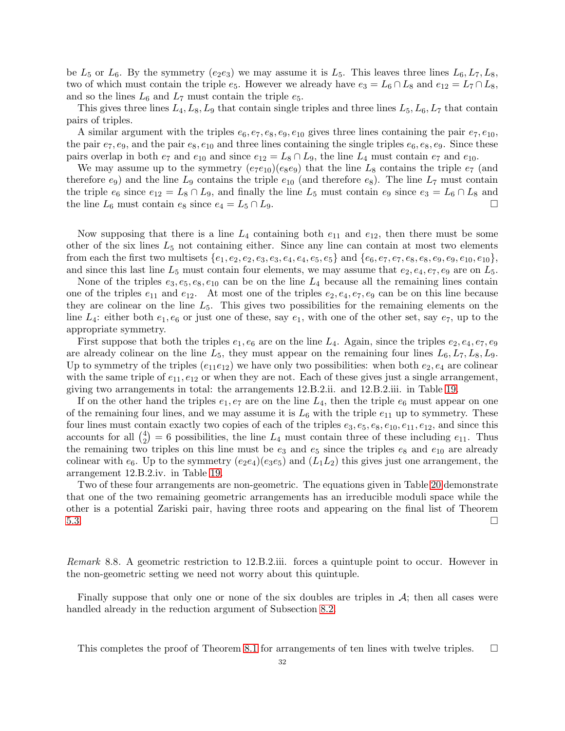be  $L_5$  or  $L_6$ . By the symmetry (e<sub>2</sub>e<sub>3</sub>) we may assume it is  $L_5$ . This leaves three lines  $L_6, L_7, L_8$ , two of which must contain the triple  $e_5$ . However we already have  $e_3 = L_6 \cap L_8$  and  $e_{12} = L_7 \cap L_8$ , and so the lines  $L_6$  and  $L_7$  must contain the triple  $e_5$ .

This gives three lines  $L_4, L_8, L_9$  that contain single triples and three lines  $L_5, L_6, L_7$  that contain pairs of triples.

A similar argument with the triples  $e_6, e_7, e_8, e_9, e_{10}$  gives three lines containing the pair  $e_7, e_{10}$ , the pair  $e_7, e_9$ , and the pair  $e_8, e_{10}$  and three lines containing the single triples  $e_6, e_8, e_9$ . Since these pairs overlap in both  $e_7$  and  $e_{10}$  and since  $e_{12} = L_8 \cap L_9$ , the line  $L_4$  must contain  $e_7$  and  $e_{10}$ .

We may assume up to the symmetry  $(e_7e_{10})(e_8e_9)$  that the line  $L_8$  contains the triple  $e_7$  (and therefore  $e_9$ ) and the line  $L_9$  contains the triple  $e_{10}$  (and therefore  $e_8$ ). The line  $L_7$  must contain the triple  $e_6$  since  $e_{12} = L_8 \cap L_9$ , and finally the line  $L_5$  must contain  $e_9$  since  $e_3 = L_6 \cap L_8$  and the line  $L_6$  must contain  $e_8$  since  $e_4 = L_5 \cap L_9$ .

Now supposing that there is a line  $L_4$  containing both  $e_{11}$  and  $e_{12}$ , then there must be some other of the six lines  $L_5$  not containing either. Since any line can contain at most two elements from each the first two multisets  $\{e_1, e_2, e_2, e_3, e_3, e_4, e_4, e_5, e_5\}$  and  $\{e_6, e_7, e_7, e_8, e_8, e_9, e_9, e_{10}, e_{10}\},\$ and since this last line  $L_5$  must contain four elements, we may assume that  $e_2, e_4, e_7, e_9$  are on  $L_5$ .

None of the triples  $e_3, e_5, e_8, e_{10}$  can be on the line  $L_4$  because all the remaining lines contain one of the triples  $e_{11}$  and  $e_{12}$ . At most one of the triples  $e_2, e_4, e_7, e_9$  can be on this line because they are colinear on the line  $L_5$ . This gives two possibilities for the remaining elements on the line  $L_4$ : either both  $e_1, e_6$  or just one of these, say  $e_1$ , with one of the other set, say  $e_7$ , up to the appropriate symmetry.

First suppose that both the triples  $e_1, e_6$  are on the line  $L_4$ . Again, since the triples  $e_2, e_4, e_7, e_9$ are already colinear on the line  $L_5$ , they must appear on the remaining four lines  $L_6, L_7, L_8, L_9$ . Up to symmetry of the triples  $(e_{11}e_{12})$  we have only two possibilities: when both  $e_2, e_4$  are colinear with the same triple of  $e_{11}, e_{12}$  or when they are not. Each of these gives just a single arrangement, giving two arrangements in total: the arrangements 12.B.2.ii. and 12.B.2.iii. in Table [19.](#page-32-0)

If on the other hand the triples  $e_1, e_7$  are on the line  $L_4$ , then the triple  $e_6$  must appear on one of the remaining four lines, and we may assume it is  $L_6$  with the triple  $e_{11}$  up to symmetry. These four lines must contain exactly two copies of each of the triples  $e_3, e_5, e_8, e_{10}, e_{11}, e_{12}$ , and since this accounts for all  $\binom{4}{2}$  $\binom{4}{2}$  = 6 possibilities, the line  $L_4$  must contain three of these including  $e_{11}$ . Thus the remaining two triples on this line must be  $e_3$  and  $e_5$  since the triples  $e_8$  and  $e_{10}$  are already colinear with  $e_6$ . Up to the symmetry  $(e_2e_4)(e_3e_5)$  and  $(L_1L_2)$  this gives just one arrangement, the arrangement 12.B.2.iv. in Table [19.](#page-32-0)

Two of these four arrangements are non-geometric. The equations given in Table [20](#page-32-1) demonstrate that one of the two remaining geometric arrangements has an irreducible moduli space while the other is a potential Zariski pair, having three roots and appearing on the final list of Theorem [5.3.](#page-16-2)

<span id="page-31-0"></span>Remark 8.8. A geometric restriction to 12.B.2.iii. forces a quintuple point to occur. However in the non-geometric setting we need not worry about this quintuple.

Finally suppose that only one or none of the six doubles are triples in  $\mathcal{A}$ ; then all cases were handled already in the reduction argument of Subsection [8.2.](#page-24-0)

This completes the proof of Theorem [8.1](#page-23-3) for arrangements of ten lines with twelve triples.  $\square$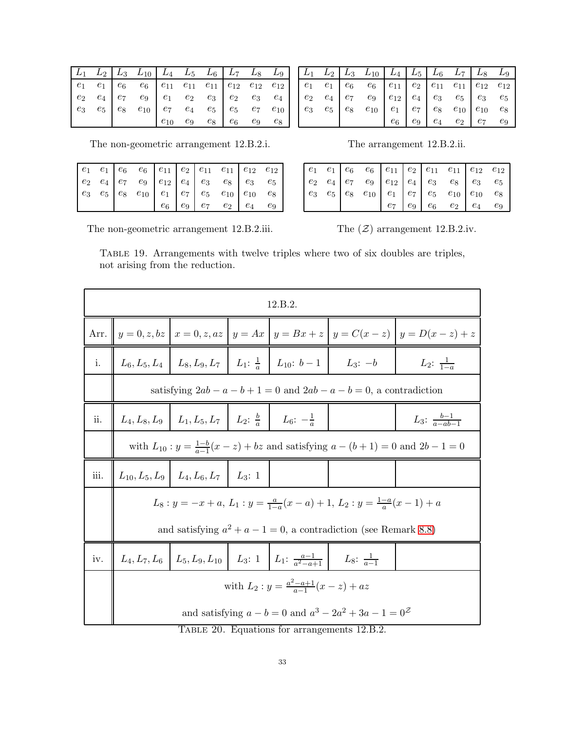|  | $\begin{array}{ c c c c c c c c c } \hline L_1 & L_2 & L_3 & L_{10} & L_4 & L_5 & L_6 & L_7 & L_8 & L_9 \ \hline \end{array}$                                                                        |  |  |  |
|--|------------------------------------------------------------------------------------------------------------------------------------------------------------------------------------------------------|--|--|--|
|  | $\begin{array}{ c cccc } \hline \hline e_1 & e_1 & e_6 & e_6 & e_{11} & e_{11} & e_{11} & e_{12} & e_{12} & e_{12} \ e_2 & e_4 & e_7 & e_9 & e_1 & e_2 & e_3 & e_2 & e_3 & e_4 \ \hline \end{array}$ |  |  |  |
|  |                                                                                                                                                                                                      |  |  |  |
|  |                                                                                                                                                                                                      |  |  |  |
|  |                                                                                                                                                                                                      |  |  |  |

|  | $L_1$ $L_2$ $L_3$ $L_{10}$ $L_4$ $L_5$ $L_6$ $L_7$ $L_8$ $L_9$             |  |                                     |  |  |
|--|----------------------------------------------------------------------------|--|-------------------------------------|--|--|
|  | $e_1$ $e_1$ $e_6$ $e_6$ $e_{11}$ $e_2$ $e_{11}$ $e_{11}$ $e_{12}$ $e_{12}$ |  |                                     |  |  |
|  | $e_2$ $e_4$ $e_7$ $e_9$ $e_{12}$ $e_4$ $e_3$ $e_5$ $e_3$ $e_5$             |  |                                     |  |  |
|  | $e_3$ $e_5$ $e_8$ $e_{10}$ $e_1$ $e_7$ $e_8$ $e_{10}$ $e_{10}$ $e_8$       |  |                                     |  |  |
|  |                                                                            |  | $e_6$ $e_9$ $e_4$ $e_2$ $e_7$ $e_9$ |  |  |

The non-geometric arrangement 12.B.2.i. The arrangement 12.B.2.ii

|  | The arrangement 12.B.2.ii. |  |
|--|----------------------------|--|
|--|----------------------------|--|

The non-geometric arrangement 12.B.2.iii. The  $(\mathcal{Z})$  arrangement 12.B.2.iv.

<span id="page-32-0"></span>Table 19. Arrangements with twelve triples where two of six doubles are triples, not arising from the reduction.

|      |                                                                                              |                                                                                 |  | 12.B.2.                                                                                                 |                                                                                             |                                                                                                           |  |  |  |  |  |  |
|------|----------------------------------------------------------------------------------------------|---------------------------------------------------------------------------------|--|---------------------------------------------------------------------------------------------------------|---------------------------------------------------------------------------------------------|-----------------------------------------------------------------------------------------------------------|--|--|--|--|--|--|
|      |                                                                                              |                                                                                 |  |                                                                                                         |                                                                                             | Arr. $y = 0, z, bz \mid x = 0, z, az \mid y = Ax \mid y = Bx + z \mid y = C(x - z) \mid y = D(x - z) + z$ |  |  |  |  |  |  |
| i.   |                                                                                              |                                                                                 |  |                                                                                                         | $L_6, L_5, L_4 \mid L_8, L_9, L_7 \mid L_1: \frac{1}{a} \mid L_{10}: b-1 \mid L_3: -b \mid$ | $L_2: \frac{1}{1-a}$                                                                                      |  |  |  |  |  |  |
|      |                                                                                              |                                                                                 |  |                                                                                                         | satisfying $2ab - a - b + 1 = 0$ and $2ab - a - b = 0$ , a contradiction                    |                                                                                                           |  |  |  |  |  |  |
| ii.  |                                                                                              | $L_4, L_8, L_9 \mid L_1, L_5, L_7 \mid L_2: \frac{b}{a} \mid L_6: -\frac{1}{a}$ |  |                                                                                                         |                                                                                             | $L_3: \frac{b-1}{a-ab-1}$                                                                                 |  |  |  |  |  |  |
|      | with $L_{10}: y = \frac{1-b}{a-1}(x-z) + bz$ and satisfying $a - (b+1) = 0$ and $2b - 1 = 0$ |                                                                                 |  |                                                                                                         |                                                                                             |                                                                                                           |  |  |  |  |  |  |
| iii. |                                                                                              | $L_{10}, L_5, L_9 \mid L_4, L_6, L_7 \mid L_3: 1$                               |  |                                                                                                         |                                                                                             |                                                                                                           |  |  |  |  |  |  |
|      |                                                                                              |                                                                                 |  |                                                                                                         | $L_8: y = -x + a, L_1: y = \frac{a}{1-a}(x-a) + 1, L_2: y = \frac{1-a}{a}(x-1) + a$         |                                                                                                           |  |  |  |  |  |  |
|      |                                                                                              |                                                                                 |  |                                                                                                         | and satisfying $a^2 + a - 1 = 0$ , a contradiction (see Remark 8.8)                         |                                                                                                           |  |  |  |  |  |  |
| iv.  |                                                                                              |                                                                                 |  | $L_4, L_7, L_6 \mid L_5, L_9, L_{10} \mid L_3: 1 \mid L_1: \frac{a-1}{a^2-a+1} \mid L_8: \frac{1}{a-1}$ |                                                                                             |                                                                                                           |  |  |  |  |  |  |
|      | with $L_2: y = \frac{a^2 - a + 1}{a - 1}(x - z) + az$                                        |                                                                                 |  |                                                                                                         |                                                                                             |                                                                                                           |  |  |  |  |  |  |
|      |                                                                                              |                                                                                 |  | $T_{\text{APT}}$ 30 $\Gamma_{\text{curv}i}$ for a proportional 19 $R$                                   | and satisfying $a - b = 0$ and $a^3 - 2a^2 + 3a - 1 = 0^{\mathcal{Z}}$                      |                                                                                                           |  |  |  |  |  |  |

<span id="page-32-1"></span>TABLE 20. Equations for arrangements 12.B.2.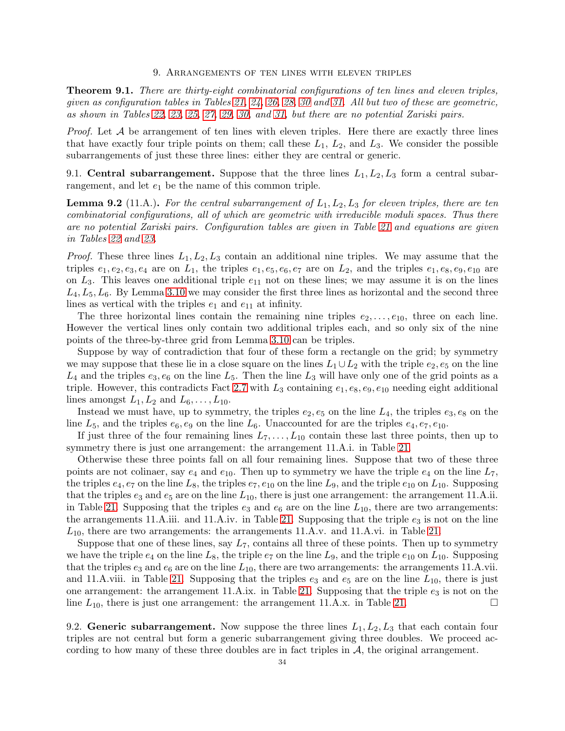#### 9. Arrangements of ten lines with eleven triples

<span id="page-33-4"></span><span id="page-33-0"></span>Theorem 9.1. There are thirty-eight combinatorial configurations of ten lines and eleven triples, given as configuration tables in Tables [21,](#page-34-0) [24,](#page-36-1) [26,](#page-38-0) [28,](#page-40-0) [30](#page-42-7) and [31.](#page-43-7) All but two of these are geometric, as shown in Tables [22,](#page-35-0) [23,](#page-36-0) [25,](#page-37-0) [27,](#page-39-0) [29,](#page-41-0) [30,](#page-42-7) and [31,](#page-43-7) but there are no potential Zariski pairs.

*Proof.* Let  $A$  be arrangement of ten lines with eleven triples. Here there are exactly three lines that have exactly four triple points on them; call these  $L_1$ ,  $L_2$ , and  $L_3$ . We consider the possible subarrangements of just these three lines: either they are central or generic.

<span id="page-33-1"></span>9.1. Central subarrangement. Suppose that the three lines  $L_1, L_2, L_3$  form a central subarrangement, and let  $e_1$  be the name of this common triple.

<span id="page-33-3"></span>**Lemma 9.2** (11.A.). For the central subarrangement of  $L_1, L_2, L_3$  for eleven triples, there are ten combinatorial configurations, all of which are geometric with irreducible moduli spaces. Thus there are no potential Zariski pairs. Configuration tables are given in Table [21](#page-34-0) and equations are given in Tables [22](#page-35-0) and [23.](#page-36-0)

*Proof.* These three lines  $L_1, L_2, L_3$  contain an additional nine triples. We may assume that the triples  $e_1, e_2, e_3, e_4$  are on  $L_1$ , the triples  $e_1, e_5, e_6, e_7$  are on  $L_2$ , and the triples  $e_1, e_8, e_9, e_{10}$  are on  $L_3$ . This leaves one additional triple  $e_{11}$  not on these lines; we may assume it is on the lines  $L_4, L_5, L_6$ . By Lemma [3.10](#page-7-1) we may consider the first three lines as horizontal and the second three lines as vertical with the triples  $e_1$  and  $e_{11}$  at infinity.

The three horizontal lines contain the remaining nine triples  $e_2, \ldots, e_{10}$ , three on each line. However the vertical lines only contain two additional triples each, and so only six of the nine points of the three-by-three grid from Lemma [3.10](#page-7-1) can be triples.

Suppose by way of contradiction that four of these form a rectangle on the grid; by symmetry we may suppose that these lie in a close square on the lines  $L_1 \cup L_2$  with the triple  $e_2, e_5$  on the line  $L_4$  and the triples  $e_3, e_6$  on the line  $L_5$ . Then the line  $L_3$  will have only one of the grid points as a triple. However, this contradicts Fact [2.7](#page-4-5) with  $L_3$  containing  $e_1, e_8, e_9, e_{10}$  needing eight additional lines amongst  $L_1, L_2$  and  $L_6, \ldots, L_{10}$ .

Instead we must have, up to symmetry, the triples  $e_2, e_5$  on the line  $L_4$ , the triples  $e_3, e_8$  on the line  $L_5$ , and the triples  $e_6$ ,  $e_9$  on the line  $L_6$ . Unaccounted for are the triples  $e_4$ ,  $e_7$ ,  $e_{10}$ .

If just three of the four remaining lines  $L_7, \ldots, L_{10}$  contain these last three points, then up to symmetry there is just one arrangement: the arrangement 11.A.i. in Table [21.](#page-34-0)

Otherwise these three points fall on all four remaining lines. Suppose that two of these three points are not colinaer, say  $e_4$  and  $e_{10}$ . Then up to symmetry we have the triple  $e_4$  on the line  $L_7$ , the triples  $e_4, e_7$  on the line  $L_8$ , the triples  $e_7, e_{10}$  on the line  $L_9$ , and the triple  $e_{10}$  on  $L_{10}$ . Supposing that the triples  $e_3$  and  $e_5$  are on the line  $L_{10}$ , there is just one arrangement: the arrangement 11.A.ii. in Table [21.](#page-34-0) Supposing that the triples  $e_3$  and  $e_6$  are on the line  $L_{10}$ , there are two arrangements: the arrangements 11.A.iii. and 11.A.iv. in Table [21.](#page-34-0) Supposing that the triple  $e_3$  is not on the line  $L_{10}$ , there are two arrangements: the arrangements 11.A.v. and 11.A.vi. in Table [21.](#page-34-0)

Suppose that one of these lines, say  $L_7$ , contains all three of these points. Then up to symmetry we have the triple  $e_4$  on the line  $L_8$ , the triple  $e_7$  on the line  $L_9$ , and the triple  $e_{10}$  on  $L_{10}$ . Supposing that the triples  $e_3$  and  $e_6$  are on the line  $L_{10}$ , there are two arrangements: the arrangements 11.A.vii. and 11.A.viii. in Table [21.](#page-34-0) Supposing that the triples  $e_3$  and  $e_5$  are on the line  $L_{10}$ , there is just one arrangement: the arrangement 11.A.ix. in Table [21.](#page-34-0) Supposing that the triple  $e_3$  is not on the line  $L_{10}$ , there is just one arrangement: the arrangement 11.A.x. in Table [21.](#page-34-0)

<span id="page-33-2"></span>9.2. Generic subarrangement. Now suppose the three lines  $L_1, L_2, L_3$  that each contain four triples are not central but form a generic subarrangement giving three doubles. We proceed according to how many of these three doubles are in fact triples in  $A$ , the original arrangement.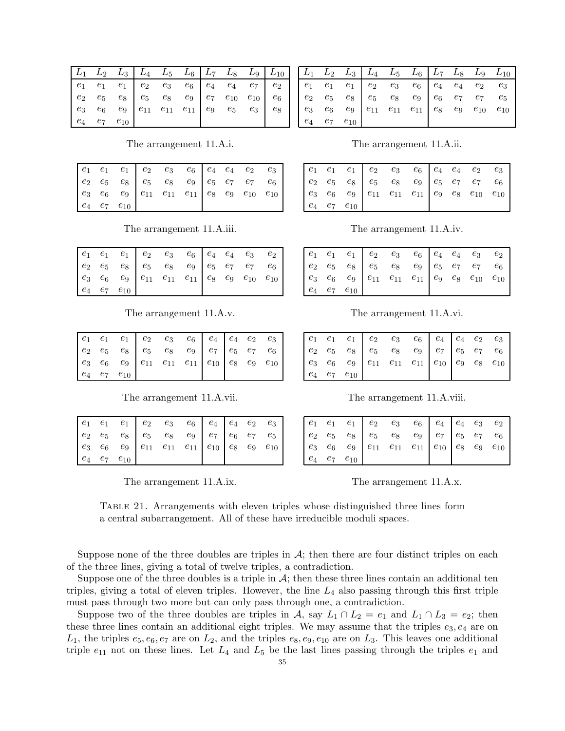|  |                      |  | $\begin{array}{ c c c c c c c c c } \hline L_1 & L_2 & L_3 & L_4 & L_5 & L_6 & L_7 & L_8 & L_9 & L_{10} \ \hline \end{array}$                                                                                   |  |  |
|--|----------------------|--|-----------------------------------------------------------------------------------------------------------------------------------------------------------------------------------------------------------------|--|--|
|  |                      |  | $\begin{array}{ c cccc } \hline \begin{array}{cccccccccc} e_1 & e_1 & e_1 & e_2 & e_3 & e_6 & e_4 & e_4 & e_7 & e_2 \\ e_2 & e_5 & e_8 & e_5 & e_8 & e_9 & e_7 & e_{10} & e_{10} & e_6 \end{array} \end{array}$ |  |  |
|  |                      |  |                                                                                                                                                                                                                 |  |  |
|  |                      |  |                                                                                                                                                                                                                 |  |  |
|  | $e_4$ $e_7$ $e_{10}$ |  |                                                                                                                                                                                                                 |  |  |

 $L_{10}$  $L_{3}$  $L_4$  $L_{5}$  $L_{6}$  $_{L7}$  $L_{8}$  $L_9$  $L_2$  $\ensuremath{e}_1$  $\ensuremath{e}_1$  $\mathfrak{e}_3$  $e_4$  $\mathfrak{e}_3$  $e_1$  $\mathfrak{e}_2$  $\boldsymbol{e}_6$  $\mathfrak{e}_4$  $\mathfrak{e}_2$  $e_2$  $e_5$  $e_8$  $e_5$  $\boldsymbol{e_8}$  $e_9$  $e_7$  $e_7$  $e_5$  $e_6$  $e_\mathrm{10}$  $e_3$  $e_6$  $\mathfrak{e}_9$  $e_{11}$  $e_{11}$  $e_{11}$  $e_8$  $e_9$  $e_{10}$  $e_4$  $e_7$  $e_{10}$ 

The arrangement 11.A.i.

|  |                      |  | $\begin{array}{ c cccc } \hline e_1 & e_1 & e_1 & e_2 & e_3 & e_6 \ e_2 & e_5 & e_8 & e_5 & e_8 & e_9 \ e_3 & e_6 & e_9 & e_{11} & e_{11} & e_{11} \ \hline \end{array} \begin{array}{ c c c c } \hline e_2 & e_3 & e_6 & e_7 & e_7 & e_6 \ e_5 & e_7 & e_7 & e_6 \ e_8 & e_9 & e_{10} & e_{10} \ \hline \end{array}$ |  |  |
|--|----------------------|--|-----------------------------------------------------------------------------------------------------------------------------------------------------------------------------------------------------------------------------------------------------------------------------------------------------------------------|--|--|
|  |                      |  |                                                                                                                                                                                                                                                                                                                       |  |  |
|  |                      |  |                                                                                                                                                                                                                                                                                                                       |  |  |
|  | $e_4$ $e_7$ $e_{10}$ |  |                                                                                                                                                                                                                                                                                                                       |  |  |

The arrangement 11.A.iii.

The arrangement 11.A.v.

|  |                      | $\begin{array}{cccc c} e_1 & e_1 & e_1 & e_2 & e_3 & e_6 & e_4 & e_4 & e_2 & e_3 \ e_2 & e_5 & e_8 & e_9 & e_7 & e_7 & e_6 \ e_3 & e_6 & e_9 & e_{11} & e_{11} & e_{11} & e_{10} & e_8 & e_9 & e_{10} \end{array}$ |  |  |  |
|--|----------------------|--------------------------------------------------------------------------------------------------------------------------------------------------------------------------------------------------------------------|--|--|--|
|  | $e_4$ $e_7$ $e_{10}$ |                                                                                                                                                                                                                    |  |  |  |

The arrangement 11.A.vii.

|  |                      |  | $\begin{array}{ c cccc } \hline e_1 & e_1 & e_1 & e_2 & e_3 & e_6 & e_4 & e_4 & e_2 & e_3 \ e_2 & e_5 & e_8 & e_8 & e_9 & e_7 & e_6 & e_7 & e_5 \ e_3 & e_6 & e_9 & e_{11} & e_{11} & e_{11} & e_{10} & e_8 & e_9 & e_{10} \ \hline \end{array}$ |  |  |
|--|----------------------|--|--------------------------------------------------------------------------------------------------------------------------------------------------------------------------------------------------------------------------------------------------|--|--|
|  |                      |  |                                                                                                                                                                                                                                                  |  |  |
|  |                      |  |                                                                                                                                                                                                                                                  |  |  |
|  | $e_4$ $e_7$ $e_{10}$ |  |                                                                                                                                                                                                                                                  |  |  |

<span id="page-34-0"></span>The arrangement 11.A.ix.

|  | The arrangement 11.A.ii. |  |  |  |
|--|--------------------------|--|--|--|
|--|--------------------------|--|--|--|

The arrangement 11.A.iv.

|  |                      |  | $\begin{array}{cccc cccc} e_1 & e_1 & e_1 & e_2 & e_3 & e_6 & e_4 & e_4 & e_3 & e_2 \\ e_2 & e_5 & e_8 & e_5 & e_8 & e_9 & e_5 & e_7 & e_7 & e_6 \\ e_3 & e_6 & e_9 & e_{11} & e_{11} & e_{11} & e_9 & e_8 & e_{10} & e_{10} \end{array}$ |  |  |
|--|----------------------|--|-------------------------------------------------------------------------------------------------------------------------------------------------------------------------------------------------------------------------------------------|--|--|
|  |                      |  |                                                                                                                                                                                                                                           |  |  |
|  |                      |  |                                                                                                                                                                                                                                           |  |  |
|  | $e_4$ $e_7$ $e_{10}$ |  |                                                                                                                                                                                                                                           |  |  |

The arrangement 11.A.vi.

|  |                      |  | $\begin{array}{cccc cccc} e_1 & e_1 & e_1 & e_2 & e_3 & e_6 & e_4 & e_4 & e_2 & e_3 \\ e_2 & e_5 & e_8 & e_5 & e_8 & e_9 & e_7 & e_5 & e_7 & e_6 \\ e_3 & e_6 & e_9 & e_{11} & e_{11} & e_{11} & e_{10} & e_9 & e_8 & e_{10} \end{array}$ |  |  |
|--|----------------------|--|-------------------------------------------------------------------------------------------------------------------------------------------------------------------------------------------------------------------------------------------|--|--|
|  | $e_4$ $e_7$ $e_{10}$ |  |                                                                                                                                                                                                                                           |  |  |

The arrangement 11.A.viii.

|  | $e_4$ $e_7$ $e_{10}$ |  |  |  |  |
|--|----------------------|--|--|--|--|

The arrangement 11.A.x.

TABLE 21. Arrangements with eleven triples whose distinguished three lines form a central subarrangement. All of these have irreducible moduli spaces.

Suppose none of the three doubles are triples in  $A$ ; then there are four distinct triples on each of the three lines, giving a total of twelve triples, a contradiction.

Suppose one of the three doubles is a triple in  $A$ ; then these three lines contain an additional ten triples, giving a total of eleven triples. However, the line  $L_4$  also passing through this first triple must pass through two more but can only pass through one, a contradiction.

Suppose two of the three doubles are triples in A, say  $L_1 \cap L_2 = e_1$  and  $L_1 \cap L_3 = e_2$ ; then these three lines contain an additional eight triples. We may assume that the triples  $e_3, e_4$  are on  $L_1$ , the triples  $e_5, e_6, e_7$  are on  $L_2$ , and the triples  $e_8, e_9, e_{10}$  are on  $L_3$ . This leaves one additional triple  $e_{11}$  not on these lines. Let  $L_4$  and  $L_5$  be the last lines passing through the triples  $e_1$  and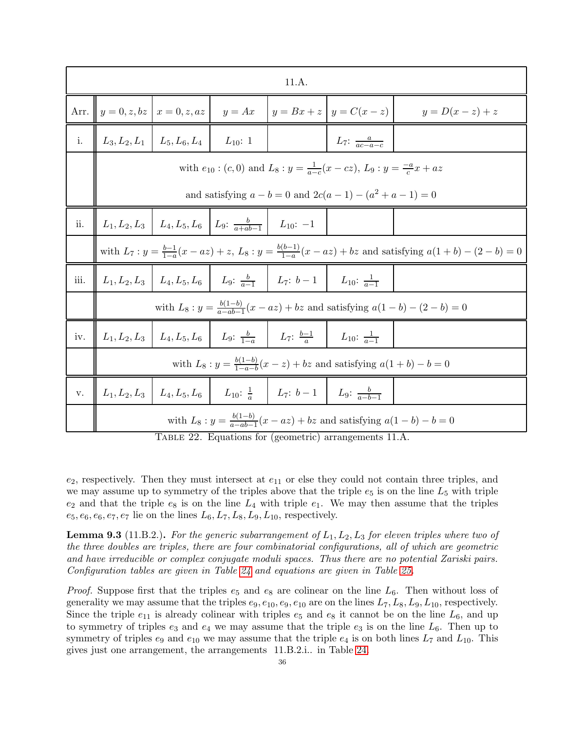|      |                                                                                                                              |                                                   |  | 11.A.                                                                                                         |                                                                                                     |                                                                                            |  |  |  |  |  |  |
|------|------------------------------------------------------------------------------------------------------------------------------|---------------------------------------------------|--|---------------------------------------------------------------------------------------------------------------|-----------------------------------------------------------------------------------------------------|--------------------------------------------------------------------------------------------|--|--|--|--|--|--|
| Arr. |                                                                                                                              | $y = 0, z, bz \mid x = 0, z, az \mid y = Ax$      |  |                                                                                                               | $ y = Bx + z   y = C(x - z) $                                                                       | $y=D(x-z)+z$                                                                               |  |  |  |  |  |  |
| i.   |                                                                                                                              | $L_3, L_2, L_1 \mid L_5, L_6, L_4 \mid L_{10}: 1$ |  |                                                                                                               | $L_7: \frac{a}{ac-a-c}$                                                                             |                                                                                            |  |  |  |  |  |  |
|      |                                                                                                                              |                                                   |  |                                                                                                               | with $e_{10}$ : $(c, 0)$ and $L_8$ : $y = \frac{1}{a-c}(x - cz)$ , $L_9$ : $y = \frac{-a}{c}x + az$ |                                                                                            |  |  |  |  |  |  |
|      | and satisfying $a - b = 0$ and $2c(a - 1) - (a^2 + a - 1) = 0$                                                               |                                                   |  |                                                                                                               |                                                                                                     |                                                                                            |  |  |  |  |  |  |
| ii.  | $L_1, L_2, L_3 \mid L_4, L_5, L_6 \mid L_9: \frac{b}{a+ab-1} \mid L_{10}: -1$                                                |                                                   |  |                                                                                                               |                                                                                                     |                                                                                            |  |  |  |  |  |  |
|      | with $L_7: y = \frac{b-1}{1-a}(x - az) + z$ , $L_8: y = \frac{b(b-1)}{1-a}(x - az) + bz$ and satisfying $a(1+b) - (2-b) = 0$ |                                                   |  |                                                                                                               |                                                                                                     |                                                                                            |  |  |  |  |  |  |
| iii. |                                                                                                                              |                                                   |  | $L_1, L_2, L_3 \mid L_4, L_5, L_6 \mid L_9: \frac{b}{a-1} \mid L_7: b-1 \mid L_{10}: \frac{1}{a-1}$           |                                                                                                     |                                                                                            |  |  |  |  |  |  |
|      |                                                                                                                              |                                                   |  |                                                                                                               |                                                                                                     | with $L_8: y = \frac{b(1-b)}{a - ab - 1}(x - az) + bz$ and satisfying $a(1-b) - (2-b) = 0$ |  |  |  |  |  |  |
| iv.  |                                                                                                                              |                                                   |  | $L_1, L_2, L_3 \mid L_4, L_5, L_6 \mid L_9: \frac{b}{1-a} \mid L_7: \frac{b-1}{a} \mid L_{10}: \frac{1}{a-1}$ |                                                                                                     |                                                                                            |  |  |  |  |  |  |
|      | with $L_8: y = \frac{b(1-b)}{1-a-b}(x-z) + bz$ and satisfying $a(1+b) - b = 0$                                               |                                                   |  |                                                                                                               |                                                                                                     |                                                                                            |  |  |  |  |  |  |
| v.   |                                                                                                                              |                                                   |  | $L_1, L_2, L_3 \mid L_4, L_5, L_6 \mid L_{10}: \frac{1}{a} \mid L_7: b-1 \mid L_9: \frac{b}{a-b-1}$           |                                                                                                     |                                                                                            |  |  |  |  |  |  |
|      |                                                                                                                              |                                                   |  |                                                                                                               | with $L_8: y = \frac{b(1-b)}{a - ab - 1}(x - az) + bz$ and satisfying $a(1-b) - b = 0$              |                                                                                            |  |  |  |  |  |  |

<span id="page-35-0"></span>Table 22. Equations for (geometric) arrangements 11.A.

 $e_2$ , respectively. Then they must intersect at  $e_{11}$  or else they could not contain three triples, and we may assume up to symmetry of the triples above that the triple  $e_5$  is on the line  $L_5$  with triple  $e_2$  and that the triple  $e_8$  is on the line  $L_4$  with triple  $e_1$ . We may then assume that the triples  $e_5, e_6, e_6, e_7, e_7$  lie on the lines  $L_6, L_7, L_8, L_9, L_{10}$ , respectively.

<span id="page-35-1"></span>**Lemma 9.3** (11.B.2.). For the generic subarrangement of  $L_1, L_2, L_3$  for eleven triples where two of the three doubles are triples, there are four combinatorial configurations, all of which are geometric and have irreducible or complex conjugate moduli spaces. Thus there are no potential Zariski pairs. Configuration tables are given in Table [24](#page-36-1) and equations are given in Table [25.](#page-37-0)

*Proof.* Suppose first that the triples  $e_5$  and  $e_8$  are colinear on the line  $L_6$ . Then without loss of generality we may assume that the triples  $e_9, e_{10}, e_9, e_{10}$  are on the lines  $L_7, L_8, L_9, L_{10}$ , respectively. Since the triple  $e_{11}$  is already colinear with triples  $e_5$  and  $e_8$  it cannot be on the line  $L_6$ , and up to symmetry of triples  $e_3$  and  $e_4$  we may assume that the triple  $e_3$  is on the line  $L_6$ . Then up to symmetry of triples  $e_9$  and  $e_{10}$  we may assume that the triple  $e_4$  is on both lines  $L_7$  and  $L_{10}$ . This gives just one arrangement, the arrangements 11.B.2.i.. in Table [24.](#page-36-1)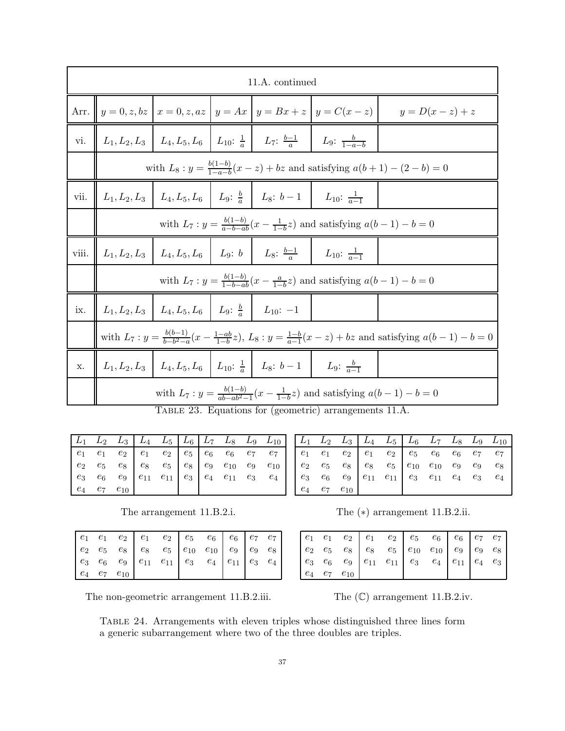|       |                                                                                               |                                                                       |  | 11.A. continued                                                                                   |                                                                                                  |                                                                                                                             |  |  |  |  |  |  |
|-------|-----------------------------------------------------------------------------------------------|-----------------------------------------------------------------------|--|---------------------------------------------------------------------------------------------------|--------------------------------------------------------------------------------------------------|-----------------------------------------------------------------------------------------------------------------------------|--|--|--|--|--|--|
|       |                                                                                               |                                                                       |  |                                                                                                   | Arr. $\ y=0, z, bz\ x=0, z, az\ y=Ax\ y=Bx+z\ y=C(x-z)\ $                                        | $y=D(x-z)+z$                                                                                                                |  |  |  |  |  |  |
| vi.   |                                                                                               |                                                                       |  | $L_1, L_2, L_3$ $L_4, L_5, L_6$ $L_{10}: \frac{1}{a}$ $L_7: \frac{b-1}{a}$ $L_9: \frac{b}{1-a-b}$ |                                                                                                  |                                                                                                                             |  |  |  |  |  |  |
|       | with $L_8: y = \frac{b(1-b)}{1-a-b}(x-z) + bz$ and satisfying $a(b+1) - (2-b) = 0$            |                                                                       |  |                                                                                                   |                                                                                                  |                                                                                                                             |  |  |  |  |  |  |
| vii.  | $L_1, L_2, L_3$   $L_4, L_5, L_6$   $L_9: \frac{b}{a}$   $L_8: b-1$   $L_{10}: \frac{1}{a-1}$ |                                                                       |  |                                                                                                   |                                                                                                  |                                                                                                                             |  |  |  |  |  |  |
|       | with $L_7: y = \frac{b(1-b)}{a-b-ab}(x - \frac{1}{1-b}z)$ and satisfying $a(b-1) - b = 0$     |                                                                       |  |                                                                                                   |                                                                                                  |                                                                                                                             |  |  |  |  |  |  |
| viii. |                                                                                               |                                                                       |  | $L_1, L_2, L_3$   $L_4, L_5, L_6$   $L_9: b$   $L_8: \frac{b-1}{a}$   $L_{10}: \frac{1}{a-1}$     |                                                                                                  |                                                                                                                             |  |  |  |  |  |  |
|       | with $L_7: y = \frac{b(1-b)}{1-b-ab}(x - \frac{a}{1-b}z)$ and satisfying $a(b-1) - b = 0$     |                                                                       |  |                                                                                                   |                                                                                                  |                                                                                                                             |  |  |  |  |  |  |
| ix.   |                                                                                               | $L_1, L_2, L_3$   $L_4, L_5, L_6$   $L_9: \frac{b}{a}$   $L_{10}: -1$ |  |                                                                                                   |                                                                                                  |                                                                                                                             |  |  |  |  |  |  |
|       |                                                                                               |                                                                       |  |                                                                                                   |                                                                                                  | with $L_7: y = \frac{b(b-1)}{b-b^2-a}(x-\frac{1-ab}{1-b}z), L_8: y = \frac{1-b}{a-1}(x-z) + bz$ and satisfying $a(b-1)-b=0$ |  |  |  |  |  |  |
| X.    |                                                                                               |                                                                       |  | $L_1, L_2, L_3$ $L_4, L_5, L_6$ $L_{10}: \frac{1}{a}$ $L_8: b-1$ $L_9: \frac{b}{a-1}$             |                                                                                                  |                                                                                                                             |  |  |  |  |  |  |
|       |                                                                                               |                                                                       |  |                                                                                                   | with $L_7: y = \frac{b(1-b)}{ab - ab^2 - 1}(x - \frac{1}{1-b}z)$ and satisfying $a(b-1) - b = 0$ |                                                                                                                             |  |  |  |  |  |  |

<span id="page-36-0"></span>Table 23. Equations for (geometric) arrangements 11.A.

|  | $\begin{array}{ c c c c c c c c } \hline L_1 & L_2 & L_3 & L_4 & L_5 & L_6 & L_7 & L_8 & L_9 & L_{10} \ \hline \end{array}$                                                                                                               |  |  |  |  |
|--|-------------------------------------------------------------------------------------------------------------------------------------------------------------------------------------------------------------------------------------------|--|--|--|--|
|  | $\begin{array}{cccc cccc} e_1 & e_1 & e_2 & e_1 & e_2 & e_5 & e_6 & e_6 & e_7 & e_7 \\ e_2 & e_5 & e_8 & e_8 & e_5 & e_8 & e_9 & e_{10} & e_9 & e_{10} \\ e_3 & e_6 & e_9 & e_{11} & e_{11} & e_3 & e_4 & e_{11} & e_3 & e_4 \end{array}$ |  |  |  |  |
|  |                                                                                                                                                                                                                                           |  |  |  |  |
|  |                                                                                                                                                                                                                                           |  |  |  |  |
|  | $e_4$ $e_7$ $e_{10}$                                                                                                                                                                                                                      |  |  |  |  |

|  | $e_4$ $e_7$ $e_{10}$ |  |  |  |  |
|--|----------------------|--|--|--|--|

|  |                      |  | $\begin{array}{ c c c c c c c c } \hline L_1 & L_2 & L_3 & L_4 & L_5 & L_6 & L_7 & L_8 & L_9 & L_{10} \hline \end{array}$                                                                                                                                |  |       |
|--|----------------------|--|----------------------------------------------------------------------------------------------------------------------------------------------------------------------------------------------------------------------------------------------------------|--|-------|
|  |                      |  | $\begin{array}{ c cccc } \hline e_1 & e_1 & e_2 & e_1 & e_2 & e_5 & e_6 & e_6 & e_7 & e_7 \\ e_2 & e_5 & e_8 & e_8 & e_5 & e_{10} & e_{10} & e_9 & e_9 & e_8 \\ e_3 & e_6 & e_9 & e_{11} & e_{11} & e_3 & e_{11} & e_4 & e_3 & e_4 \\\hline \end{array}$ |  |       |
|  |                      |  |                                                                                                                                                                                                                                                          |  | $e_8$ |
|  |                      |  |                                                                                                                                                                                                                                                          |  |       |
|  | $e_4$ $e_7$ $e_{10}$ |  |                                                                                                                                                                                                                                                          |  |       |

The arrangement 11.B.2.i. The (\*) arrangement 11.B.2.ii.

|  |                      | $\begin{array}{ c cccc } \hline e_1 & e_1 & e_2 & e_1 & e_2 & e_5 & e_6 & e_6 & e_7 & e_7\\ e_2 & e_5 & e_8 & e_8 & e_5 & e_{10} & e_{10} & e_9 & e_9 & e_8\\ e_3 & e_6 & e_9 & e_{11} & e_{11} & e_3 & e_4 & e_{11} & e_4 & e_3\\ \hline \end{array}$ |  |  |  |
|--|----------------------|--------------------------------------------------------------------------------------------------------------------------------------------------------------------------------------------------------------------------------------------------------|--|--|--|
|  |                      |                                                                                                                                                                                                                                                        |  |  |  |
|  |                      |                                                                                                                                                                                                                                                        |  |  |  |
|  | $e_4$ $e_7$ $e_{10}$ |                                                                                                                                                                                                                                                        |  |  |  |

The non-geometric arrangement 11.B.2.iii. The  $(\mathbb{C})$  arrangement 11.B.2.iv.

<span id="page-36-1"></span>Table 24. Arrangements with eleven triples whose distinguished three lines form a generic subarrangement where two of the three doubles are triples.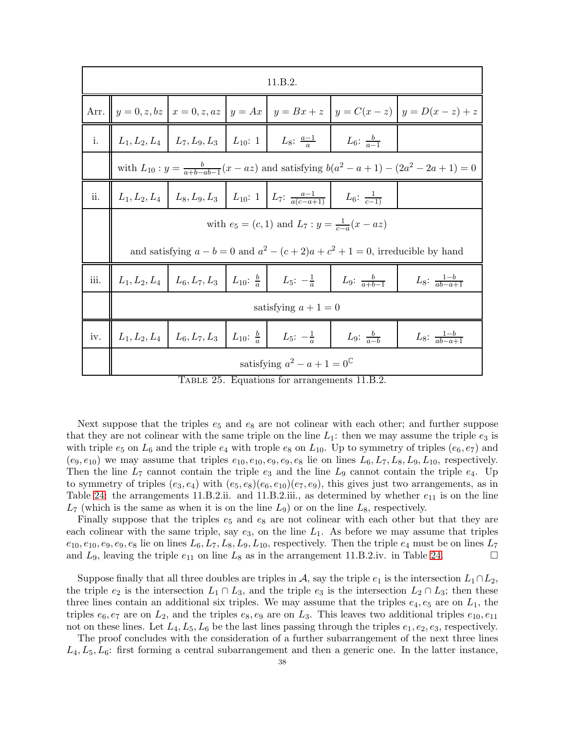|      |                                                                                                                                                             |  |  | 11.B.2.                                                                                                           |  |                                                                                                     |  |  |  |  |  |  |
|------|-------------------------------------------------------------------------------------------------------------------------------------------------------------|--|--|-------------------------------------------------------------------------------------------------------------------|--|-----------------------------------------------------------------------------------------------------|--|--|--|--|--|--|
|      |                                                                                                                                                             |  |  |                                                                                                                   |  | Arr. $\ y=0, z, bz\ x=0, z, az\ y=Ax\ y=Bx+z\ y=C(x-z)\ y=D(x-z)+z$                                 |  |  |  |  |  |  |
| i.   | $L_1, L_2, L_4 \mid L_7, L_9, L_3 \mid L_{10}: 1 \mid L_8: \frac{a-1}{a} \mid L_6: \frac{b}{a-1}$                                                           |  |  |                                                                                                                   |  |                                                                                                     |  |  |  |  |  |  |
|      |                                                                                                                                                             |  |  |                                                                                                                   |  | with $L_{10}: y = \frac{b}{a+b-ab-1}(x - az)$ and satisfying $b(a^2 - a + 1) - (2a^2 - 2a + 1) = 0$ |  |  |  |  |  |  |
| ii.  | $L_1, L_2, L_4$ $L_8, L_9, L_3$ $L_{10}:$ 1 $L_7: \frac{a-1}{a(c-a+1)}$ $L_6: \frac{1}{c-1}$                                                                |  |  |                                                                                                                   |  |                                                                                                     |  |  |  |  |  |  |
|      | with $e_5 = (c, 1)$ and $L_7: y = \frac{1}{c-a}(x - az)$                                                                                                    |  |  |                                                                                                                   |  |                                                                                                     |  |  |  |  |  |  |
|      |                                                                                                                                                             |  |  |                                                                                                                   |  | and satisfying $a - b = 0$ and $a^2 - (c + 2)a + c^2 + 1 = 0$ , irreducible by hand                 |  |  |  |  |  |  |
| iii. |                                                                                                                                                             |  |  | $L_1, L_2, L_4$   $L_6, L_7, L_3$   $L_{10}$ : $\frac{b}{a}$   $L_5$ : $-\frac{1}{a}$   $L_9$ : $\frac{b}{a+b-1}$ |  | $L_8$ : $\frac{1-b}{ab-a+1}$                                                                        |  |  |  |  |  |  |
|      |                                                                                                                                                             |  |  | satisfying $a+1=0$                                                                                                |  |                                                                                                     |  |  |  |  |  |  |
| iv.  | $L_1, L_2, L_4$   $L_6, L_7, L_3$   $L_{10}$ : $\frac{b}{a}$   $L_5$ : $-\frac{1}{a}$  <br>L <sub>9</sub> : $\frac{b}{a-b}$<br>$L_8$ : $\frac{1-b}{ab-a+1}$ |  |  |                                                                                                                   |  |                                                                                                     |  |  |  |  |  |  |
|      |                                                                                                                                                             |  |  | satisfying $a^2 - a + 1 = 0^{\mathbb{C}}$                                                                         |  |                                                                                                     |  |  |  |  |  |  |

<span id="page-37-0"></span>Table 25. Equations for arrangements 11.B.2.

Next suppose that the triples  $e_5$  and  $e_8$  are not colinear with each other; and further suppose that they are not colinear with the same triple on the line  $L_1$ : then we may assume the triple  $e_3$  is with triple  $e_5$  on  $L_6$  and the triple  $e_4$  with trople  $e_8$  on  $L_{10}$ . Up to symmetry of triples  $(e_6, e_7)$  and  $(e_9, e_{10})$  we may assume that triples  $e_{10}, e_{10}, e_9, e_9, e_8$  lie on lines  $L_6, L_7, L_8, L_9, L_{10}$ , respectively. Then the line  $L_7$  cannot contain the triple  $e_3$  and the line  $L_9$  cannot contain the triple  $e_4$ . Up to symmetry of triples  $(e_3, e_4)$  with  $(e_5, e_8)(e_6, e_{10})(e_7, e_9)$ , this gives just two arrangements, as in Table [24:](#page-36-1) the arrangements 11.B.2.ii. and 11.B.2.iii., as determined by whether  $e_{11}$  is on the line  $L_7$  (which is the same as when it is on the line  $L_9$ ) or on the line  $L_8$ , respectively.

Finally suppose that the triples  $e_5$  and  $e_8$  are not colinear with each other but that they are each colinear with the same triple, say  $e_3$ , on the line  $L_1$ . As before we may assume that triples  $e_{10}, e_{10}, e_9, e_9, e_8$  lie on lines  $L_6, L_7, L_8, L_9, L_{10}$ , respectively. Then the triple  $e_4$  must be on lines  $L_7$ and  $L_9$ , leaving the triple  $e_{11}$  on line  $L_8$  as in the arrangement 11.B.2.iv. in Table [24.](#page-36-1)

Suppose finally that all three doubles are triples in A, say the triple  $e_1$  is the intersection  $L_1 \cap L_2$ , the triple  $e_2$  is the intersection  $L_1 \cap L_3$ , and the triple  $e_3$  is the intersection  $L_2 \cap L_3$ ; then these three lines contain an additional six triples. We may assume that the triples  $e_4, e_5$  are on  $L_1$ , the triples  $e_6, e_7$  are on  $L_2$ , and the triples  $e_8, e_9$  are on  $L_3$ . This leaves two additional triples  $e_{10}, e_{11}$ not on these lines. Let  $L_4, L_5, L_6$  be the last lines passing through the triples  $e_1, e_2, e_3$ , respectively.

The proof concludes with the consideration of a further subarrangement of the next three lines  $L_4, L_5, L_6$ : first forming a central subarrangement and then a generic one. In the latter instance,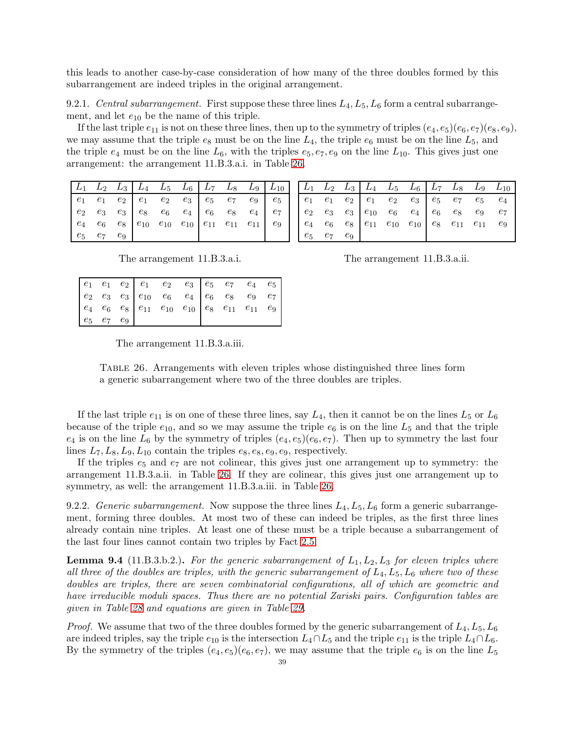this leads to another case-by-case consideration of how many of the three doubles formed by this subarrangement are indeed triples in the original arrangement.

9.2.1. Central subarrangement. First suppose these three lines  $L_4, L_5, L_6$  form a central subarrangement, and let  $e_{10}$  be the name of this triple.

If the last triple  $e_{11}$  is not on these three lines, then up to the symmetry of triples  $(e_4, e_5)(e_6, e_7)(e_8, e_9)$ , we may assume that the triple  $e_8$  must be on the line  $L_4$ , the triple  $e_6$  must be on the line  $L_5$ , and the triple  $e_4$  must be on the line  $L_6$ , with the triples  $e_5, e_7, e_9$  on the line  $L_{10}$ . This gives just one arrangement: the arrangement 11.B.3.a.i. in Table 26.

|                   |  |  |                                                                                                                                                                                                                                                              | $\begin{array}{ c c c c c c c c c } \hline L_1 & L_2 & L_3 & L_4 & L_5 & L_6 & L_7 & L_8 & L_9 & L_{10} \ \hline \end{array}$ |
|-------------------|--|--|--------------------------------------------------------------------------------------------------------------------------------------------------------------------------------------------------------------------------------------------------------------|-------------------------------------------------------------------------------------------------------------------------------|
|                   |  |  | $\begin{array}{ c cccc } \hline e_1 & e_1 & e_2 & e_1 & e_2 & e_3 & e_5 & e_7 & e_9 & e_5 \\ e_2 & e_3 & e_3 & e_8 & e_6 & e_4 & e_6 & e_8 & e_4 & e_7 \\ e_4 & e_6 & e_8 & e_{10} & e_{10} & e_{10} & e_{11} & e_{11} & e_{11} & e_9 \\ \hline \end{array}$ |                                                                                                                               |
|                   |  |  |                                                                                                                                                                                                                                                              |                                                                                                                               |
|                   |  |  |                                                                                                                                                                                                                                                              |                                                                                                                               |
| $e_5$ $e_7$ $e_9$ |  |  |                                                                                                                                                                                                                                                              |                                                                                                                               |

|                   |  |  |  |  | $\begin{vmatrix} L_1 & L_2 & L_3 \end{vmatrix}$ $L_4$ $L_5$ $L_6$ $\begin{vmatrix} L_7 & L_8 & L_9 & L_{10} \end{vmatrix}$ |
|-------------------|--|--|--|--|----------------------------------------------------------------------------------------------------------------------------|
|                   |  |  |  |  |                                                                                                                            |
|                   |  |  |  |  |                                                                                                                            |
|                   |  |  |  |  |                                                                                                                            |
| $e_5$ $e_7$ $e_9$ |  |  |  |  |                                                                                                                            |

The arrangement 11.B.3.a.i.

The arrangement 11.B.3.a.ii.

<span id="page-38-0"></span>The arrangement 11.B.3.a.iii.

TABLE 26. Arrangements with eleven triples whose distinguished three lines form a generic subarrangement where two of the three doubles are triples.

If the last triple  $e_{11}$  is on one of these three lines, say  $L_4$ , then it cannot be on the lines  $L_5$  or  $L_6$ because of the triple  $e_{10}$ , and so we may assume the triple  $e_6$  is on the line  $L_5$  and that the triple  $e_4$  is on the line  $L_6$  by the symmetry of triples  $(e_4, e_5)(e_6, e_7)$ . Then up to symmetry the last four lines  $L_7, L_8, L_9, L_{10}$  contain the triples  $e_8, e_8, e_9, e_9$ , respectively.

If the triples  $e_5$  and  $e_7$  are not colinear, this gives just one arrangement up to symmetry: the arrangement 11.B.3.a.ii. in Table 26. If they are colinear, this gives just one arrangement up to symmetry, as well: the arrangement 11.B.3.a.iii. in Table 26.

9.2.2. Generic subarrangement. Now suppose the three lines  $L_4, L_5, L_6$  form a generic subarrangement, forming three doubles. At most two of these can indeed be triples, as the first three lines already contain nine triples. At least one of these must be a triple because a subarrangement of the last four lines cannot contain two triples by Fact 2.5.

<span id="page-38-1"></span>**Lemma 9.4** (11.B.3.b.2.). For the generic subarrangement of  $L_1, L_2, L_3$  for eleven triples where all three of the doubles are triples, with the generic subarrangement of  $L_4, L_5, L_6$  where two of these doubles are triples, there are seven combinatorial configurations, all of which are geometric and have irreducible moduli spaces. Thus there are no potential Zariski pairs. Configuration tables are given in Table 28 and equations are given in Table 29.

*Proof.* We assume that two of the three doubles formed by the generic subarrangement of  $L_4, L_5, L_6$ are indeed triples, say the triple  $e_{10}$  is the intersection  $L_4 \cap L_5$  and the triple  $e_{11}$  is the triple  $L_4 \cap L_6$ . By the symmetry of the triples  $(e_4, e_5)(e_6, e_7)$ , we may assume that the triple  $e_6$  is on the line  $L_5$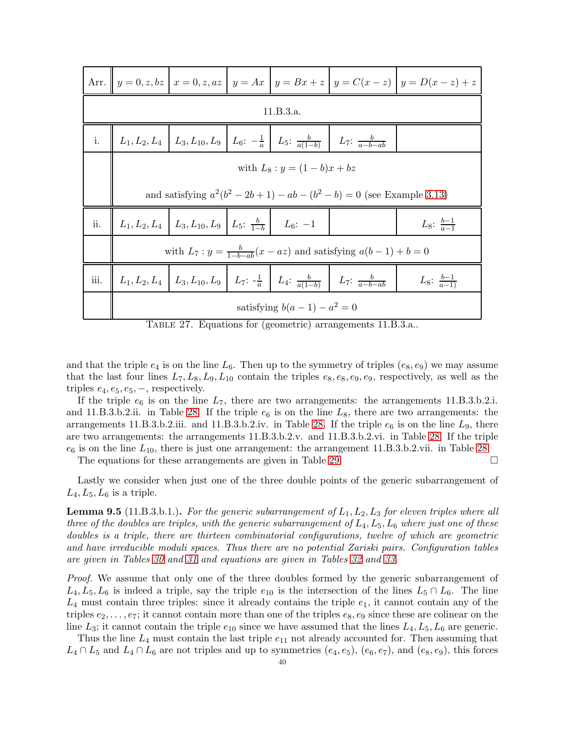|      |                                                                                                                                                |  |  |           |                                                                                                                                                  | Arr. $y = 0, z, bz \mid x = 0, z, az \mid y = Ax \mid y = Bx + z \mid y = C(x - z) \mid y = D(x - z) + z$ |  |  |  |  |  |  |
|------|------------------------------------------------------------------------------------------------------------------------------------------------|--|--|-----------|--------------------------------------------------------------------------------------------------------------------------------------------------|-----------------------------------------------------------------------------------------------------------|--|--|--|--|--|--|
|      |                                                                                                                                                |  |  | 11.B.3.a. |                                                                                                                                                  |                                                                                                           |  |  |  |  |  |  |
|      | i. $\left  L_1, L_2, L_4 \right  L_3, L_{10}, L_9 \left  L_6: -\frac{1}{a} \right  L_5: \frac{b}{a(1-b)} \left  L_7: \frac{b}{a-b-ab} \right $ |  |  |           |                                                                                                                                                  |                                                                                                           |  |  |  |  |  |  |
|      | with $L_8: y = (1-b)x + bz$                                                                                                                    |  |  |           |                                                                                                                                                  |                                                                                                           |  |  |  |  |  |  |
|      | and satisfying $a^2(b^2 - 2b + 1) - ab - (b^2 - b) = 0$ (see Example 3.13)                                                                     |  |  |           |                                                                                                                                                  |                                                                                                           |  |  |  |  |  |  |
| ii.  | $\mid L_1, L_2, L_4 \mid L_3, L_{10}, L_9 \mid L_5: \frac{b}{1-b} \mid L_6: -1$                                                                |  |  |           |                                                                                                                                                  | $L_8$ : $\frac{b-1}{a-1}$                                                                                 |  |  |  |  |  |  |
|      |                                                                                                                                                |  |  |           | with $L_7: y = \frac{b}{1-b-ab}(x-az)$ and satisfying $a(b-1)+b=0$                                                                               |                                                                                                           |  |  |  |  |  |  |
| iii. |                                                                                                                                                |  |  |           | $\parallel L_1, L_2, L_4 \parallel L_3, L_{10}, L_9 \parallel L_7: -\frac{1}{a} \parallel L_4: \frac{b}{a(1-b)} \parallel L_7: \frac{b}{a-b-ab}$ | $L_8$ : $\frac{b-1}{a-1}$                                                                                 |  |  |  |  |  |  |
|      | satisfying $b(a-1) - a^2 = 0$                                                                                                                  |  |  |           |                                                                                                                                                  |                                                                                                           |  |  |  |  |  |  |

<span id="page-39-0"></span>Table 27. Equations for (geometric) arrangements 11.B.3.a..

and that the triple  $e_4$  is on the line  $L_6$ . Then up to the symmetry of triples  $(e_8, e_9)$  we may assume that the last four lines  $L_7, L_8, L_9, L_{10}$  contain the triples  $e_8, e_8, e_9, e_9$ , respectively, as well as the triples  $e_4, e_5, e_5, -$ , respectively.

If the triple  $e_6$  is on the line  $L_7$ , there are two arrangements: the arrangements 11.B.3.b.2.i. and 11.B.3.b.2.ii. in Table [28.](#page-40-0) If the triple  $e_6$  is on the line  $L_8$ , there are two arrangements: the arrangements 11.B.3.b.2.iii. and 11.B.3.b.2.iv. in Table [28.](#page-40-0) If the triple  $e_6$  is on the line  $L_9$ , there are two arrangements: the arrangements 11.B.3.b.2.v. and 11.B.3.b.2.vi. in Table [28.](#page-40-0) If the triple  $e_6$  is on the line  $L_{10}$ , there is just one arrangement: the arrangement 11.B.3.b.2.vii. in Table [28.](#page-40-0)

The equations for these arrangements are given in Table [29.](#page-41-0)  $\Box$ 

Lastly we consider when just one of the three double points of the generic subarrangement of  $L_4, L_5, L_6$  is a triple.

<span id="page-39-1"></span>**Lemma 9.5** (11.B.3.b.1.). For the generic subarrangement of  $L_1, L_2, L_3$  for eleven triples where all three of the doubles are triples, with the generic subarrangement of  $L_4$ ,  $L_5$ ,  $L_6$  where just one of these doubles is a triple, there are thirteen combinatorial configurations, twelve of which are geometric and have irreducible moduli spaces. Thus there are no potential Zariski pairs. Configuration tables are given in Tables [30](#page-42-7) and [31](#page-43-7) and equations are given in Tables [32](#page-44-0) and [33.](#page-45-9)

Proof. We assume that only one of the three doubles formed by the generic subarrangement of  $L_4, L_5, L_6$  is indeed a triple, say the triple  $e_{10}$  is the intersection of the lines  $L_5 \cap L_6$ . The line  $L_4$  must contain three triples: since it already contains the triple  $e_1$ , it cannot contain any of the triples  $e_2, \ldots, e_7$ ; it cannot contain more than one of the triples  $e_8, e_9$  since these are colinear on the line  $L_3$ ; it cannot contain the triple  $e_{10}$  since we have assumed that the lines  $L_4, L_5, L_6$  are generic.

Thus the line  $L_4$  must contain the last triple  $e_{11}$  not already accounted for. Then assuming that  $L_4 \cap L_5$  and  $L_4 \cap L_6$  are not triples and up to symmetries  $(e_4, e_5)$ ,  $(e_6, e_7)$ , and  $(e_8, e_9)$ , this forces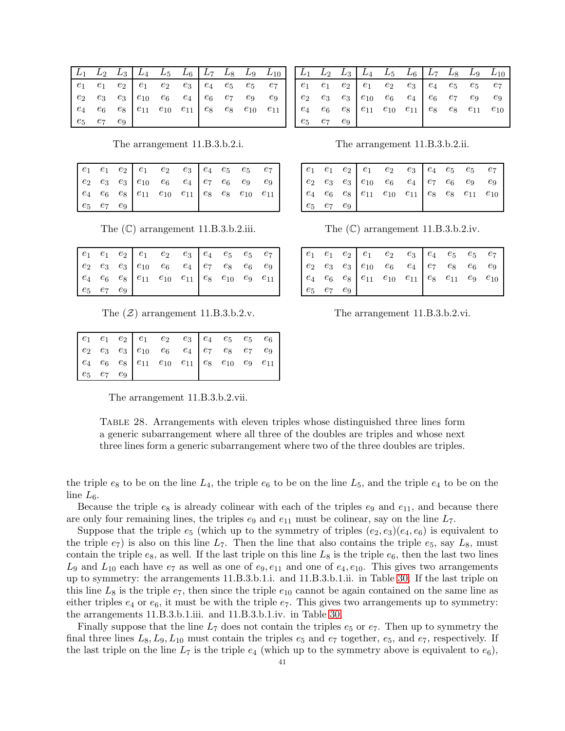|  |                   |  | $\begin{array}{ c cccc } \hline e_1 & e_1 & e_2 & e_1 & e_2 & e_3 & e_4 & e_5 & e_5 & e_7 \ e_2 & e_3 & e_3 & e_{10} & e_6 & e_4 & e_6 & e_7 & e_9 & e_9 \ e_4 & e_6 & e_8 & e_{11} & e_{10} & e_{11} & e_8 & e_8 & e_{10} & e_{11} \ \hline \end{array}$ |  |  |
|--|-------------------|--|-----------------------------------------------------------------------------------------------------------------------------------------------------------------------------------------------------------------------------------------------------------|--|--|
|  |                   |  |                                                                                                                                                                                                                                                           |  |  |
|  |                   |  |                                                                                                                                                                                                                                                           |  |  |
|  | $e_5$ $e_7$ $e_9$ |  |                                                                                                                                                                                                                                                           |  |  |

 $L_4$  $L_5$  $L_6$  $L_9$  $L_{10}$  $\scriptstyle{L_2}$  $L_{\rm 7}$  $L_8$  $e_1$  $e_1$  $\ensuremath{e}_1$  $\mathfrak{e}_2$  $\mathfrak{e}_2$  $\mathfrak{e}_3$  $\mathfrak{e}_4$  $\ensuremath{e_5}$  $e_5$  $e_7$  $\mathfrak{e}_9$  $e_2$  $e_3$  $e_3$  $e_{10}$  $e_6$  $e_4$  $e_6$  $e_7$  $e_9$  $e_4$  $\boldsymbol{e_6}$  $e_8$  $e_{11}$  $e_{10}$  $e_{11}$  $e_8$  $e_8$  $e_{11}$  $e_{10}$  $e_5$  $e_7$  $e_9$ 

The arrangement 11.B.3.b.2.i.

|                   |  |  | $\left   \begin{array}{cccccc} e_1 & e_1 & e_2 & e_1 & e_2 & e_3 \\ e_2 & e_3 & e_3 & e_{10} & e_6 & e_4 \\ e_4 & e_6 & e_8 & e_{11} & e_{10} & e_{11} \end{array} \right   \left   \begin{array}{cccccc} e_1 & e_2 & e_3 & e_4 & e_5 & e_5 & e_7 \\ e_7 & e_6 & e_9 & e_9 & e_9 & e_9 \\ e_8 & e_8 & e_{10} & e_{11} & e_{11} & e_9 \end{array} \right  $ |  |  |
|-------------------|--|--|------------------------------------------------------------------------------------------------------------------------------------------------------------------------------------------------------------------------------------------------------------------------------------------------------------------------------------------------------------|--|--|
|                   |  |  |                                                                                                                                                                                                                                                                                                                                                            |  |  |
|                   |  |  |                                                                                                                                                                                                                                                                                                                                                            |  |  |
| $e_5$ $e_7$ $e_9$ |  |  |                                                                                                                                                                                                                                                                                                                                                            |  |  |

The  $(\mathbb{C})$  arrangement 11.B.3.b.2.iii.

The  $(\mathcal{Z})$  arrangement 11.B.3.b.2.v.

The arrangement 11.B.3.b.2.vii.

<span id="page-40-0"></span>TABLE 28. Arrangements with eleven triples whose distinguished three lines form a generic subarrangement where all three of the doubles are triples and whose next three lines form a generic subarrangement where two of the three doubles are triples.

the triple  $e_8$  to be on the line  $L_4$ , the triple  $e_6$  to be on the line  $L_5$ , and the triple  $e_4$  to be on the line  $L_6$ .

Because the triple  $e_8$  is already colinear with each of the triples  $e_9$  and  $e_{11}$ , and because there are only four remaining lines, the triples  $e_9$  and  $e_{11}$  must be colinear, say on the line  $L_7$ .

Suppose that the triple  $e_5$  (which up to the symmetry of triples  $(e_2, e_3)(e_4, e_6)$  is equivalent to the triple  $e_7$ ) is also on this line  $L_7$ . Then the line that also contains the triple  $e_5$ , say  $L_8$ , must contain the triple  $e_8$ , as well. If the last triple on this line  $L_8$  is the triple  $e_6$ , then the last two lines  $L_9$  and  $L_{10}$  each have  $e_7$  as well as one of  $e_9, e_{11}$  and one of  $e_4, e_{10}$ . This gives two arrangements up to symmetry: the arrangements 11.B.3.b.1.i. and 11.B.3.b.1.ii. in Table 30. If the last triple on this line  $L_8$  is the triple  $e_7$ , then since the triple  $e_{10}$  cannot be again contained on the same line as either triples  $e_4$  or  $e_6$ , it must be with the triple  $e_7$ . This gives two arrangements up to symmetry: the arrangements 11.B.3.b.1.iii. and 11.B.3.b.1.iv. in Table 30.

Finally suppose that the line  $L_7$  does not contain the triples  $e_5$  or  $e_7$ . Then up to symmetry the final three lines  $L_8, L_9, L_{10}$  must contain the triples  $e_5$  and  $e_7$  together,  $e_5$ , and  $e_7$ , respectively. If the last triple on the line  $L_7$  is the triple  $e_4$  (which up to the symmetry above is equivalent to  $e_6$ ),

The arrangement 11.B.3.b.2.ii.

| $e_5$ $e_7$ $e_9$ |  |  |  |  |  |
|-------------------|--|--|--|--|--|

The  $(\mathbb{C})$  arrangement 11.B.3.b.2.iv.

| $e_5$ $e_7$ $e_9$ |  |  |  |  |
|-------------------|--|--|--|--|

The arrangement 11.B.3.b.2.vi.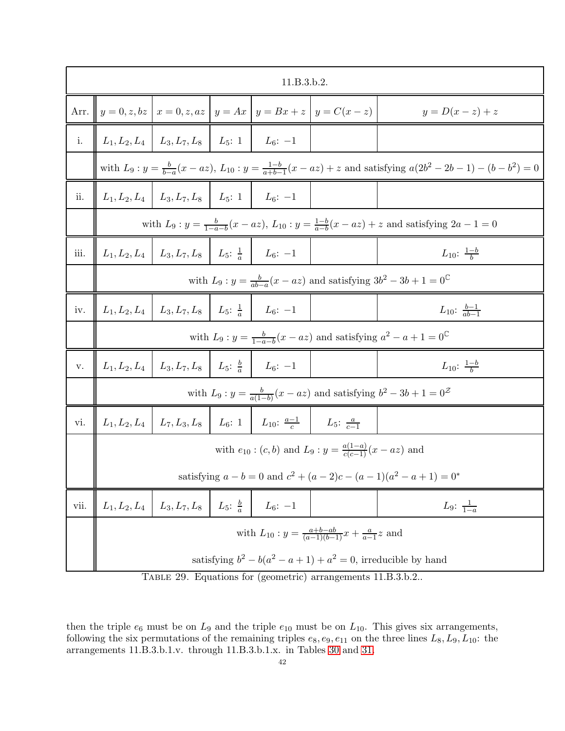|      |                                                                                                    |                                                                       |  | 11.B.3.b.2.                                                                                   |                                                                                |                                                                                                                                    |  |  |  |  |  |
|------|----------------------------------------------------------------------------------------------------|-----------------------------------------------------------------------|--|-----------------------------------------------------------------------------------------------|--------------------------------------------------------------------------------|------------------------------------------------------------------------------------------------------------------------------------|--|--|--|--|--|
| Arr. |                                                                                                    |                                                                       |  |                                                                                               | $y = 0, z, bz \mid x = 0, z, az \mid y = Ax \mid y = Bx + z \mid y = C(x - z)$ | $y=D(x-z)+z$                                                                                                                       |  |  |  |  |  |
| i.   |                                                                                                    | $L_1, L_2, L_4 \mid L_3, L_7, L_8 \mid L_5: 1 \mid L_6: -1$           |  |                                                                                               |                                                                                |                                                                                                                                    |  |  |  |  |  |
|      |                                                                                                    |                                                                       |  |                                                                                               |                                                                                | with $L_9: y = \frac{b}{b-a}(x - az), L_{10}: y = \frac{1-b}{a+b-1}(x - az) + z$ and satisfying $a(2b^2 - 2b - 1) - (b - b^2) = 0$ |  |  |  |  |  |
| ii.  |                                                                                                    | $L_1, L_2, L_4 \mid L_3, L_7, L_8 \mid L_5: 1 \mid L_6: -1$           |  |                                                                                               |                                                                                |                                                                                                                                    |  |  |  |  |  |
|      |                                                                                                    |                                                                       |  |                                                                                               |                                                                                | with $L_9: y = \frac{b}{1-a-b}(x - az), L_{10}: y = \frac{1-b}{a-b}(x - az) + z$ and satisfying $2a - 1 = 0$                       |  |  |  |  |  |
| iii. |                                                                                                    | $L_1, L_2, L_4 \mid L_3, L_7, L_8 \mid L_5: \frac{1}{a} \mid L_6: -1$ |  |                                                                                               |                                                                                | $L_{10}$ : $\frac{1-b}{b}$                                                                                                         |  |  |  |  |  |
|      |                                                                                                    |                                                                       |  |                                                                                               |                                                                                | with $L_9: y = \frac{b}{ab-a}(x - az)$ and satisfying $3b^2 - 3b + 1 = 0^{\mathbb{C}}$                                             |  |  |  |  |  |
| iv.  |                                                                                                    | $L_1, L_2, L_4 \mid L_3, L_7, L_8 \mid L_5: \frac{1}{a} \mid L_6: -1$ |  |                                                                                               |                                                                                | $L_{10}$ : $\frac{b-1}{ab-1}$                                                                                                      |  |  |  |  |  |
|      | with $L_9: y = \frac{b}{1-a-b}(x-az)$ and satisfying $a^2 - a + 1 = 0^{\mathbb{C}}$                |                                                                       |  |                                                                                               |                                                                                |                                                                                                                                    |  |  |  |  |  |
| v.   |                                                                                                    | $L_1, L_2, L_4$   $L_3, L_7, L_8$   $L_5: \frac{b}{a}$   $L_6: -1$    |  |                                                                                               |                                                                                | $L_{10}$ : $\frac{1-b}{b}$                                                                                                         |  |  |  |  |  |
|      |                                                                                                    |                                                                       |  |                                                                                               |                                                                                | with $L_9: y = \frac{b}{a(1-b)}(x-az)$ and satisfying $b^2 - 3b + 1 = 0^{\mathcal{Z}}$                                             |  |  |  |  |  |
| vi.  |                                                                                                    |                                                                       |  | $L_1, L_2, L_4$   $L_7, L_3, L_8$   $L_6: 1$   $L_{10}: \frac{a-1}{c}$   $L_5: \frac{a}{c-1}$ |                                                                                |                                                                                                                                    |  |  |  |  |  |
|      |                                                                                                    |                                                                       |  |                                                                                               | with $e_{10}$ : $(c, b)$ and $L_9$ : $y = \frac{a(1-a)}{c(c-1)}(x - az)$ and   |                                                                                                                                    |  |  |  |  |  |
|      |                                                                                                    |                                                                       |  |                                                                                               |                                                                                | satisfying $a - b = 0$ and $c^2 + (a - 2)c - (a - 1)(a^2 - a + 1) = 0^*$                                                           |  |  |  |  |  |
| vii. | $L_1, L_2, L_4 \mid L_3, L_7, L_8 \mid L_5: \frac{b}{a} \mid$<br>$L_9: \frac{1}{1-a}$<br>$L_6: -1$ |                                                                       |  |                                                                                               |                                                                                |                                                                                                                                    |  |  |  |  |  |
|      | with $L_{10}: y = \frac{a+b-ab}{(a-1)(b-1)}x + \frac{a}{a-1}z$ and                                 |                                                                       |  |                                                                                               |                                                                                |                                                                                                                                    |  |  |  |  |  |
|      |                                                                                                    |                                                                       |  |                                                                                               |                                                                                | satisfying $b^2 - b(a^2 - a + 1) + a^2 = 0$ , irreducible by hand                                                                  |  |  |  |  |  |

<span id="page-41-0"></span>Table 29. Equations for (geometric) arrangements 11.B.3.b.2..

then the triple  $e_6$  must be on  $L_9$  and the triple  $e_{10}$  must be on  $L_{10}$ . This gives six arrangements, following the six permutations of the remaining triples  $e_8, e_9, e_{11}$  on the three lines  $L_8, L_9, L_{10}$ : the arrangements 11.B.3.b.1.v. through 11.B.3.b.1.x. in Tables [30](#page-42-7) and [31.](#page-43-7)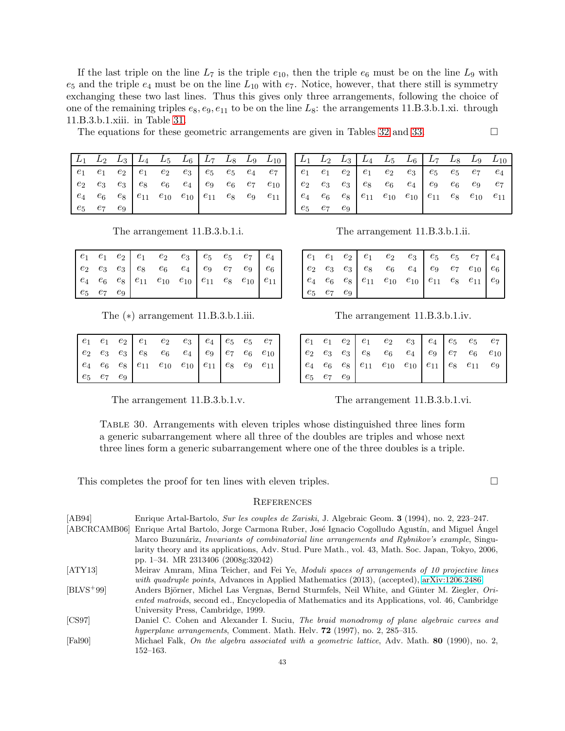The equations for these geometric arrangements are given in Tables [32](#page-44-0) and [33.](#page-45-9)

|  |  | $\begin{array}{ c c c c c c c c c } \hline L_1 & L_2 & L_3 & L_4 & L_5 & L_6 & L_7 & L_8 & L_9 & L_{10} \ \hline \end{array}$ |  |  |
|--|--|-------------------------------------------------------------------------------------------------------------------------------|--|--|
|  |  |                                                                                                                               |  |  |
|  |  |                                                                                                                               |  |  |
|  |  |                                                                                                                               |  |  |
|  |  |                                                                                                                               |  |  |

|  |                   |  | $\begin{array}{c ccccc c} e_1 & e_1 & e_2 & e_1 & e_2 & e_3 & e_5 & e_5 & e_7 & e_4 \ e_2 & e_3 & e_3 & e_8 & e_6 & e_4 & e_9 & e_7 & e_9 & e_6 \ e_4 & e_6 & e_8 & e_{11} & e_{10} & e_{10} & e_{11} & e_8 & e_{10} & e_{11} \end{array}$ |  |  |
|--|-------------------|--|--------------------------------------------------------------------------------------------------------------------------------------------------------------------------------------------------------------------------------------------|--|--|
|  |                   |  |                                                                                                                                                                                                                                            |  |  |
|  |                   |  |                                                                                                                                                                                                                                            |  |  |
|  | $e_5$ $e_7$ $e_9$ |  |                                                                                                                                                                                                                                            |  |  |

The  $(*)$  arrangement 11.B.3.b.1.iii. The arrangement 11.B.3.b.1.iv.

|  |                   |  | $\begin{array}{c ccccc c} e_1 & e_1 & e_2 & e_1 & e_2 & e_3 & e_4 & e_5 & e_5 & e_7 \ e_2 & e_3 & e_3 & e_8 & e_6 & e_4 & e_9 & e_7 & e_6 & e_{10} \ e_4 & e_6 & e_8 & e_{11} & e_{10} & e_{10} & e_{11} & e_8 & e_9 & e_{11} \end{array}$ |  |  |
|--|-------------------|--|--------------------------------------------------------------------------------------------------------------------------------------------------------------------------------------------------------------------------------------------|--|--|
|  |                   |  |                                                                                                                                                                                                                                            |  |  |
|  |                   |  |                                                                                                                                                                                                                                            |  |  |
|  | $e_5$ $e_7$ $e_9$ |  |                                                                                                                                                                                                                                            |  |  |

<span id="page-42-7"></span>The arrangement 11.B.3.b.1.v. The arrangement 11.B.3.b.1.vi.

|       |       |       |  |  |  | $\begin{array}{ c c c c c c c c } \hline L_1 & L_2 & L_3 & L_4 & L_5 & L_6 & L_7 & L_8 & L_9 & L_{10} \hline \end{array}$ |
|-------|-------|-------|--|--|--|---------------------------------------------------------------------------------------------------------------------------|
|       |       |       |  |  |  |                                                                                                                           |
|       |       |       |  |  |  | $e_7$                                                                                                                     |
|       |       |       |  |  |  |                                                                                                                           |
| $e_5$ | $e_7$ | $e_9$ |  |  |  |                                                                                                                           |

The arrangement 11.B.3.b.1.i. The arrangement 11.B.3.b.1.ii.

|  | $e_5$ $e_7$ $e_9$ |  |  |  |  |
|--|-------------------|--|--|--|--|

Table 30. Arrangements with eleven triples whose distinguished three lines form a generic subarrangement where all three of the doubles are triples and whose next three lines form a generic subarrangement where one of the three doubles is a triple.

This completes the proof for ten lines with eleven triples.  $\Box$ 

#### <span id="page-42-0"></span>**REFERENCES**

<span id="page-42-6"></span><span id="page-42-5"></span><span id="page-42-4"></span><span id="page-42-3"></span><span id="page-42-2"></span><span id="page-42-1"></span>

| [AB94]      | Enrique Artal-Bartolo, Sur les couples de Zariski, J. Algebraic Geom. 3 (1994), no. 2, 223–247.           |
|-------------|-----------------------------------------------------------------------------------------------------------|
|             | [ABCRCAMB06] Enrique Artal Bartolo, Jorge Carmona Ruber, José Ignacio Cogolludo Agustín, and Miguel Ángel |
|             | Marco Buzunáriz, <i>Invariants of combinatorial line arrangements and Rybnikov's example</i> , Singu-     |
|             | larity theory and its applications, Adv. Stud. Pure Math., vol. 43, Math. Soc. Japan, Tokyo, 2006,        |
|             | pp. 1-34. MR 2313406 (2008g:32042)                                                                        |
| [ATY13]     | Meirav Amram, Mina Teicher, and Fei Ye, <i>Moduli spaces of arrangements of 10 projective lines</i>       |
|             | with quadruple points, Advances in Applied Mathematics (2013), (accepted), arXiv:1206.2486.               |
| $[BLVS+99]$ | Anders Björner, Michel Las Vergnas, Bernd Sturmfels, Neil White, and Günter M. Ziegler, Ori-              |
|             | ented matroids, second ed., Encyclopedia of Mathematics and its Applications, vol. 46, Cambridge          |
|             | University Press, Cambridge, 1999.                                                                        |
| [CS97]      | Daniel C. Cohen and Alexander I. Suciu, The braid monodromy of plane algebraic curves and                 |
|             | hyperplane arrangements, Comment. Math. Helv. $72$ (1997), no. 2, 285–315.                                |
| [False]     | Michael Falk, On the algebra associated with a geometric lattice, Adv. Math. 80 (1990), no. 2,            |
|             | $152 - 163.$                                                                                              |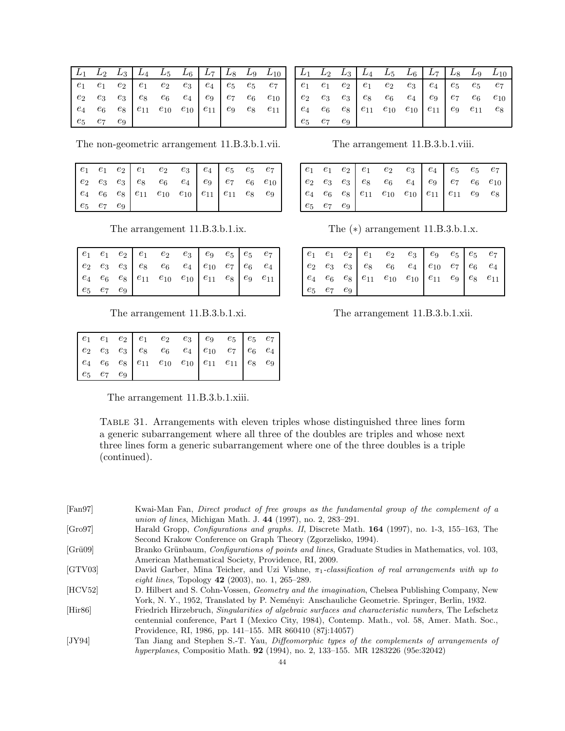|                   |  |  |  |  | $\begin{array}{ c c c c c c c c } \hline L_1 & L_2 & L_3 & L_4 & L_5 & L_6 & L_7 & L_8 & L_9 & L_{10} \ \hline \end{array}$                                                                                                                                  |
|-------------------|--|--|--|--|--------------------------------------------------------------------------------------------------------------------------------------------------------------------------------------------------------------------------------------------------------------|
|                   |  |  |  |  | $\begin{array}{ c cccc } \hline e_1 & e_1 & e_2 & e_1 & e_2 & e_3 & e_4 & e_5 & e_5 & e_7 \\ e_2 & e_3 & e_3 & e_8 & e_6 & e_4 & e_9 & e_7 & e_6 & e_{10} \\ e_4 & e_6 & e_8 & e_{11} & e_{10} & e_{10} & e_{11} & e_9 & e_8 & e_{11} \\ \hline \end{array}$ |
|                   |  |  |  |  |                                                                                                                                                                                                                                                              |
|                   |  |  |  |  |                                                                                                                                                                                                                                                              |
| $e_5$ $e_7$ $e_9$ |  |  |  |  |                                                                                                                                                                                                                                                              |

 $L_{2}$  $L_5$  $L_6$  $L_{10}$  $L_3$  $L_4$ L7 Lg  $L_9$  $L_{1}$  $\boldsymbol{e}_1$  $e_2$  $e_1$  $e_7$  $\ensuremath{e}_1$  $\mathfrak{e}_2$  $\mathfrak{e}_3$  $\mathfrak{e}_4$  $\ensuremath{e_5}$  $\ensuremath{e_5}$  $e_3$  $e_2$  $e_3$  $e_8$  $e_6$  $e_4$  $e_9$  $e_7$  $e_{10}$  $e_6$  $e_4$  $\boldsymbol{e}_6$  $e_8$  $e_{11}$  $e_{10}$  $e_{10}$  $e_{11}$  $e_9$  $e_{11}$  $e_8$  $e_7$  $e_5$  $e_9$ 

The non-geometric arrangement 11.B.3.b.1.vii.

| $e_5$ $e_7$ $e_9$ |  |  |  |  |  |
|-------------------|--|--|--|--|--|

The arrangement 11.B.3.b.1.ix.

|                   |  | $\begin{array}{ c cccc } \hline e_1 & e_1 & e_2 & e_1 & e_2 & e_3 & e_3 & e_4 & e_5 & e_6 & e_4 \ e_4 & e_6 & e_8 & e_{11} & e_{10} & e_{10} & e_{11} & e_8 & e_9 & e_{11} \ \hline \end{array}$ |  |  |
|-------------------|--|--------------------------------------------------------------------------------------------------------------------------------------------------------------------------------------------------|--|--|
|                   |  |                                                                                                                                                                                                  |  |  |
|                   |  |                                                                                                                                                                                                  |  |  |
| $e_5$ $e_7$ $e_9$ |  |                                                                                                                                                                                                  |  |  |

The arrangement 11.B.3.b.1.xi.

|                   |  | $\begin{array}{cccc cccc} e_1 & e_1 & e_2 & e_1 & e_2 & e_3 & e_3 & e_5 & e_7 \\ e_2 & e_3 & e_3 & e_8 & e_6 & e_4 & e_{10} & e_7 & e_6 & e_4 \\ e_4 & e_6 & e_8 & e_{11} & e_{10} & e_{10} & e_{11} & e_{11} & e_8 & e_9 \end{array}$ |  |  |  |
|-------------------|--|----------------------------------------------------------------------------------------------------------------------------------------------------------------------------------------------------------------------------------------|--|--|--|
| $e_5$ $e_7$ $e_9$ |  |                                                                                                                                                                                                                                        |  |  |  |

The arrangement 11.B.3.b.1.xiii.

<span id="page-43-7"></span>TABLE 31. Arrangements with eleven triples whose distinguished three lines form a generic subarrangement where all three of the doubles are triples and whose next three lines form a generic subarrangement where one of the three doubles is a triple (continued).

<span id="page-43-2"></span> $[Fan97]$ Kwai-Man Fan, Direct product of free groups as the fundamental group of the complement of a *union of lines*, Michigan Math. J. 44 (1997), no. 2, 283-291.

- <span id="page-43-6"></span> $[Gro97]$ Harald Gropp, *Configurations and graphs. II*, Discrete Math. 164 (1997), no. 1-3, 155-163, The Second Krakow Conference on Graph Theory (Zgorzelisko, 1994).
- <span id="page-43-3"></span> $[Gri09]$ Branko Grünbaum, *Configurations of points and lines*, Graduate Studies in Mathematics, vol. 103, American Mathematical Society, Providence, RI, 2009.

<span id="page-43-1"></span> $[GTV03]$ David Garber, Mina Teicher, and Uzi Vishne,  $\pi_1$ -classification of real arrangements with up to eight lines, Topology  $42$  (2003), no. 1, 265–289.

<span id="page-43-5"></span> $[HCV52]$ D. Hilbert and S. Cohn-Vossen, Geometry and the imagination, Chelsea Publishing Company, New York, N. Y., 1952, Translated by P. Neményi: Anschauliche Geometrie. Springer, Berlin, 1932.

- <span id="page-43-4"></span>Friedrich Hirzebruch, Singularities of algebraic surfaces and characteristic numbers, The Lefschetz  $[His 86]$ centennial conference, Part I (Mexico City, 1984), Contemp. Math., vol. 58, Amer. Math. Soc., Providence, RI, 1986, pp. 141–155. MR 860410 (87;14057)
- <span id="page-43-0"></span> $[JY94]$ Tan Jiang and Stephen S.-T. Yau, Diffeomorphic types of the complements of arrangements of hyperplanes, Compositio Math. 92 (1994), no. 2, 133-155. MR 1283226 (95e:32042)

The arrangement 11.B.3.b.1.viii.

The  $(*)$  arrangement 11.B.3.b.1.x.

|                   |  | $\begin{vmatrix} e_4 & e_6 & e_8 \end{vmatrix}$ $e_{11}$ $e_{10}$ $e_{10}$ $\begin{vmatrix} e_{11} & e_9 \end{vmatrix}$ $e_8$ $e_{11}$ |  |  |  |
|-------------------|--|----------------------------------------------------------------------------------------------------------------------------------------|--|--|--|
| $e_5$ $e_7$ $e_9$ |  |                                                                                                                                        |  |  |  |

The arrangement 11.B.3.b.1.xii.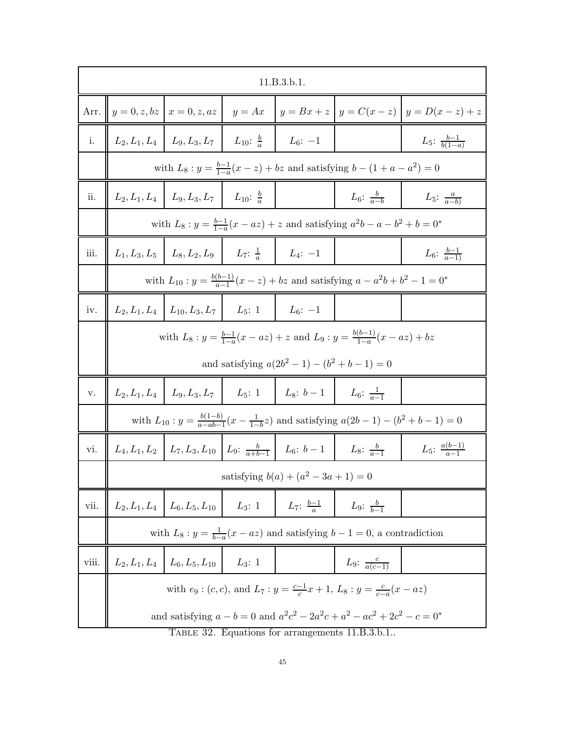|       | 11.B.3.b.1.                                                                                  |                                                                          |          |                                                                                                       |                                                                                                         |                                                                                        |  |  |
|-------|----------------------------------------------------------------------------------------------|--------------------------------------------------------------------------|----------|-------------------------------------------------------------------------------------------------------|---------------------------------------------------------------------------------------------------------|----------------------------------------------------------------------------------------|--|--|
| Arr.  |                                                                                              |                                                                          |          |                                                                                                       |                                                                                                         | $ y = 0, z, bz   x = 0, z, az   y = Ax   y = Bx + z   y = C(x - z)   y = D(x - z) + z$ |  |  |
| i.    |                                                                                              | $L_2, L_1, L_4 \mid L_9, L_3, L_7 \mid L_{10}: \frac{b}{a} \mid L_6: -1$ |          |                                                                                                       |                                                                                                         | $L_5: \frac{b-1}{b(1-a)}$                                                              |  |  |
|       |                                                                                              |                                                                          |          |                                                                                                       | with $L_8: y = \frac{b-1}{1-a}(x-z) + bz$ and satisfying $b - (1 + a - a^2) = 0$                        |                                                                                        |  |  |
| ii.   |                                                                                              | $L_2, L_1, L_4 \mid L_9, L_3, L_7 \mid L_{10}: \frac{b}{a}$              |          |                                                                                                       | $L_6: \frac{b}{a-b}$                                                                                    | $L_5: \frac{a}{a-b}$                                                                   |  |  |
|       | with $L_8: y = \frac{b-1}{1-a}(x - az) + z$ and satisfying $a^2b - a - b^2 + b = 0^*$        |                                                                          |          |                                                                                                       |                                                                                                         |                                                                                        |  |  |
| iii.  |                                                                                              | $L_1, L_3, L_5 \mid L_8, L_2, L_9 \mid L_7: \frac{1}{a} \mid L_4: -1$    |          |                                                                                                       |                                                                                                         | $L_6$ : $\frac{b-1}{a-1}$                                                              |  |  |
|       | with $L_{10}: y = \frac{b(b-1)}{a-1}(x-z) + bz$ and satisfying $a - a^2b + b^2 - 1 = 0^*$    |                                                                          |          |                                                                                                       |                                                                                                         |                                                                                        |  |  |
| iv.   | $L_{2}, L_{1}, L_{4}$                                                                        | $L_{10}, L_3, L_7$ $L_5$ : 1                                             |          | $L_6: -1$                                                                                             |                                                                                                         |                                                                                        |  |  |
|       | with $L_8: y = \frac{b-1}{1-a}(x - az) + z$ and $L_9: y = \frac{b(b-1)}{1-a}(x - az) + bz$   |                                                                          |          |                                                                                                       |                                                                                                         |                                                                                        |  |  |
|       |                                                                                              |                                                                          |          | and satisfying $a(2b^2 - 1) - (b^2 + b - 1) = 0$                                                      |                                                                                                         |                                                                                        |  |  |
| v.    |                                                                                              |                                                                          |          | $L_2, L_1, L_4 \mid L_9, L_3, L_7 \mid L_5: 1 \mid L_8: b-1 \mid L_6: \frac{1}{a-1}$                  |                                                                                                         |                                                                                        |  |  |
|       |                                                                                              |                                                                          |          |                                                                                                       | with $L_{10}: y = \frac{b(1-b)}{a-ab-1}(x-\frac{1}{1-b}z)$ and satisfying $a(2b-1) - (b^2 + b - 1) = 0$ |                                                                                        |  |  |
| Vl.   |                                                                                              |                                                                          |          | $L_4, L_1, L_2 \mid L_7, L_3, L_{10} \mid L_9: \frac{b}{a+b-1} \mid L_6: b-1 \mid L_8: \frac{b}{a-1}$ |                                                                                                         | $L_5$ : $\frac{a(b-1)}{a-1}$                                                           |  |  |
|       | satisfying $b(a) + (a^2 - 3a + 1) = 0$                                                       |                                                                          |          |                                                                                                       |                                                                                                         |                                                                                        |  |  |
| vii.  |                                                                                              | $L_2, L_1, L_4 \mid L_6, L_5, L_{10} \mid$                               | $L_3: 1$ |                                                                                                       | $L_7: \frac{b-1}{a}$ $L_9: \frac{b}{b-1}$                                                               |                                                                                        |  |  |
|       | with $L_8: y = \frac{1}{b-a}(x - az)$ and satisfying $b - 1 = 0$ , a contradiction           |                                                                          |          |                                                                                                       |                                                                                                         |                                                                                        |  |  |
| viii. |                                                                                              | $L_2, L_1, L_4 \mid L_6, L_5, L_{10}$                                    | $L_3:1$  |                                                                                                       | <i>L</i> <sub>9</sub> : $\frac{c}{a(c-1)}$                                                              |                                                                                        |  |  |
|       | with $e_9$ : $(c, c)$ , and $L_7: y = \frac{c-1}{c}x + 1$ , $L_8: y = \frac{c}{c-a}(x - az)$ |                                                                          |          |                                                                                                       |                                                                                                         |                                                                                        |  |  |
|       |                                                                                              |                                                                          |          | TABLE 32 Equations for arrangements 11 R 3 b 1                                                        | and satisfying $a - b = 0$ and $a^2c^2 - 2a^2c + a^2 - ac^2 + 2c^2 - c = 0^*$                           |                                                                                        |  |  |

<span id="page-44-0"></span>Table 32. Equations for arrangements 11.B.3.b.1..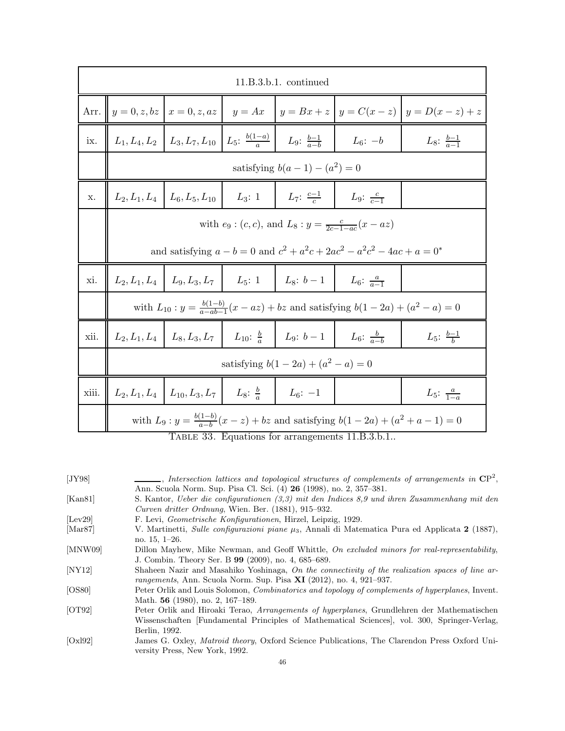|       | $11.B.3.b.1.$ continued                                                                                 |                                                                                                           |  |                                                                                                      |                      |                           |  |  |
|-------|---------------------------------------------------------------------------------------------------------|-----------------------------------------------------------------------------------------------------------|--|------------------------------------------------------------------------------------------------------|----------------------|---------------------------|--|--|
|       |                                                                                                         | Arr. $y = 0, z, bz \mid x = 0, z, az \mid y = Ax \mid y = Bx + z \mid y = C(x - z) \mid y = D(x - z) + z$ |  |                                                                                                      |                      |                           |  |  |
| ix.   |                                                                                                         |                                                                                                           |  | $\mid L_1, L_4, L_2 \mid L_3, L_7, L_{10} \mid L_5: \frac{b(1-a)}{a} \mid L_9: \frac{b-1}{a-b} \mid$ | $L_6$ : $-b$         | $L_8$ : $\frac{b-1}{a-1}$ |  |  |
|       | satisfying $b(a - 1) - (a^2) = 0$                                                                       |                                                                                                           |  |                                                                                                      |                      |                           |  |  |
| X.    | $L_7: \frac{c-1}{c}$  <br>$L_9: \frac{c}{c-1}$<br>$L_2, L_1, L_4 \mid L_6, L_5, L_{10} \mid$<br>$L_3:1$ |                                                                                                           |  |                                                                                                      |                      |                           |  |  |
|       | with $e_9$ : $(c, c)$ , and $L_8$ : $y = \frac{c}{2c-1-ac}(x - az)$                                     |                                                                                                           |  |                                                                                                      |                      |                           |  |  |
|       | and satisfying $a - b = 0$ and $c^2 + a^2c + 2ac^2 - a^2c^2 - 4ac + a = 0^*$                            |                                                                                                           |  |                                                                                                      |                      |                           |  |  |
| xi.   |                                                                                                         |                                                                                                           |  | $L_2, L_1, L_4 \mid L_9, L_3, L_7 \mid L_5: 1 \mid L_8: b-1 \mid$                                    | $L_6: \frac{a}{a-1}$ |                           |  |  |
|       | with $L_{10}: y = \frac{b(1-b)}{a - ab - 1}(x - az) + bz$ and satisfying $b(1 - 2a) + (a^2 - a) = 0$    |                                                                                                           |  |                                                                                                      |                      |                           |  |  |
| xii.  |                                                                                                         |                                                                                                           |  | $L_2, L_1, L_4 \mid L_8, L_3, L_7 \mid L_{10}: \frac{b}{a} \mid L_9: b-1 \mid L_6: \frac{b}{a-b}$    |                      | $L_5: \frac{b-1}{b}$      |  |  |
|       | satisfying $b(1-2a) + (a^2 - a) = 0$                                                                    |                                                                                                           |  |                                                                                                      |                      |                           |  |  |
| xiii. |                                                                                                         | $L_2, L_1, L_4 \mid L_{10}, L_3, L_7 \mid L_8: \frac{b}{a} \mid L_6: -1$                                  |  |                                                                                                      |                      | $L_5: \frac{a}{1-a}$      |  |  |
|       | with $L_9: y = \frac{b(1-b)}{a-b}(x-z) + bz$ and satisfying $b(1-2a) + (a^2 + a - 1) = 0$               |                                                                                                           |  |                                                                                                      |                      |                           |  |  |

<span id="page-45-9"></span>Table 33. Equations for arrangements 11.B.3.b.1..

<span id="page-45-8"></span><span id="page-45-7"></span><span id="page-45-6"></span><span id="page-45-5"></span><span id="page-45-4"></span><span id="page-45-3"></span><span id="page-45-2"></span><span id="page-45-1"></span><span id="page-45-0"></span>

| [JY98]                        | $\frac{1}{\sqrt{2}}$ , Intersection lattices and topological structures of complements of arrangements in $\mathbb{CP}^2$ , |
|-------------------------------|-----------------------------------------------------------------------------------------------------------------------------|
|                               | Ann. Scuola Norm. Sup. Pisa Cl. Sci. (4) 26 (1998), no. 2, 357-381.                                                         |
| [Kan81]                       | S. Kantor, Ueber die configurationen (3,3) mit den Indices 8,9 und ihren Zusammenhang mit den                               |
|                               | Curven dritter Ordnung, Wien. Ber. (1881), 915–932.                                                                         |
| [Lev29]                       | F. Levi, <i>Geometrische Konfigurationen</i> , Hirzel, Leipzig, 1929.                                                       |
| $\left[ \text{Mar87} \right]$ | V. Martinetti, Sulle configurazioni piane $\mu_3$ , Annali di Matematica Pura ed Applicata 2 (1887),                        |
|                               | no. $15, 1-26.$                                                                                                             |
| [MNW09]                       | Dillon Mayhew, Mike Newman, and Geoff Whittle, On excluded minors for real-representability,                                |
|                               | J. Combin. Theory Ser. B 99 (2009), no. 4, 685–689.                                                                         |
| [NY12]                        | Shaheen Nazir and Masahiko Yoshinaga, On the connectivity of the realization spaces of line ar-                             |
|                               | rangements, Ann. Scuola Norm. Sup. Pisa $XI$ (2012), no. 4, 921–937.                                                        |
| [OS80]                        | Peter Orlik and Louis Solomon, <i>Combinatorics and topology of complements of hyperplanes</i> , Invent.                    |
|                               | Math. 56 (1980), no. 2, 167-189.                                                                                            |
| [OT92]                        | Peter Orlik and Hiroaki Terao, Arrangements of hyperplanes, Grundlehren der Mathematischen                                  |
|                               | Wissenschaften [Fundamental Principles of Mathematical Sciences], vol. 300, Springer-Verlag,                                |
|                               | Berlin, 1992.                                                                                                               |
| [Ox192]                       | James G. Oxley, <i>Matroid theory</i> , Oxford Science Publications, The Clarendon Press Oxford Uni-                        |
|                               | versity Press, New York, 1992.                                                                                              |